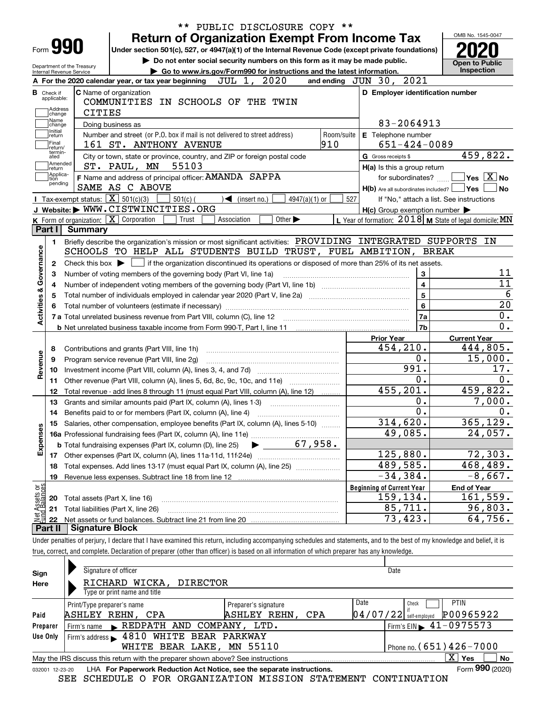| Form 990                                               | PUBLIC DISCLOSURE COPY **<br><b>Return of Organization Exempt From Income Tax</b><br>Under section 501(c), 527, or 4947(a)(1) of the Internal Revenue Code (except private foundations)                                                                                                                                                            |                                                                       | OMB No. 1545-0047                   |
|--------------------------------------------------------|----------------------------------------------------------------------------------------------------------------------------------------------------------------------------------------------------------------------------------------------------------------------------------------------------------------------------------------------------|-----------------------------------------------------------------------|-------------------------------------|
| Department of the Treasury<br>Internal Revenue Service | Do not enter social security numbers on this form as it may be made public.<br>Go to www.irs.gov/Form990 for instructions and the latest information.                                                                                                                                                                                              |                                                                       | <b>Open to Public</b><br>Inspection |
|                                                        | 2020<br>JUL 1,<br>A For the 2020 calendar year, or tax year beginning                                                                                                                                                                                                                                                                              | and ending JUN 30, 2021                                               |                                     |
| <b>B</b> Check if<br>applicable:<br>Address<br>change  | <b>C</b> Name of organization<br>COMMUNITIES IN SCHOOLS OF THE TWIN<br>CITIES                                                                                                                                                                                                                                                                      | D Employer identification number                                      |                                     |
| Name<br>change                                         | Doing business as                                                                                                                                                                                                                                                                                                                                  | 83-2064913                                                            |                                     |
| Initial<br>return<br> Final<br>return/                 | Number and street (or P.O. box if mail is not delivered to street address)<br>Room/suite<br>910<br>161 ST. ANTHONY AVENUE                                                                                                                                                                                                                          | E Telephone number<br>$651 - 424 - 0089$                              |                                     |
| termin-<br>ated<br>Amended<br>∣return                  | City or town, state or province, country, and ZIP or foreign postal code<br>55103<br>ST. PAUL, MN                                                                                                                                                                                                                                                  | G Gross receipts \$<br>$H(a)$ is this a group return                  | 459,822.                            |
| Applica-<br>tion<br>pending                            | F Name and address of principal officer: AMANDA SAPPA<br>SAME AS C ABOVE                                                                                                                                                                                                                                                                           | for subordinates?<br>$H(b)$ Are all subordinates included? $\Box$ Yes | $\sqrt{}$ Yes $\sqrt{X}$ No<br>No   |
| Tax-exempt status: $\boxed{\mathbf{X}}$ 501(c)(3)      | $4947(a)(1)$ or<br>$501(c)$ (<br>$\sqrt{\left( \text{insert no.} \right)}$                                                                                                                                                                                                                                                                         | 527<br>If "No," attach a list. See instructions                       |                                     |
|                                                        | J Website: WWW.CISTWINCITIES.ORG                                                                                                                                                                                                                                                                                                                   | $H(c)$ Group exemption number $\blacktriangleright$                   |                                     |
|                                                        | K Form of organization:   X Corporation<br>Other $\blacktriangleright$<br>Trust<br>Association                                                                                                                                                                                                                                                     | L Year of formation: $2018$ M State of legal domicile: MN             |                                     |
| Part I<br><b>Summary</b>                               |                                                                                                                                                                                                                                                                                                                                                    |                                                                       |                                     |
| 1.                                                     | Briefly describe the organization's mission or most significant activities: PROVIDING INTEGRATED SUPPORTS IN<br>SCHOOLS TO HELP ALL STUDENTS BUILD TRUST, FUEL AMBITION,                                                                                                                                                                           |                                                                       | <b>BREAK</b>                        |
| Activities & Governance<br>з<br>4<br>5                 | Number of voting members of the governing body (Part VI, line 1a)                                                                                                                                                                                                                                                                                  | 3<br>4<br>5<br>6<br>7a<br>7b<br><b>Prior Year</b>                     | <b>Current Year</b>                 |
| 8                                                      | Contributions and grants (Part VIII, line 1h)                                                                                                                                                                                                                                                                                                      | 454,210.                                                              | 444,805.                            |
| 9                                                      | Program service revenue (Part VIII, line 2g)                                                                                                                                                                                                                                                                                                       | 0.                                                                    | 15,000.                             |
| Revenue<br>10                                          |                                                                                                                                                                                                                                                                                                                                                    | 991.                                                                  | 17.                                 |
| 11                                                     | Other revenue (Part VIII, column (A), lines 5, 6d, 8c, 9c, 10c, and 11e)                                                                                                                                                                                                                                                                           | 0.                                                                    |                                     |
| 12                                                     | Total revenue - add lines 8 through 11 (must equal Part VIII, column (A), line 12)                                                                                                                                                                                                                                                                 | 455, 201.                                                             | 459,822.                            |
| 13                                                     | Grants and similar amounts paid (Part IX, column (A), lines 1-3)                                                                                                                                                                                                                                                                                   | Ο.                                                                    | 7,000.                              |
| 14                                                     |                                                                                                                                                                                                                                                                                                                                                    | 0.                                                                    | 0.                                  |
|                                                        | 15 Salaries, other compensation, employee benefits (Part IX, column (A), lines 5-10)                                                                                                                                                                                                                                                               | 314,620.                                                              | 365, 129.                           |
|                                                        |                                                                                                                                                                                                                                                                                                                                                    | 49,085.                                                               | 24,057.                             |
| Expenses                                               | 67,958.<br><b>b</b> Total fundraising expenses (Part IX, column (D), line 25)                                                                                                                                                                                                                                                                      |                                                                       |                                     |
| 17                                                     |                                                                                                                                                                                                                                                                                                                                                    | 125,880.                                                              | 72,303.                             |
| 18                                                     | Total expenses. Add lines 13-17 (must equal Part IX, column (A), line 25)                                                                                                                                                                                                                                                                          | 489,585.                                                              | 468,489.                            |
| 19                                                     | Revenue less expenses. Subtract line 18 from line 12                                                                                                                                                                                                                                                                                               | $-34,384.$                                                            | $-8,667.$                           |
|                                                        |                                                                                                                                                                                                                                                                                                                                                    | <b>Beginning of Current Year</b>                                      | <b>End of Year</b>                  |
| 20                                                     | Total assets (Part X, line 16)                                                                                                                                                                                                                                                                                                                     | 159, 134.                                                             | 161,559.                            |
| t Assets or<br>d Balances<br>21                        | Total liabilities (Part X, line 26)                                                                                                                                                                                                                                                                                                                | 85,711.                                                               | 96,803.                             |
| -22                                                    |                                                                                                                                                                                                                                                                                                                                                    | 73,423.                                                               | 64,756.                             |
| Part II                                                | <b>Signature Block</b><br>Under penalties of perjury, I declare that I have examined this return, including accompanying schedules and statements, and to the best of my knowledge and belief, it is<br>true, correct, and complete. Declaration of preparer (other than officer) is based on all information of which preparer has any knowledge. |                                                                       |                                     |

| Sign     | Signature of officer                                                            |                      |     |          | Date                                            |             |                                                                                                              |  |  |  |  |  |  |  |  |  |  |
|----------|---------------------------------------------------------------------------------|----------------------|-----|----------|-------------------------------------------------|-------------|--------------------------------------------------------------------------------------------------------------|--|--|--|--|--|--|--|--|--|--|
| Here     | RICHARD WICKA,<br>DIRECTOR                                                      |                      |     |          |                                                 |             |                                                                                                              |  |  |  |  |  |  |  |  |  |  |
|          | Type or print name and title                                                    |                      |     |          |                                                 |             |                                                                                                              |  |  |  |  |  |  |  |  |  |  |
|          | Print/Type preparer's name                                                      | Preparer's signature |     | Date     | Check                                           | <b>PTIN</b> |                                                                                                              |  |  |  |  |  |  |  |  |  |  |
| Paid     | ASHLEY REHN, CPA                                                                | ASHLEY REHN,         | CPA | 04/07/22 | self-emploved                                   | P00965922   |                                                                                                              |  |  |  |  |  |  |  |  |  |  |
| Preparer | Firm's name REDPATH AND COMPANY, LTD.                                           |                      |     |          | $1$ Firm's EIN $\blacktriangleright$ 41-0975573 |             |                                                                                                              |  |  |  |  |  |  |  |  |  |  |
| Use Only | 4810 WHITE BEAR PARKWAY<br>Firm's address                                       |                      |     |          |                                                 |             |                                                                                                              |  |  |  |  |  |  |  |  |  |  |
|          | Phone no. (651) $426 - 7000$<br>WHITE BEAR LAKE, MN 55110                       |                      |     |          |                                                 |             |                                                                                                              |  |  |  |  |  |  |  |  |  |  |
|          | May the IRS discuss this return with the preparer shown above? See instructions |                      |     |          |                                                 | ΧI<br>Yes   | No                                                                                                           |  |  |  |  |  |  |  |  |  |  |
|          |                                                                                 |                      |     |          |                                                 |             | Form 990 (2020)<br>LHA For Paperwork Reduction Act Notice, see the separate instructions.<br>032001 12-23-20 |  |  |  |  |  |  |  |  |  |  |

SEE SCHEDULE O FOR ORGANIZATION MISSION STATEMENT CONTINUATION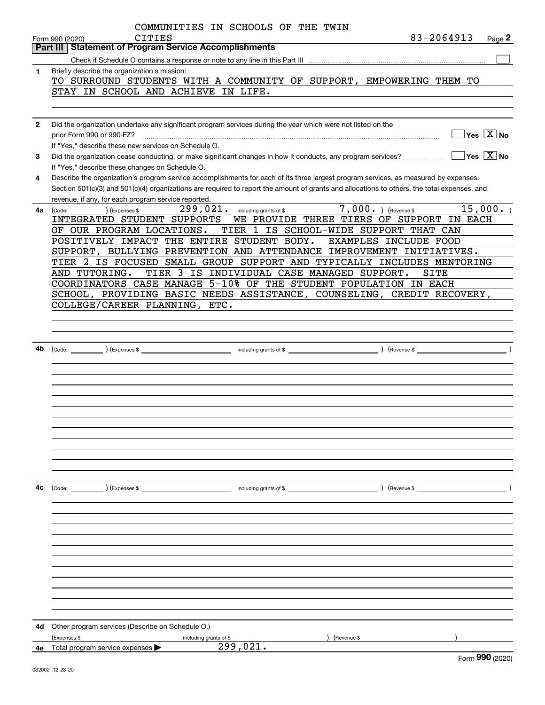|              | COMMUNITIES IN SCHOOLS OF THE TWIN<br>83-2064913<br>CITIES<br>Form 990 (2020)<br>Part III   Statement of Program Service Accomplishments                                                          | Page 2                                    |
|--------------|---------------------------------------------------------------------------------------------------------------------------------------------------------------------------------------------------|-------------------------------------------|
|              |                                                                                                                                                                                                   |                                           |
| 1            | Briefly describe the organization's mission:<br>TO SURROUND STUDENTS WITH A COMMUNITY OF SUPPORT, EMPOWERING THEM TO<br>STAY IN SCHOOL AND ACHIEVE IN LIFE.                                       |                                           |
|              |                                                                                                                                                                                                   |                                           |
| $\mathbf{2}$ | Did the organization undertake any significant program services during the year which were not listed on the<br>prior Form 990 or 990-EZ?<br>If "Yes," describe these new services on Schedule O. | $\overline{\ }$ Yes $\overline{\ \ X}$ No |
| 3            | Did the organization cease conducting, or make significant changes in how it conducts, any program services?                                                                                      | $\sqrt{}$ Yes $\sqrt{}$ X $\sqrt{}$ No    |
| 4            | If "Yes," describe these changes on Schedule O.<br>Describe the organization's program service accomplishments for each of its three largest program services, as measured by expenses.           |                                           |
|              | Section 501(c)(3) and 501(c)(4) organizations are required to report the amount of grants and allocations to others, the total expenses, and                                                      |                                           |
|              | revenue, if any, for each program service reported.                                                                                                                                               |                                           |
| 4a           | $\overline{7,000}$ ) (Revenue \$<br>299, 021. including grants of \$<br>(Code:<br>(Expenses \$                                                                                                    | 15,000.                                   |
|              | INTEGRATED STUDENT SUPPORTS<br>WE PROVIDE THREE TIERS OF SUPPORT IN EACH<br>TIER 1 IS SCHOOL-WIDE SUPPORT THAT CAN                                                                                |                                           |
|              | OF OUR PROGRAM LOCATIONS.<br>POSITIVELY IMPACT THE ENTIRE STUDENT BODY.<br>EXAMPLES INCLUDE FOOD                                                                                                  |                                           |
|              | SUPPORT, BULLYING PREVENTION AND ATTENDANCE IMPROVEMENT INITIATIVES.                                                                                                                              |                                           |
|              | TIER 2 IS FOCUSED SMALL GROUP SUPPORT AND TYPICALLY INCLUDES MENTORING                                                                                                                            |                                           |
|              | TIER 3 IS INDIVIDUAL CASE MANAGED SUPPORT.<br>AND TUTORING.<br>SITE                                                                                                                               |                                           |
|              | COORDINATORS CASE MANAGE 5-10% OF THE STUDENT POPULATION IN EACH                                                                                                                                  |                                           |
|              | SCHOOL, PROVIDING BASIC NEEDS ASSISTANCE, COUNSELING, CREDIT RECOVERY,                                                                                                                            |                                           |
|              | COLLEGE/CAREER PLANNING, ETC.                                                                                                                                                                     |                                           |
|              |                                                                                                                                                                                                   |                                           |
|              |                                                                                                                                                                                                   |                                           |
| 4b           | including grants of \$<br>) (Revenue \$<br>$\left(\text{Code:} \right)$ $\left(\text{Expenses $}\right)$                                                                                          |                                           |
|              |                                                                                                                                                                                                   |                                           |
|              |                                                                                                                                                                                                   |                                           |
|              |                                                                                                                                                                                                   |                                           |
|              |                                                                                                                                                                                                   |                                           |
|              |                                                                                                                                                                                                   |                                           |
|              |                                                                                                                                                                                                   |                                           |
|              |                                                                                                                                                                                                   |                                           |
|              |                                                                                                                                                                                                   |                                           |
|              |                                                                                                                                                                                                   |                                           |
|              |                                                                                                                                                                                                   |                                           |
| 4с           | $($ Revenue \$<br>(Code: ) (Expenses \$ contracts are not including grants of \$ code:                                                                                                            |                                           |
|              |                                                                                                                                                                                                   |                                           |
|              |                                                                                                                                                                                                   |                                           |
|              |                                                                                                                                                                                                   |                                           |
|              |                                                                                                                                                                                                   |                                           |
|              |                                                                                                                                                                                                   |                                           |
|              |                                                                                                                                                                                                   |                                           |
|              |                                                                                                                                                                                                   |                                           |
|              |                                                                                                                                                                                                   |                                           |
|              |                                                                                                                                                                                                   |                                           |
|              |                                                                                                                                                                                                   |                                           |
|              |                                                                                                                                                                                                   |                                           |
| 4d           | Other program services (Describe on Schedule O.)                                                                                                                                                  |                                           |
|              | (Expenses \$<br>Revenue \$<br>including grants of \$<br>299,021.<br>Total program service expenses                                                                                                |                                           |
| 4e           |                                                                                                                                                                                                   | $000$ (2222)                              |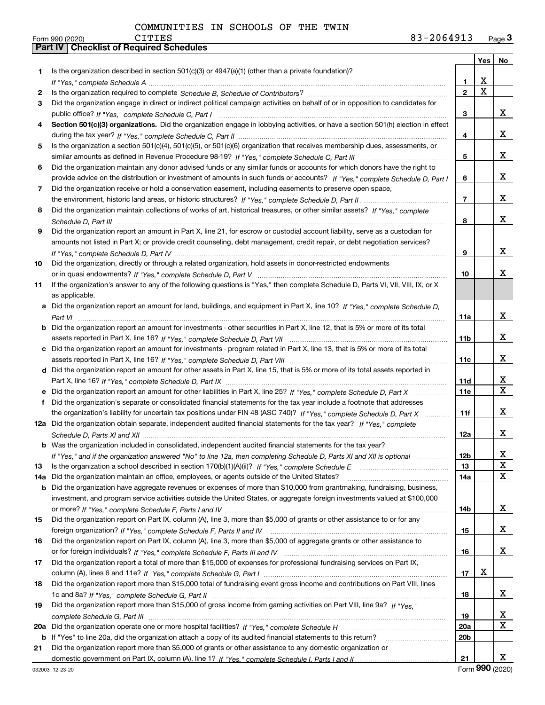|     |                                                                                                                                                                                                                                                       |                 | Yes                     | No                      |
|-----|-------------------------------------------------------------------------------------------------------------------------------------------------------------------------------------------------------------------------------------------------------|-----------------|-------------------------|-------------------------|
| 1.  | Is the organization described in section $501(c)(3)$ or $4947(a)(1)$ (other than a private foundation)?                                                                                                                                               |                 |                         |                         |
|     |                                                                                                                                                                                                                                                       | 1.              | X                       |                         |
| 2   |                                                                                                                                                                                                                                                       | $\overline{2}$  | $\overline{\mathbf{x}}$ |                         |
| 3   | Did the organization engage in direct or indirect political campaign activities on behalf of or in opposition to candidates for                                                                                                                       |                 |                         |                         |
|     |                                                                                                                                                                                                                                                       | 3               |                         | x                       |
| 4   | Section 501(c)(3) organizations. Did the organization engage in lobbying activities, or have a section 501(h) election in effect                                                                                                                      |                 |                         |                         |
|     |                                                                                                                                                                                                                                                       | 4               |                         | x                       |
| 5   | Is the organization a section 501(c)(4), 501(c)(5), or 501(c)(6) organization that receives membership dues, assessments, or                                                                                                                          |                 |                         |                         |
|     |                                                                                                                                                                                                                                                       | 5               |                         | X                       |
| 6   | Did the organization maintain any donor advised funds or any similar funds or accounts for which donors have the right to                                                                                                                             |                 |                         |                         |
|     | provide advice on the distribution or investment of amounts in such funds or accounts? If "Yes," complete Schedule D, Part I                                                                                                                          | 6               |                         | X                       |
| 7   | Did the organization receive or hold a conservation easement, including easements to preserve open space,                                                                                                                                             |                 |                         |                         |
|     |                                                                                                                                                                                                                                                       | $\overline{7}$  |                         | X                       |
| 8   | Did the organization maintain collections of works of art, historical treasures, or other similar assets? If "Yes," complete                                                                                                                          |                 |                         |                         |
|     |                                                                                                                                                                                                                                                       | 8               |                         | x                       |
| 9   | Did the organization report an amount in Part X, line 21, for escrow or custodial account liability, serve as a custodian for                                                                                                                         |                 |                         |                         |
|     | amounts not listed in Part X; or provide credit counseling, debt management, credit repair, or debt negotiation services?                                                                                                                             |                 |                         |                         |
|     |                                                                                                                                                                                                                                                       | 9               |                         | x                       |
| 10  | Did the organization, directly or through a related organization, hold assets in donor-restricted endowments                                                                                                                                          |                 |                         |                         |
|     |                                                                                                                                                                                                                                                       | 10              |                         | x                       |
| 11  | If the organization's answer to any of the following questions is "Yes," then complete Schedule D, Parts VI, VII, VIII, IX, or X                                                                                                                      |                 |                         |                         |
|     | as applicable.                                                                                                                                                                                                                                        |                 |                         |                         |
|     | a Did the organization report an amount for land, buildings, and equipment in Part X, line 10? If "Yes." complete Schedule D.                                                                                                                         |                 |                         |                         |
|     |                                                                                                                                                                                                                                                       | 11a             |                         | x                       |
|     | <b>b</b> Did the organization report an amount for investments - other securities in Part X, line 12, that is 5% or more of its total                                                                                                                 |                 |                         |                         |
|     |                                                                                                                                                                                                                                                       | 11 <sub>b</sub> |                         | x                       |
|     | c Did the organization report an amount for investments - program related in Part X, line 13, that is 5% or more of its total                                                                                                                         |                 |                         |                         |
|     |                                                                                                                                                                                                                                                       | 11c             |                         | x                       |
|     | d Did the organization report an amount for other assets in Part X, line 15, that is 5% or more of its total assets reported in                                                                                                                       |                 |                         |                         |
|     |                                                                                                                                                                                                                                                       | 11d             |                         | x                       |
|     | Did the organization report an amount for other liabilities in Part X, line 25? If "Yes," complete Schedule D, Part X                                                                                                                                 | 11e             |                         | $\overline{\mathbf{x}}$ |
| f   | Did the organization's separate or consolidated financial statements for the tax year include a footnote that addresses                                                                                                                               |                 |                         |                         |
|     | the organization's liability for uncertain tax positions under FIN 48 (ASC 740)? If "Yes," complete Schedule D, Part X                                                                                                                                | 11f             |                         | x                       |
|     | 12a Did the organization obtain separate, independent audited financial statements for the tax year? If "Yes," complete                                                                                                                               |                 |                         |                         |
|     |                                                                                                                                                                                                                                                       | 12a             |                         | x                       |
|     | <b>b</b> Was the organization included in consolidated, independent audited financial statements for the tax year?                                                                                                                                    |                 |                         |                         |
|     | If "Yes," and if the organization answered "No" to line 12a, then completing Schedule D, Parts XI and XII is optional                                                                                                                                 | 12D             |                         | ᅀ<br>$\mathbf X$        |
| 13  | Is the organization a school described in section $170(b)(1)(A)(ii)?$ If "Yes," complete Schedule E                                                                                                                                                   | 13              |                         | $\mathbf x$             |
| 14a | Did the organization maintain an office, employees, or agents outside of the United States?                                                                                                                                                           | 14a             |                         |                         |
| b   | Did the organization have aggregate revenues or expenses of more than \$10,000 from grantmaking, fundraising, business,<br>investment, and program service activities outside the United States, or aggregate foreign investments valued at \$100,000 |                 |                         |                         |
|     |                                                                                                                                                                                                                                                       | 14b             |                         | x                       |
| 15  | Did the organization report on Part IX, column (A), line 3, more than \$5,000 of grants or other assistance to or for any                                                                                                                             |                 |                         |                         |
|     |                                                                                                                                                                                                                                                       | 15              |                         | x                       |
| 16  | Did the organization report on Part IX, column (A), line 3, more than \$5,000 of aggregate grants or other assistance to                                                                                                                              |                 |                         |                         |
|     |                                                                                                                                                                                                                                                       | 16              |                         | x                       |
| 17  | Did the organization report a total of more than \$15,000 of expenses for professional fundraising services on Part IX,                                                                                                                               |                 |                         |                         |
|     |                                                                                                                                                                                                                                                       | 17              | х                       |                         |
| 18  | Did the organization report more than \$15,000 total of fundraising event gross income and contributions on Part VIII, lines                                                                                                                          |                 |                         |                         |
|     |                                                                                                                                                                                                                                                       | 18              |                         | x                       |
| 19  | Did the organization report more than \$15,000 of gross income from gaming activities on Part VIII, line 9a? If "Yes."                                                                                                                                |                 |                         |                         |
|     |                                                                                                                                                                                                                                                       | 19              |                         | x                       |
|     |                                                                                                                                                                                                                                                       | 20a             |                         | $\mathbf X$             |
|     | b If "Yes" to line 20a, did the organization attach a copy of its audited financial statements to this return?                                                                                                                                        | 20 <sub>b</sub> |                         |                         |
| 21  | Did the organization report more than \$5,000 of grants or other assistance to any domestic organization or                                                                                                                                           |                 |                         |                         |
|     |                                                                                                                                                                                                                                                       | 21              |                         | х                       |
|     |                                                                                                                                                                                                                                                       |                 |                         |                         |

Form (2020) **990**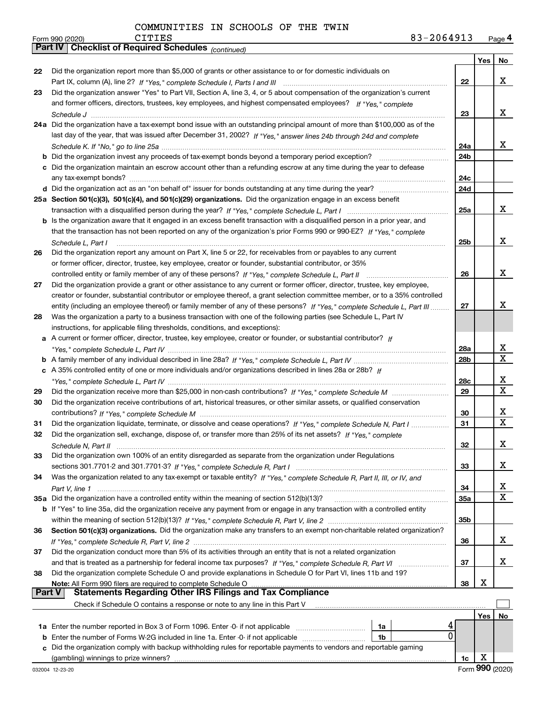| COMMUNITIES IN SCHOOLS OF THE TWIN |  |  |  |  |  |
|------------------------------------|--|--|--|--|--|
|------------------------------------|--|--|--|--|--|

|        | CITIES<br>Form 990 (2020)                                                                                                                                                                                                                                                                          | 83-2064913 |     | Page 4                  |
|--------|----------------------------------------------------------------------------------------------------------------------------------------------------------------------------------------------------------------------------------------------------------------------------------------------------|------------|-----|-------------------------|
|        | <b>Part IV Checklist of Required Schedules</b> (continued)                                                                                                                                                                                                                                         |            |     |                         |
|        |                                                                                                                                                                                                                                                                                                    |            | Yes | No                      |
| 22     | Did the organization report more than \$5,000 of grants or other assistance to or for domestic individuals on                                                                                                                                                                                      |            |     |                         |
|        |                                                                                                                                                                                                                                                                                                    | 22         |     | x                       |
| 23     | Did the organization answer "Yes" to Part VII, Section A, line 3, 4, or 5 about compensation of the organization's current                                                                                                                                                                         |            |     |                         |
|        | and former officers, directors, trustees, key employees, and highest compensated employees? If "Yes." complete                                                                                                                                                                                     |            |     |                         |
|        |                                                                                                                                                                                                                                                                                                    | 23         |     | X                       |
|        | 24a Did the organization have a tax-exempt bond issue with an outstanding principal amount of more than \$100,000 as of the                                                                                                                                                                        |            |     |                         |
|        | last day of the year, that was issued after December 31, 2002? If "Yes," answer lines 24b through 24d and complete                                                                                                                                                                                 |            |     |                         |
|        |                                                                                                                                                                                                                                                                                                    | 24a        |     | X.                      |
|        | <b>b</b> Did the organization invest any proceeds of tax-exempt bonds beyond a temporary period exception?                                                                                                                                                                                         |            |     |                         |
|        |                                                                                                                                                                                                                                                                                                    | 24b        |     |                         |
|        | c Did the organization maintain an escrow account other than a refunding escrow at any time during the year to defease                                                                                                                                                                             |            |     |                         |
|        | any tax-exempt bonds?                                                                                                                                                                                                                                                                              | 24c        |     |                         |
|        |                                                                                                                                                                                                                                                                                                    | 24d        |     |                         |
|        | 25a Section 501(c)(3), 501(c)(4), and 501(c)(29) organizations. Did the organization engage in an excess benefit                                                                                                                                                                                   |            |     |                         |
|        |                                                                                                                                                                                                                                                                                                    | 25a        |     | x                       |
|        | b Is the organization aware that it engaged in an excess benefit transaction with a disqualified person in a prior year, and                                                                                                                                                                       |            |     |                         |
|        | that the transaction has not been reported on any of the organization's prior Forms 990 or 990-EZ? If "Yes," complete                                                                                                                                                                              |            |     |                         |
|        | Schedule L. Part I                                                                                                                                                                                                                                                                                 | 25b        |     | X                       |
| 26     | Did the organization report any amount on Part X, line 5 or 22, for receivables from or payables to any current                                                                                                                                                                                    |            |     |                         |
|        | or former officer, director, trustee, key employee, creator or founder, substantial contributor, or 35%                                                                                                                                                                                            |            |     |                         |
|        | controlled entity or family member of any of these persons? If "Yes," complete Schedule L, Part II                                                                                                                                                                                                 | 26         |     | x                       |
| 27     | Did the organization provide a grant or other assistance to any current or former officer, director, trustee, key employee,                                                                                                                                                                        |            |     |                         |
|        | creator or founder, substantial contributor or employee thereof, a grant selection committee member, or to a 35% controlled                                                                                                                                                                        |            |     |                         |
|        | entity (including an employee thereof) or family member of any of these persons? If "Yes," complete Schedule L, Part III                                                                                                                                                                           | 27         |     | x                       |
| 28     | Was the organization a party to a business transaction with one of the following parties (see Schedule L, Part IV                                                                                                                                                                                  |            |     |                         |
|        | instructions, for applicable filing thresholds, conditions, and exceptions):                                                                                                                                                                                                                       |            |     |                         |
|        | a A current or former officer, director, trustee, key employee, creator or founder, or substantial contributor? If                                                                                                                                                                                 |            |     |                         |
|        |                                                                                                                                                                                                                                                                                                    | 28a        |     | x                       |
|        |                                                                                                                                                                                                                                                                                                    |            |     | $\overline{\mathbf{X}}$ |
|        |                                                                                                                                                                                                                                                                                                    | 28b        |     |                         |
|        | c A 35% controlled entity of one or more individuals and/or organizations described in lines 28a or 28b? If                                                                                                                                                                                        |            |     |                         |
|        |                                                                                                                                                                                                                                                                                                    | 28c        |     | х                       |
| 29     |                                                                                                                                                                                                                                                                                                    | 29         |     | X                       |
| 30     | Did the organization receive contributions of art, historical treasures, or other similar assets, or qualified conservation                                                                                                                                                                        |            |     |                         |
|        |                                                                                                                                                                                                                                                                                                    | 30         |     | x                       |
| 31     | Did the organization liquidate, terminate, or dissolve and cease operations? If "Yes," complete Schedule N, Part I                                                                                                                                                                                 | 31         |     | $\mathbf X$             |
| 32     | Did the organization sell, exchange, dispose of, or transfer more than 25% of its net assets? If "Yes," complete                                                                                                                                                                                   |            |     |                         |
|        |                                                                                                                                                                                                                                                                                                    | 32         |     | x                       |
| 33     | Did the organization own 100% of an entity disregarded as separate from the organization under Regulations                                                                                                                                                                                         |            |     |                         |
|        |                                                                                                                                                                                                                                                                                                    | 33         |     | x                       |
| 34     | Was the organization related to any tax-exempt or taxable entity? If "Yes," complete Schedule R, Part II, III, or IV, and                                                                                                                                                                          |            |     |                         |
|        |                                                                                                                                                                                                                                                                                                    | 34         |     | X                       |
|        | 35a Did the organization have a controlled entity within the meaning of section 512(b)(13)?                                                                                                                                                                                                        | <b>35a</b> |     | $\mathbf x$             |
|        | b If "Yes" to line 35a, did the organization receive any payment from or engage in any transaction with a controlled entity                                                                                                                                                                        |            |     |                         |
|        |                                                                                                                                                                                                                                                                                                    | 35b        |     |                         |
| 36     | Section 501(c)(3) organizations. Did the organization make any transfers to an exempt non-charitable related organization?                                                                                                                                                                         |            |     |                         |
|        |                                                                                                                                                                                                                                                                                                    | 36         |     | x                       |
| 37     | Did the organization conduct more than 5% of its activities through an entity that is not a related organization                                                                                                                                                                                   |            |     |                         |
|        |                                                                                                                                                                                                                                                                                                    |            |     | x                       |
|        |                                                                                                                                                                                                                                                                                                    | 37         |     |                         |
| 38     | Did the organization complete Schedule O and provide explanations in Schedule O for Part VI, lines 11b and 19?                                                                                                                                                                                     |            |     |                         |
| Part V | Note: All Form 990 filers are required to complete Schedule O Martin Martin Martin Martin Martin Martin Martin Martin Martin Martin Martin Martin Martin Martin Martin Martin Martin Martin Martin Martin Martin Martin Martin<br><b>Statements Regarding Other IRS Filings and Tax Compliance</b> | 38         | x   |                         |
|        |                                                                                                                                                                                                                                                                                                    |            |     |                         |
|        | Check if Schedule O contains a response or note to any line in this Part V                                                                                                                                                                                                                         |            |     |                         |
|        |                                                                                                                                                                                                                                                                                                    |            | Yes | No                      |
|        | 1a Enter the number reported in Box 3 of Form 1096. Enter -0- if not applicable<br>1a                                                                                                                                                                                                              |            |     |                         |
| b      | Enter the number of Forms W-2G included in line 1a. Enter -0- if not applicable<br>1b                                                                                                                                                                                                              | 0          |     |                         |
|        | Did the organization comply with backup withholding rules for reportable payments to vendors and reportable gaming                                                                                                                                                                                 |            |     |                         |
|        |                                                                                                                                                                                                                                                                                                    | 1c         | x   |                         |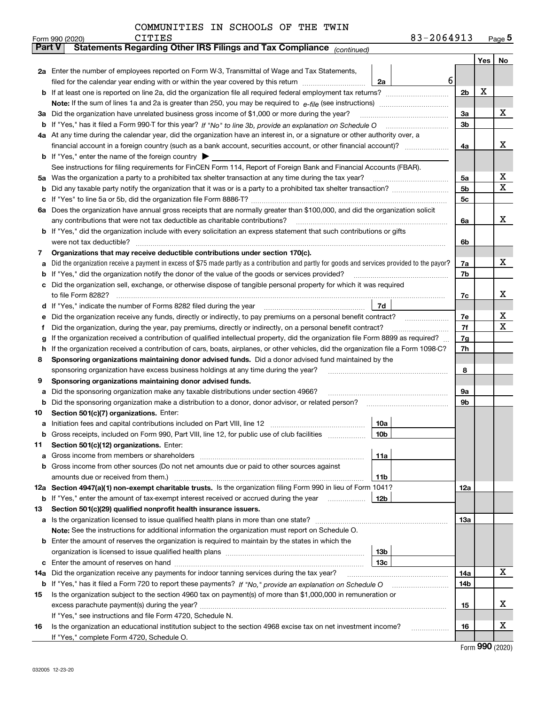|               | Form 990 (2020)                                                                                                      | CITIES                                                                                                                                                                                                                                           |                 | 83-2064913 |                |     | $_{\text{Page}}$ 5 |  |  |
|---------------|----------------------------------------------------------------------------------------------------------------------|--------------------------------------------------------------------------------------------------------------------------------------------------------------------------------------------------------------------------------------------------|-----------------|------------|----------------|-----|--------------------|--|--|
| <b>Part V</b> |                                                                                                                      | Statements Regarding Other IRS Filings and Tax Compliance (continued)                                                                                                                                                                            |                 |            |                |     |                    |  |  |
|               |                                                                                                                      |                                                                                                                                                                                                                                                  |                 |            |                | Yes | No                 |  |  |
|               |                                                                                                                      | 2a Enter the number of employees reported on Form W-3, Transmittal of Wage and Tax Statements,                                                                                                                                                   |                 |            |                |     |                    |  |  |
|               |                                                                                                                      | filed for the calendar year ending with or within the year covered by this return                                                                                                                                                                | 2a              | 6          |                | х   |                    |  |  |
| b             |                                                                                                                      |                                                                                                                                                                                                                                                  |                 |            |                |     |                    |  |  |
|               |                                                                                                                      |                                                                                                                                                                                                                                                  |                 |            |                |     |                    |  |  |
| За            | Did the organization have unrelated business gross income of \$1,000 or more during the year?                        |                                                                                                                                                                                                                                                  |                 |            |                |     |                    |  |  |
| b             |                                                                                                                      |                                                                                                                                                                                                                                                  |                 |            | 3 <sub>b</sub> |     |                    |  |  |
|               |                                                                                                                      | 4a At any time during the calendar year, did the organization have an interest in, or a signature or other authority over, a                                                                                                                     |                 |            |                |     |                    |  |  |
|               |                                                                                                                      |                                                                                                                                                                                                                                                  |                 |            | 4a             |     | x                  |  |  |
|               |                                                                                                                      | <b>b</b> If "Yes," enter the name of the foreign country $\blacktriangleright$                                                                                                                                                                   |                 |            |                |     |                    |  |  |
|               |                                                                                                                      | See instructions for filing requirements for FinCEN Form 114, Report of Foreign Bank and Financial Accounts (FBAR).                                                                                                                              |                 |            |                |     |                    |  |  |
| 5a            |                                                                                                                      | Was the organization a party to a prohibited tax shelter transaction at any time during the tax year?                                                                                                                                            |                 |            | 5a             |     | х                  |  |  |
| b             |                                                                                                                      |                                                                                                                                                                                                                                                  |                 |            | 5 <sub>b</sub> |     | X                  |  |  |
| с             |                                                                                                                      |                                                                                                                                                                                                                                                  |                 |            | 5c             |     |                    |  |  |
|               |                                                                                                                      | 6a Does the organization have annual gross receipts that are normally greater than \$100,000, and did the organization solicit                                                                                                                   |                 |            |                |     |                    |  |  |
|               |                                                                                                                      | any contributions that were not tax deductible as charitable contributions?                                                                                                                                                                      |                 |            | 6a             |     | x                  |  |  |
| b             |                                                                                                                      | If "Yes," did the organization include with every solicitation an express statement that such contributions or gifts                                                                                                                             |                 |            |                |     |                    |  |  |
|               |                                                                                                                      | were not tax deductible?                                                                                                                                                                                                                         |                 |            | 6b             |     |                    |  |  |
| 7             |                                                                                                                      | Organizations that may receive deductible contributions under section 170(c).                                                                                                                                                                    |                 |            |                |     |                    |  |  |
| а             |                                                                                                                      | Did the organization receive a payment in excess of \$75 made partly as a contribution and partly for goods and services provided to the payor?                                                                                                  |                 |            | 7a             |     | x                  |  |  |
| b             |                                                                                                                      | If "Yes," did the organization notify the donor of the value of the goods or services provided?                                                                                                                                                  |                 |            | 7b             |     |                    |  |  |
| c             |                                                                                                                      | Did the organization sell, exchange, or otherwise dispose of tangible personal property for which it was required                                                                                                                                |                 |            | 7c             |     | х                  |  |  |
|               |                                                                                                                      |                                                                                                                                                                                                                                                  |                 |            |                |     |                    |  |  |
|               | 7d<br>d                                                                                                              |                                                                                                                                                                                                                                                  |                 |            |                |     |                    |  |  |
| f             | Did the organization receive any funds, directly or indirectly, to pay premiums on a personal benefit contract?<br>е |                                                                                                                                                                                                                                                  |                 |            |                |     |                    |  |  |
|               |                                                                                                                      | Did the organization, during the year, pay premiums, directly or indirectly, on a personal benefit contract?<br>If the organization received a contribution of qualified intellectual property, did the organization file Form 8899 as required? |                 |            | 7f<br>7g       |     | X                  |  |  |
| g<br>h        |                                                                                                                      | If the organization received a contribution of cars, boats, airplanes, or other vehicles, did the organization file a Form 1098-C?                                                                                                               |                 |            | 7h             |     |                    |  |  |
| 8             |                                                                                                                      | Sponsoring organizations maintaining donor advised funds. Did a donor advised fund maintained by the                                                                                                                                             |                 |            |                |     |                    |  |  |
|               |                                                                                                                      | sponsoring organization have excess business holdings at any time during the year?                                                                                                                                                               |                 |            | 8              |     |                    |  |  |
| 9             |                                                                                                                      | Sponsoring organizations maintaining donor advised funds.                                                                                                                                                                                        |                 |            |                |     |                    |  |  |
| а             |                                                                                                                      | Did the sponsoring organization make any taxable distributions under section 4966?                                                                                                                                                               |                 |            | 9а             |     |                    |  |  |
| b             |                                                                                                                      | Did the sponsoring organization make a distribution to a donor, donor advisor, or related person?                                                                                                                                                |                 |            | 9b             |     |                    |  |  |
| 10            |                                                                                                                      | Section 501(c)(7) organizations. Enter:                                                                                                                                                                                                          |                 |            |                |     |                    |  |  |
| а             |                                                                                                                      |                                                                                                                                                                                                                                                  | 10a             |            |                |     |                    |  |  |
|               |                                                                                                                      | Gross receipts, included on Form 990, Part VIII, line 12, for public use of club facilities                                                                                                                                                      | 10b             |            |                |     |                    |  |  |
| 11            |                                                                                                                      | Section 501(c)(12) organizations. Enter:                                                                                                                                                                                                         |                 |            |                |     |                    |  |  |
| a             |                                                                                                                      | Gross income from members or shareholders                                                                                                                                                                                                        | 11a             |            |                |     |                    |  |  |
| b             |                                                                                                                      | Gross income from other sources (Do not net amounts due or paid to other sources against                                                                                                                                                         |                 |            |                |     |                    |  |  |
|               |                                                                                                                      | amounts due or received from them.)                                                                                                                                                                                                              | 11 <sub>b</sub> |            |                |     |                    |  |  |
|               |                                                                                                                      | 12a Section 4947(a)(1) non-exempt charitable trusts. Is the organization filing Form 990 in lieu of Form 1041?                                                                                                                                   |                 |            | <b>12a</b>     |     |                    |  |  |
|               |                                                                                                                      | <b>b</b> If "Yes," enter the amount of tax-exempt interest received or accrued during the year <i>manument</i> of                                                                                                                                | 12b             |            |                |     |                    |  |  |
| 13            |                                                                                                                      | Section 501(c)(29) qualified nonprofit health insurance issuers.                                                                                                                                                                                 |                 |            |                |     |                    |  |  |
| a             |                                                                                                                      | Is the organization licensed to issue qualified health plans in more than one state?                                                                                                                                                             |                 |            | 13a            |     |                    |  |  |
|               |                                                                                                                      | Note: See the instructions for additional information the organization must report on Schedule O.                                                                                                                                                |                 |            |                |     |                    |  |  |
| b             |                                                                                                                      | Enter the amount of reserves the organization is required to maintain by the states in which the                                                                                                                                                 |                 |            |                |     |                    |  |  |
|               |                                                                                                                      |                                                                                                                                                                                                                                                  | 13 <sub>b</sub> |            |                |     |                    |  |  |
| c             |                                                                                                                      |                                                                                                                                                                                                                                                  | 13 <sub>c</sub> |            |                |     |                    |  |  |
| 14a           |                                                                                                                      | Did the organization receive any payments for indoor tanning services during the tax year?                                                                                                                                                       |                 |            | 14a            |     | X                  |  |  |
|               |                                                                                                                      | <b>b</b> If "Yes," has it filed a Form 720 to report these payments? If "No," provide an explanation on Schedule O                                                                                                                               |                 |            | 14b            |     |                    |  |  |
| 15            |                                                                                                                      | Is the organization subject to the section 4960 tax on payment(s) of more than \$1,000,000 in remuneration or                                                                                                                                    |                 |            |                |     |                    |  |  |
|               |                                                                                                                      |                                                                                                                                                                                                                                                  |                 |            | 15             |     | х                  |  |  |
|               |                                                                                                                      | If "Yes," see instructions and file Form 4720, Schedule N.                                                                                                                                                                                       |                 |            |                |     |                    |  |  |
| 16            |                                                                                                                      | Is the organization an educational institution subject to the section 4968 excise tax on net investment income?                                                                                                                                  |                 |            | 16             |     | х                  |  |  |
|               |                                                                                                                      | If "Yes," complete Form 4720, Schedule O.                                                                                                                                                                                                        |                 |            |                |     |                    |  |  |

Form (2020) **990**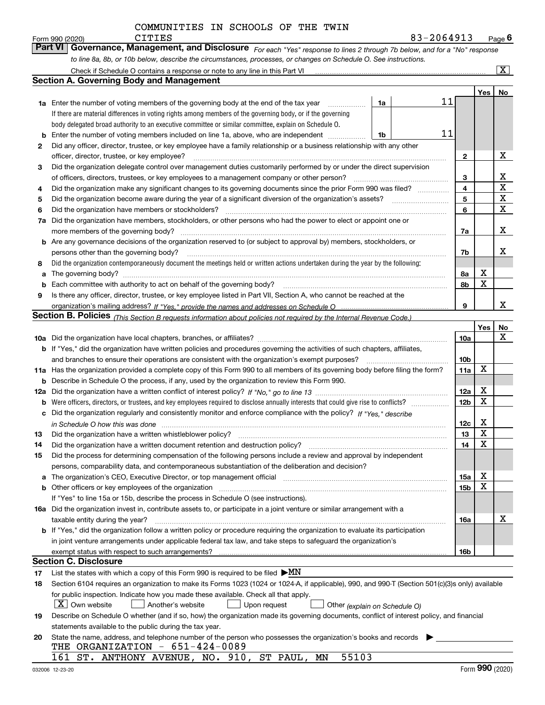*For each "Yes" response to lines 2 through 7b below, and for a "No" response to line 8a, 8b, or 10b below, describe the circumstances, processes, or changes on Schedule O. See instructions.* Form 990 (2020) **CITIES** CITIES<br>**Part VI Governance, Management, and Disclosure** For each "Yes" response to lines 2 through 7b below, and for a "No" response

|     | Check if Schedule O contains a response or note to any line in this Part VI                                                                                           |    |    |                 |     | $\mathbf{x}$ |  |  |  |  |
|-----|-----------------------------------------------------------------------------------------------------------------------------------------------------------------------|----|----|-----------------|-----|--------------|--|--|--|--|
|     | Section A. Governing Body and Management                                                                                                                              |    |    |                 |     |              |  |  |  |  |
|     |                                                                                                                                                                       |    |    |                 | Yes | No           |  |  |  |  |
|     | 1a Enter the number of voting members of the governing body at the end of the tax year                                                                                | 1a | 11 |                 |     |              |  |  |  |  |
|     | If there are material differences in voting rights among members of the governing body, or if the governing                                                           |    |    |                 |     |              |  |  |  |  |
|     | body delegated broad authority to an executive committee or similar committee, explain on Schedule O.                                                                 |    |    |                 |     |              |  |  |  |  |
| b   | Enter the number of voting members included on line 1a, above, who are independent                                                                                    | 1b | 11 |                 |     |              |  |  |  |  |
| 2   | Did any officer, director, trustee, or key employee have a family relationship or a business relationship with any other                                              |    |    |                 |     |              |  |  |  |  |
|     | officer, director, trustee, or key employee?                                                                                                                          |    |    | 2               |     | х            |  |  |  |  |
| 3   | Did the organization delegate control over management duties customarily performed by or under the direct supervision                                                 |    |    |                 |     |              |  |  |  |  |
|     | of officers, directors, trustees, or key employees to a management company or other person?                                                                           |    |    |                 |     |              |  |  |  |  |
|     | Did the organization make any significant changes to its governing documents since the prior Form 990 was filed?<br>4                                                 |    |    |                 |     |              |  |  |  |  |
| 5   |                                                                                                                                                                       |    |    | 5               |     | X            |  |  |  |  |
| 6   | Did the organization have members or stockholders?                                                                                                                    |    |    | 6               |     | X            |  |  |  |  |
| 7a  | Did the organization have members, stockholders, or other persons who had the power to elect or appoint one or                                                        |    |    |                 |     |              |  |  |  |  |
|     | more members of the governing body?                                                                                                                                   |    |    | 7a              |     | х            |  |  |  |  |
|     | <b>b</b> Are any governance decisions of the organization reserved to (or subject to approval by) members, stockholders, or                                           |    |    |                 |     |              |  |  |  |  |
|     | persons other than the governing body?                                                                                                                                |    |    | 7b              |     | x            |  |  |  |  |
| 8   | Did the organization contemporaneously document the meetings held or written actions undertaken during the year by the following:                                     |    |    |                 |     |              |  |  |  |  |
| a   |                                                                                                                                                                       |    |    | 8а              | x   |              |  |  |  |  |
| b   | Each committee with authority to act on behalf of the governing body?                                                                                                 |    |    | 8b              | X   |              |  |  |  |  |
| 9   | Is there any officer, director, trustee, or key employee listed in Part VII, Section A, who cannot be reached at the                                                  |    |    |                 |     |              |  |  |  |  |
|     |                                                                                                                                                                       |    |    | 9               |     | x            |  |  |  |  |
|     | Section B. Policies <sub>(This Section B requests information about policies not required by the Internal Revenue Code.)</sub>                                        |    |    |                 |     |              |  |  |  |  |
|     |                                                                                                                                                                       |    |    |                 | Yes | No           |  |  |  |  |
|     |                                                                                                                                                                       |    |    | 10a             |     | x            |  |  |  |  |
|     | <b>b</b> If "Yes," did the organization have written policies and procedures governing the activities of such chapters, affiliates,                                   |    |    |                 |     |              |  |  |  |  |
|     | and branches to ensure their operations are consistent with the organization's exempt purposes?                                                                       |    |    |                 |     |              |  |  |  |  |
|     | 11a Has the organization provided a complete copy of this Form 990 to all members of its governing body before filing the form?                                       |    |    |                 |     |              |  |  |  |  |
| b   | Describe in Schedule O the process, if any, used by the organization to review this Form 990.                                                                         |    |    |                 |     |              |  |  |  |  |
| 12a |                                                                                                                                                                       |    |    | 12a             | X   |              |  |  |  |  |
| b   |                                                                                                                                                                       |    |    | 12 <sub>b</sub> | X   |              |  |  |  |  |
| с   | Did the organization regularly and consistently monitor and enforce compliance with the policy? If "Yes." describe                                                    |    |    |                 |     |              |  |  |  |  |
|     | in Schedule O how this was done measured and contained a state of the state of the state of the state of the s                                                        |    |    | 12c             | х   |              |  |  |  |  |
| 13  | Did the organization have a written whistleblower policy?                                                                                                             |    |    | 13              | X   |              |  |  |  |  |
| 14  | Did the organization have a written document retention and destruction policy?                                                                                        |    |    | 14              | X   |              |  |  |  |  |
| 15  | Did the process for determining compensation of the following persons include a review and approval by independent                                                    |    |    |                 |     |              |  |  |  |  |
|     | persons, comparability data, and contemporaneous substantiation of the deliberation and decision?                                                                     |    |    |                 |     |              |  |  |  |  |
| a   | The organization's CEO, Executive Director, or top management official manufactured content of the organization's CEO, Executive Director, or top management official |    |    | 15a             | Χ   |              |  |  |  |  |
|     |                                                                                                                                                                       |    |    | 15b             | X   |              |  |  |  |  |
|     | If "Yes" to line 15a or 15b, describe the process in Schedule O (see instructions).                                                                                   |    |    |                 |     |              |  |  |  |  |
|     | 16a Did the organization invest in, contribute assets to, or participate in a joint venture or similar arrangement with a                                             |    |    |                 |     |              |  |  |  |  |
|     | taxable entity during the year?                                                                                                                                       |    |    | 16a             |     | х            |  |  |  |  |
|     | b If "Yes," did the organization follow a written policy or procedure requiring the organization to evaluate its participation                                        |    |    |                 |     |              |  |  |  |  |
|     | in joint venture arrangements under applicable federal tax law, and take steps to safequard the organization's                                                        |    |    |                 |     |              |  |  |  |  |
|     | exempt status with respect to such arrangements?                                                                                                                      |    |    | 16b             |     |              |  |  |  |  |
|     | <b>Section C. Disclosure</b>                                                                                                                                          |    |    |                 |     |              |  |  |  |  |
| 17  | List the states with which a copy of this Form 990 is required to be filed $\triangleright$ MN                                                                        |    |    |                 |     |              |  |  |  |  |
| 18  | Section 6104 requires an organization to make its Forms 1023 (1024 or 1024-A, if applicable), 990, and 990-T (Section 501(c)(3)s only) available                      |    |    |                 |     |              |  |  |  |  |
|     | for public inspection. Indicate how you made these available. Check all that apply.                                                                                   |    |    |                 |     |              |  |  |  |  |
|     | $X$ Own website<br>Another's website<br>Upon request<br>Other (explain on Schedule O)                                                                                 |    |    |                 |     |              |  |  |  |  |
| 19  | Describe on Schedule O whether (and if so, how) the organization made its governing documents, conflict of interest policy, and financial                             |    |    |                 |     |              |  |  |  |  |
|     | statements available to the public during the tax year.                                                                                                               |    |    |                 |     |              |  |  |  |  |
| 20  | State the name, address, and telephone number of the person who possesses the organization's books and records                                                        |    |    |                 |     |              |  |  |  |  |
|     | THE ORGANIZATION $-$ 651-424-0089                                                                                                                                     |    |    |                 |     |              |  |  |  |  |
|     | 161 ST. ANTHONY AVENUE, NO. 910, ST PAUL, MN<br>55103                                                                                                                 |    |    |                 |     |              |  |  |  |  |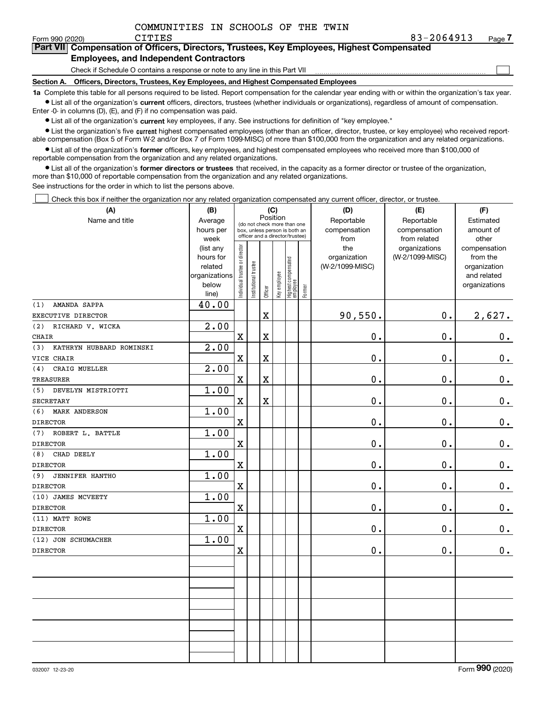$\mathcal{L}^{\text{max}}$ 

| orm 990 (2020) <sup>.</sup> | CITIES                                        | 83-2064913                                                                                 | Page <i>I</i> |
|-----------------------------|-----------------------------------------------|--------------------------------------------------------------------------------------------|---------------|
|                             |                                               | Part VII Compensation of Officers, Directors, Trustees, Key Employees, Highest Compensated |               |
|                             | <b>Employees, and Independent Contractors</b> |                                                                                            |               |

Check if Schedule O contains a response or note to any line in this Part VII

**Section A. Officers, Directors, Trustees, Key Employees, and Highest Compensated Employees**

**1a**  Complete this table for all persons required to be listed. Report compensation for the calendar year ending with or within the organization's tax year. **•** List all of the organization's current officers, directors, trustees (whether individuals or organizations), regardless of amount of compensation.

Enter -0- in columns (D), (E), and (F) if no compensation was paid.

 $\bullet$  List all of the organization's  $\,$ current key employees, if any. See instructions for definition of "key employee."

**•** List the organization's five current highest compensated employees (other than an officer, director, trustee, or key employee) who received reportable compensation (Box 5 of Form W-2 and/or Box 7 of Form 1099-MISC) of more than \$100,000 from the organization and any related organizations.

**•** List all of the organization's former officers, key employees, and highest compensated employees who received more than \$100,000 of reportable compensation from the organization and any related organizations.

**former directors or trustees**  ¥ List all of the organization's that received, in the capacity as a former director or trustee of the organization, more than \$10,000 of reportable compensation from the organization and any related organizations.

See instructions for the order in which to list the persons above.

Check this box if neither the organization nor any related organization compensated any current officer, director, or trustee.  $\mathcal{L}^{\text{max}}$ 

| (A)                             | (B)                    |                                         |                                                                  |                         | (C)          |                                   |        | (D)                             | (E)             | (F)                      |  |  |
|---------------------------------|------------------------|-----------------------------------------|------------------------------------------------------------------|-------------------------|--------------|-----------------------------------|--------|---------------------------------|-----------------|--------------------------|--|--|
| Name and title                  | Average                | Position<br>(do not check more than one |                                                                  |                         |              |                                   |        | Reportable                      | Reportable      | Estimated                |  |  |
|                                 | hours per              |                                         | box, unless person is both an<br>officer and a director/trustee) |                         |              |                                   |        | compensation                    | compensation    | amount of                |  |  |
|                                 | week                   |                                         |                                                                  |                         |              |                                   |        | from                            | from related    | other                    |  |  |
|                                 | (list any<br>hours for |                                         |                                                                  |                         |              |                                   |        | the                             | organizations   | compensation<br>from the |  |  |
|                                 | related                |                                         |                                                                  |                         |              |                                   |        | organization<br>(W-2/1099-MISC) | (W-2/1099-MISC) | organization             |  |  |
|                                 | organizations          |                                         |                                                                  |                         |              |                                   |        |                                 |                 | and related              |  |  |
|                                 | below                  |                                         |                                                                  |                         |              |                                   |        |                                 |                 | organizations            |  |  |
|                                 | line)                  | Individual trustee or director          | Institutional trustee                                            | Officer                 | Key employee | Highest compensated<br>  employee | Former |                                 |                 |                          |  |  |
| AMANDA SAPPA<br>(1)             | 40.00                  |                                         |                                                                  |                         |              |                                   |        |                                 |                 |                          |  |  |
| EXECUTIVE DIRECTOR              |                        |                                         |                                                                  | $\mathbf x$             |              |                                   |        | 90,550.                         | 0.              | 2,627.                   |  |  |
| RICHARD V. WICKA<br>(2)         | 2.00                   |                                         |                                                                  |                         |              |                                   |        |                                 |                 |                          |  |  |
| <b>CHAIR</b>                    |                        | $\mathbf X$                             |                                                                  | $\mathbf X$             |              |                                   |        | 0.                              | $\mathbf 0$ .   | $\mathbf 0$ .            |  |  |
| KATHRYN HUBBARD ROMINSKI<br>(3) | 2.00                   |                                         |                                                                  |                         |              |                                   |        |                                 |                 |                          |  |  |
| VICE CHAIR                      |                        | $\mathbf X$                             |                                                                  | $\mathbf X$             |              |                                   |        | 0.                              | $\mathbf 0$ .   | $0_{.}$                  |  |  |
| CRAIG MUELLER<br>(4)            | 2.00                   |                                         |                                                                  |                         |              |                                   |        |                                 |                 |                          |  |  |
| <b>TREASURER</b>                |                        | $\mathbf X$                             |                                                                  | $\overline{\textbf{X}}$ |              |                                   |        | 0.                              | 0.              | $\mathbf 0$ .            |  |  |
| (5) DEVELYN MISTRIOTTI          | 1.00                   |                                         |                                                                  |                         |              |                                   |        |                                 |                 |                          |  |  |
| SECRETARY                       |                        | $\mathbf X$                             |                                                                  | $\mathbf x$             |              |                                   |        | $0$ .                           | 0.              | 0.                       |  |  |
| (6)<br>MARK ANDERSON            | 1.00                   |                                         |                                                                  |                         |              |                                   |        |                                 |                 |                          |  |  |
| <b>DIRECTOR</b>                 |                        | $\mathbf x$                             |                                                                  |                         |              |                                   |        | 0.                              | 0.              | $\mathbf 0$ .            |  |  |
| ROBERT L. BATTLE<br>(7)         | 1.00                   |                                         |                                                                  |                         |              |                                   |        |                                 |                 |                          |  |  |
| <b>DIRECTOR</b>                 |                        | $\mathbf x$                             |                                                                  |                         |              |                                   |        | 0.                              | $\mathbf 0$ .   | $\mathbf 0$ .            |  |  |
| CHAD DEELY<br>(8)               | 1.00                   |                                         |                                                                  |                         |              |                                   |        |                                 |                 |                          |  |  |
| <b>DIRECTOR</b>                 |                        | $\mathbf x$                             |                                                                  |                         |              |                                   |        | 0.                              | 0.              | $\mathbf 0$ .            |  |  |
| (9)<br><b>JENNIFER HANTHO</b>   | 1.00                   |                                         |                                                                  |                         |              |                                   |        |                                 |                 |                          |  |  |
| <b>DIRECTOR</b>                 |                        | $\mathbf x$                             |                                                                  |                         |              |                                   |        | 0.                              | 0.              | $\mathbf 0$ .            |  |  |
| (10) JAMES MCVEETY              | 1.00                   |                                         |                                                                  |                         |              |                                   |        |                                 |                 |                          |  |  |
| <b>DIRECTOR</b>                 |                        | $\mathbf X$                             |                                                                  |                         |              |                                   |        | $0$ .                           | $\mathbf 0$ .   | $\mathbf 0$ .            |  |  |
| (11) MATT ROWE                  | 1.00                   |                                         |                                                                  |                         |              |                                   |        |                                 |                 |                          |  |  |
| <b>DIRECTOR</b>                 |                        | $\mathbf x$                             |                                                                  |                         |              |                                   |        | 0.                              | $\mathbf 0$ .   | $\mathbf 0$ .            |  |  |
| (12) JON SCHUMACHER             | 1.00                   |                                         |                                                                  |                         |              |                                   |        |                                 |                 |                          |  |  |
| <b>DIRECTOR</b>                 |                        | $\mathbf x$                             |                                                                  |                         |              |                                   |        | 0.                              | $\mathbf 0$ .   | 0.                       |  |  |
|                                 |                        |                                         |                                                                  |                         |              |                                   |        |                                 |                 |                          |  |  |
|                                 |                        |                                         |                                                                  |                         |              |                                   |        |                                 |                 |                          |  |  |
|                                 |                        |                                         |                                                                  |                         |              |                                   |        |                                 |                 |                          |  |  |
|                                 |                        |                                         |                                                                  |                         |              |                                   |        |                                 |                 |                          |  |  |
|                                 |                        |                                         |                                                                  |                         |              |                                   |        |                                 |                 |                          |  |  |
|                                 |                        |                                         |                                                                  |                         |              |                                   |        |                                 |                 |                          |  |  |
|                                 |                        |                                         |                                                                  |                         |              |                                   |        |                                 |                 |                          |  |  |
|                                 |                        |                                         |                                                                  |                         |              |                                   |        |                                 |                 |                          |  |  |
|                                 |                        |                                         |                                                                  |                         |              |                                   |        |                                 |                 |                          |  |  |
|                                 |                        |                                         |                                                                  |                         |              |                                   |        |                                 |                 |                          |  |  |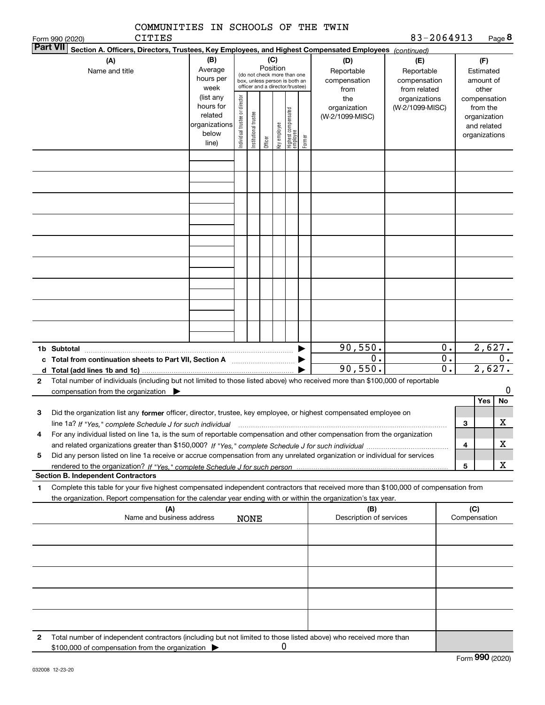| COMMUNITIES IN SCHOOLS OF THE TWIN                                                                                                                                                                                                                                                                       |                                                                      |                                |                       |          |              |                                                                                                 |        |                                                | 83-2064913                                        |                                            |                     |                                                                                   |                           |
|----------------------------------------------------------------------------------------------------------------------------------------------------------------------------------------------------------------------------------------------------------------------------------------------------------|----------------------------------------------------------------------|--------------------------------|-----------------------|----------|--------------|-------------------------------------------------------------------------------------------------|--------|------------------------------------------------|---------------------------------------------------|--------------------------------------------|---------------------|-----------------------------------------------------------------------------------|---------------------------|
| CITIES<br>Form 990 (2020)<br><b>Part VII</b>                                                                                                                                                                                                                                                             |                                                                      |                                |                       |          |              |                                                                                                 |        |                                                |                                                   |                                            |                     |                                                                                   | Page 8                    |
| Section A. Officers, Directors, Trustees, Key Employees, and Highest Compensated Employees (continued)<br>(A)<br>Name and title                                                                                                                                                                          | (B)<br>Average<br>hours per<br>week                                  |                                |                       | Position | (C)          | (do not check more than one<br>box, unless person is both an<br>officer and a director/trustee) |        | (D)<br>Reportable<br>compensation              | (E)<br>Reportable<br>compensation<br>from related |                                            |                     | (F)<br>Estimated<br>amount of                                                     |                           |
|                                                                                                                                                                                                                                                                                                          | (list any<br>hours for<br>related<br>organizations<br>below<br>line) | Individual trustee or director | Institutional trustee | Officer  | Key employee | Highest compensated<br>employee                                                                 | Former | from<br>the<br>organization<br>(W-2/1099-MISC) | organizations<br>(W-2/1099-MISC)                  |                                            |                     | other<br>compensation<br>from the<br>organization<br>and related<br>organizations |                           |
|                                                                                                                                                                                                                                                                                                          |                                                                      |                                |                       |          |              |                                                                                                 |        |                                                |                                                   |                                            |                     |                                                                                   |                           |
|                                                                                                                                                                                                                                                                                                          |                                                                      |                                |                       |          |              |                                                                                                 |        |                                                |                                                   |                                            |                     |                                                                                   |                           |
|                                                                                                                                                                                                                                                                                                          |                                                                      |                                |                       |          |              |                                                                                                 |        |                                                |                                                   |                                            |                     |                                                                                   |                           |
|                                                                                                                                                                                                                                                                                                          |                                                                      |                                |                       |          |              |                                                                                                 |        |                                                |                                                   |                                            |                     |                                                                                   |                           |
|                                                                                                                                                                                                                                                                                                          |                                                                      |                                |                       |          |              |                                                                                                 |        |                                                |                                                   |                                            |                     |                                                                                   |                           |
|                                                                                                                                                                                                                                                                                                          |                                                                      |                                |                       |          |              |                                                                                                 |        |                                                |                                                   |                                            |                     |                                                                                   |                           |
| c Total from continuation sheets to Part VII, Section A manufactured and response to Total from example.                                                                                                                                                                                                 |                                                                      |                                |                       |          |              |                                                                                                 |        | 90,550.<br>0.<br>90,550.                       |                                                   | 0.<br>$\overline{0}$ .<br>$\overline{0}$ . |                     |                                                                                   | 2,627.<br>$0$ .<br>2,627. |
| d Total (add lines 1b and 1c)<br>Total number of individuals (including but not limited to those listed above) who received more than \$100,000 of reportable<br>2<br>compensation from the organization $\blacktriangleright$                                                                           |                                                                      |                                |                       |          |              |                                                                                                 |        |                                                |                                                   |                                            |                     |                                                                                   | 0                         |
| Did the organization list any former officer, director, trustee, key employee, or highest compensated employee on<br>з<br>line 1a? If "Yes," complete Schedule J for such individual material content content to the set of the schedule                                                                 |                                                                      |                                |                       |          |              |                                                                                                 |        |                                                |                                                   |                                            | 3                   | Yes                                                                               | No<br>x                   |
| For any individual listed on line 1a, is the sum of reportable compensation and other compensation from the organization<br>4<br>Did any person listed on line 1a receive or accrue compensation from any unrelated organization or individual for services<br>5                                         |                                                                      |                                |                       |          |              |                                                                                                 |        |                                                |                                                   |                                            | 4                   |                                                                                   | х                         |
|                                                                                                                                                                                                                                                                                                          |                                                                      |                                |                       |          |              |                                                                                                 |        |                                                |                                                   |                                            | 5                   |                                                                                   | x                         |
| <b>Section B. Independent Contractors</b><br>Complete this table for your five highest compensated independent contractors that received more than \$100,000 of compensation from<br>1<br>the organization. Report compensation for the calendar year ending with or within the organization's tax year. |                                                                      |                                |                       |          |              |                                                                                                 |        |                                                |                                                   |                                            |                     |                                                                                   |                           |
| (A)<br>Name and business address                                                                                                                                                                                                                                                                         |                                                                      |                                | <b>NONE</b>           |          |              |                                                                                                 |        | (B)<br>Description of services                 |                                                   |                                            | (C)<br>Compensation |                                                                                   |                           |
|                                                                                                                                                                                                                                                                                                          |                                                                      |                                |                       |          |              |                                                                                                 |        |                                                |                                                   |                                            |                     |                                                                                   |                           |
|                                                                                                                                                                                                                                                                                                          |                                                                      |                                |                       |          |              |                                                                                                 |        |                                                |                                                   |                                            |                     |                                                                                   |                           |
|                                                                                                                                                                                                                                                                                                          |                                                                      |                                |                       |          |              |                                                                                                 |        |                                                |                                                   |                                            |                     |                                                                                   |                           |
| 2<br>Total number of independent contractors (including but not limited to those listed above) who received more than                                                                                                                                                                                    |                                                                      |                                |                       |          |              |                                                                                                 |        |                                                |                                                   |                                            |                     |                                                                                   |                           |
| \$100,000 of compensation from the organization                                                                                                                                                                                                                                                          |                                                                      |                                |                       |          | 0            |                                                                                                 |        |                                                |                                                   |                                            |                     |                                                                                   |                           |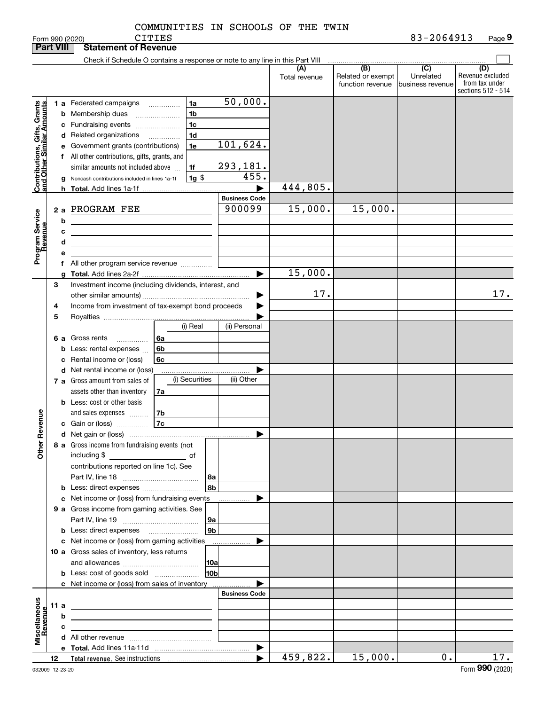| COMMUNITIES IN SCHOOLS OF THE TWIN |  |  |  |
|------------------------------------|--|--|--|
|                                    |  |  |  |

|                                                           | <b>Part VIII</b> |         | <b>Statement of Revenue</b>                                                                                                                                                              |                 |                       |                      |                                              |                                                 |                                                                 |
|-----------------------------------------------------------|------------------|---------|------------------------------------------------------------------------------------------------------------------------------------------------------------------------------------------|-----------------|-----------------------|----------------------|----------------------------------------------|-------------------------------------------------|-----------------------------------------------------------------|
|                                                           |                  |         | Check if Schedule O contains a response or note to any line in this Part VIII                                                                                                            |                 |                       |                      |                                              |                                                 |                                                                 |
|                                                           |                  |         |                                                                                                                                                                                          |                 |                       | (A)<br>Total revenue | (B)<br>Related or exempt<br>function revenue | $\overline{C}$<br>Unrelated<br>business revenue | (D)<br>Revenue excluded<br>from tax under<br>sections 512 - 514 |
|                                                           |                  |         | 1a<br>1 a Federated campaigns<br>1 <sub>b</sub><br><b>b</b> Membership dues<br>1 <sub>c</sub><br>c Fundraising events                                                                    |                 | 50,000.               |                      |                                              |                                                 |                                                                 |
| Contributions, Gifts, Grants<br>and Other Similar Amounts |                  |         | 1 <sub>d</sub><br>d Related organizations<br>.<br>1e<br>e Government grants (contributions)<br>f All other contributions, gifts, grants, and<br>1f<br>similar amounts not included above |                 | 101,624.<br>293,181.  |                      |                                              |                                                 |                                                                 |
|                                                           |                  | g<br>h. | $1g$ \$<br>Noncash contributions included in lines 1a-1f                                                                                                                                 |                 | 455.                  | 444,805.             |                                              |                                                 |                                                                 |
|                                                           |                  |         |                                                                                                                                                                                          |                 | <b>Business Code</b>  |                      |                                              |                                                 |                                                                 |
| Program Service<br>Revenue                                |                  | b       | 2 a PROGRAM FEE                                                                                                                                                                          |                 | 900099                | 15,000.              | 15,000.                                      |                                                 |                                                                 |
|                                                           |                  | с       |                                                                                                                                                                                          |                 |                       |                      |                                              |                                                 |                                                                 |
|                                                           |                  | d       | the contract of the contract of the contract of the contract of the                                                                                                                      |                 |                       |                      |                                              |                                                 |                                                                 |
|                                                           |                  | е       |                                                                                                                                                                                          |                 |                       |                      |                                              |                                                 |                                                                 |
|                                                           |                  |         | f All other program service revenue                                                                                                                                                      |                 |                       |                      |                                              |                                                 |                                                                 |
|                                                           |                  |         |                                                                                                                                                                                          |                 | ▶                     | 15,000.              |                                              |                                                 |                                                                 |
|                                                           | 3                |         | Investment income (including dividends, interest, and                                                                                                                                    |                 |                       | 17.                  |                                              |                                                 | 17.                                                             |
|                                                           | 4                |         | Income from investment of tax-exempt bond proceeds                                                                                                                                       |                 |                       |                      |                                              |                                                 |                                                                 |
|                                                           | 5                |         | (i) Real                                                                                                                                                                                 |                 | (ii) Personal         |                      |                                              |                                                 |                                                                 |
|                                                           |                  |         |                                                                                                                                                                                          |                 |                       |                      |                                              |                                                 |                                                                 |
|                                                           | 6а               |         | Gross rents<br>6а<br>.                                                                                                                                                                   |                 |                       |                      |                                              |                                                 |                                                                 |
|                                                           |                  | b       | 6b<br>Less: rental expenses<br>6c                                                                                                                                                        |                 |                       |                      |                                              |                                                 |                                                                 |
|                                                           |                  | c       | Rental income or (loss)                                                                                                                                                                  |                 |                       |                      |                                              |                                                 |                                                                 |
|                                                           |                  |         | d Net rental income or (loss)<br>(i) Securities                                                                                                                                          |                 | (ii) Other            |                      |                                              |                                                 |                                                                 |
|                                                           |                  |         | 7 a Gross amount from sales of                                                                                                                                                           |                 |                       |                      |                                              |                                                 |                                                                 |
|                                                           |                  |         | assets other than inventory<br>7a                                                                                                                                                        |                 |                       |                      |                                              |                                                 |                                                                 |
|                                                           |                  |         | <b>b</b> Less: cost or other basis                                                                                                                                                       |                 |                       |                      |                                              |                                                 |                                                                 |
| Revenue                                                   |                  |         | 7b<br>and sales expenses                                                                                                                                                                 |                 |                       |                      |                                              |                                                 |                                                                 |
|                                                           |                  |         | 7c<br>c Gain or (loss)                                                                                                                                                                   |                 |                       |                      |                                              |                                                 |                                                                 |
|                                                           |                  |         |                                                                                                                                                                                          |                 | ▶                     |                      |                                              |                                                 |                                                                 |
| Other                                                     |                  |         | 8 a Gross income from fundraising events (not<br>including \$<br>contributions reported on line 1c). See                                                                                 |                 |                       |                      |                                              |                                                 |                                                                 |
|                                                           |                  |         |                                                                                                                                                                                          | 8a              |                       |                      |                                              |                                                 |                                                                 |
|                                                           |                  |         | <b>b</b> Less: direct expenses                                                                                                                                                           | 8b              |                       |                      |                                              |                                                 |                                                                 |
|                                                           |                  |         | c Net income or (loss) from fundraising events                                                                                                                                           |                 |                       |                      |                                              |                                                 |                                                                 |
|                                                           |                  |         | 9 a Gross income from gaming activities. See                                                                                                                                             |                 |                       |                      |                                              |                                                 |                                                                 |
|                                                           |                  |         |                                                                                                                                                                                          | 9a              |                       |                      |                                              |                                                 |                                                                 |
|                                                           |                  |         | <b>b</b> Less: direct expenses <b>manually</b>                                                                                                                                           | 9 <sub>b</sub>  |                       |                      |                                              |                                                 |                                                                 |
|                                                           |                  |         | c Net income or (loss) from gaming activities                                                                                                                                            |                 | ▶<br>.                |                      |                                              |                                                 |                                                                 |
|                                                           |                  |         | 10 a Gross sales of inventory, less returns                                                                                                                                              |                 |                       |                      |                                              |                                                 |                                                                 |
|                                                           |                  |         |                                                                                                                                                                                          | 10a             |                       |                      |                                              |                                                 |                                                                 |
|                                                           |                  |         | <b>b</b> Less: cost of goods sold                                                                                                                                                        | 10 <sub>b</sub> |                       |                      |                                              |                                                 |                                                                 |
|                                                           |                  |         | c Net income or (loss) from sales of inventory                                                                                                                                           |                 |                       |                      |                                              |                                                 |                                                                 |
|                                                           |                  |         |                                                                                                                                                                                          |                 | <b>Business Code</b>  |                      |                                              |                                                 |                                                                 |
|                                                           | 11 a             |         | the contract of the contract of the contract of the contract of the                                                                                                                      |                 |                       |                      |                                              |                                                 |                                                                 |
|                                                           |                  | b       |                                                                                                                                                                                          |                 |                       |                      |                                              |                                                 |                                                                 |
|                                                           |                  | с       | the contract of the contract of the contract of the contract of the contract of                                                                                                          |                 |                       |                      |                                              |                                                 |                                                                 |
| Miscellaneous<br>Revenue                                  |                  |         |                                                                                                                                                                                          |                 |                       |                      |                                              |                                                 |                                                                 |
|                                                           |                  |         |                                                                                                                                                                                          |                 | $\blacktriangleright$ |                      |                                              |                                                 |                                                                 |
|                                                           | 12               |         |                                                                                                                                                                                          |                 |                       | 459,822.             | 15,000.                                      | 0.1                                             | 17.                                                             |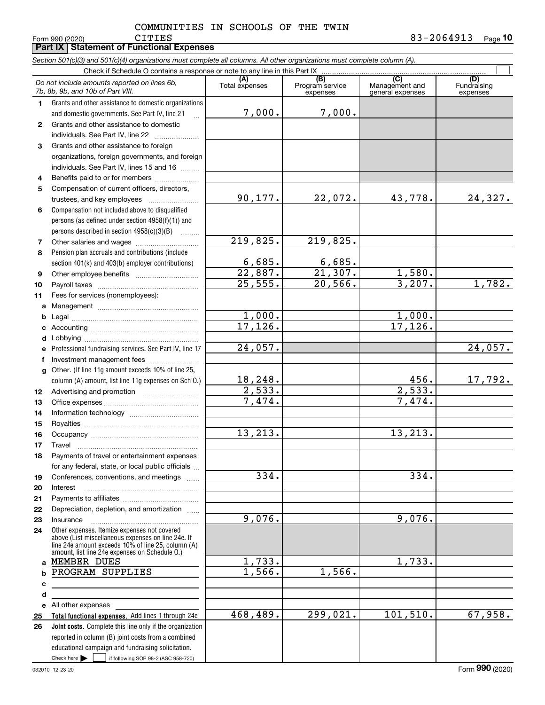**Part IX Statement of Functional Expenses**

|              | Section 501(c)(3) and 501(c)(4) organizations must complete all columns. All other organizations must complete column (A).                                                                                 |                       |                                    |                                           |                                |
|--------------|------------------------------------------------------------------------------------------------------------------------------------------------------------------------------------------------------------|-----------------------|------------------------------------|-------------------------------------------|--------------------------------|
|              | Check if Schedule O contains a response or note to any line in this Part IX.                                                                                                                               |                       |                                    |                                           |                                |
|              | Do not include amounts reported on lines 6b,<br>7b, 8b, 9b, and 10b of Part VIII.                                                                                                                          | (A)<br>Total expenses | (B)<br>Program service<br>expenses | (C)<br>Management and<br>general expenses | (D)<br>Fundraising<br>expenses |
| 1.           | Grants and other assistance to domestic organizations                                                                                                                                                      |                       |                                    |                                           |                                |
|              | and domestic governments. See Part IV, line 21                                                                                                                                                             | 7,000.                | 7,000.                             |                                           |                                |
| $\mathbf{2}$ | Grants and other assistance to domestic                                                                                                                                                                    |                       |                                    |                                           |                                |
|              | individuals. See Part IV, line 22                                                                                                                                                                          |                       |                                    |                                           |                                |
| 3            | Grants and other assistance to foreign                                                                                                                                                                     |                       |                                    |                                           |                                |
|              | organizations, foreign governments, and foreign                                                                                                                                                            |                       |                                    |                                           |                                |
|              | individuals. See Part IV, lines 15 and 16                                                                                                                                                                  |                       |                                    |                                           |                                |
| 4            | Benefits paid to or for members                                                                                                                                                                            |                       |                                    |                                           |                                |
| 5            | Compensation of current officers, directors,                                                                                                                                                               |                       |                                    |                                           |                                |
|              | trustees, and key employees                                                                                                                                                                                | 90, 177.              | 22,072.                            | 43,778.                                   | 24,327.                        |
| 6            | Compensation not included above to disqualified                                                                                                                                                            |                       |                                    |                                           |                                |
|              | persons (as defined under section 4958(f)(1)) and                                                                                                                                                          |                       |                                    |                                           |                                |
|              | persons described in section 4958(c)(3)(B)                                                                                                                                                                 |                       |                                    |                                           |                                |
| 7            |                                                                                                                                                                                                            | 219,825.              | 219,825.                           |                                           |                                |
| 8            | Pension plan accruals and contributions (include                                                                                                                                                           |                       |                                    |                                           |                                |
|              | section 401(k) and 403(b) employer contributions)                                                                                                                                                          | 6,685.                | 6,685.                             |                                           |                                |
| 9            |                                                                                                                                                                                                            | 22,887.               | $\overline{21,307}$ .              | 1,580.                                    |                                |
| 10           |                                                                                                                                                                                                            | 25,555.               | 20,566.                            | 3,207.                                    | 1,782.                         |
| 11           | Fees for services (nonemployees):                                                                                                                                                                          |                       |                                    |                                           |                                |
| а            |                                                                                                                                                                                                            |                       |                                    |                                           |                                |
| b            |                                                                                                                                                                                                            | 1,000.                |                                    |                                           |                                |
| c            |                                                                                                                                                                                                            | 17, 126.              |                                    | $\frac{1,000}{17,126}$                    |                                |
| d            |                                                                                                                                                                                                            |                       |                                    |                                           |                                |
|              | Professional fundraising services. See Part IV, line 17                                                                                                                                                    | 24,057.               |                                    |                                           | 24,057.                        |
|              | Investment management fees                                                                                                                                                                                 |                       |                                    |                                           |                                |
| g            | Other. (If line 11g amount exceeds 10% of line 25,                                                                                                                                                         |                       |                                    |                                           |                                |
|              | column (A) amount, list line 11g expenses on Sch O.)                                                                                                                                                       | 18,248.               |                                    | 456.                                      | 17,792.                        |
| 12           |                                                                                                                                                                                                            | 2,533.                |                                    | $\overline{2,533.}$                       |                                |
| 13           |                                                                                                                                                                                                            | 7,474.                |                                    | 7,474.                                    |                                |
| 14           |                                                                                                                                                                                                            |                       |                                    |                                           |                                |
| 15           |                                                                                                                                                                                                            |                       |                                    |                                           |                                |
| 16           |                                                                                                                                                                                                            | 13, 213.              |                                    | 13, 213.                                  |                                |
| 17           |                                                                                                                                                                                                            |                       |                                    |                                           |                                |
| 18           | Payments of travel or entertainment expenses                                                                                                                                                               |                       |                                    |                                           |                                |
|              | for any federal, state, or local public officials                                                                                                                                                          |                       |                                    |                                           |                                |
| 19           | Conferences, conventions, and meetings                                                                                                                                                                     | 334.                  |                                    | 334.                                      |                                |
| 20           | Interest                                                                                                                                                                                                   |                       |                                    |                                           |                                |
| 21           |                                                                                                                                                                                                            |                       |                                    |                                           |                                |
| 22           | Depreciation, depletion, and amortization                                                                                                                                                                  |                       |                                    |                                           |                                |
| 23           | Insurance                                                                                                                                                                                                  | 9,076.                |                                    | 9,076.                                    |                                |
| 24           | Other expenses. Itemize expenses not covered<br>above (List miscellaneous expenses on line 24e. If<br>line 24e amount exceeds 10% of line 25, column (A)<br>amount, list line 24e expenses on Schedule O.) |                       |                                    |                                           |                                |
| a            | MEMBER DUES                                                                                                                                                                                                | 1,733.                |                                    | 1,733.                                    |                                |
|              | PROGRAM SUPPLIES                                                                                                                                                                                           | 1,566.                | 1,566.                             |                                           |                                |
| c            |                                                                                                                                                                                                            |                       |                                    |                                           |                                |
| d            |                                                                                                                                                                                                            |                       |                                    |                                           |                                |
|              | e All other expenses                                                                                                                                                                                       |                       |                                    |                                           |                                |
| 25           | Total functional expenses. Add lines 1 through 24e                                                                                                                                                         | 468,489.              | 299,021.                           | 101, 510.                                 | 67,958.                        |
| 26           | Joint costs. Complete this line only if the organization                                                                                                                                                   |                       |                                    |                                           |                                |
|              | reported in column (B) joint costs from a combined                                                                                                                                                         |                       |                                    |                                           |                                |
|              | educational campaign and fundraising solicitation.                                                                                                                                                         |                       |                                    |                                           |                                |

 $Check here$ 

Check here  $\begin{array}{|c|c|c|c|c|}\hline \text{ } & \text{ if following SOP 98-2 (ASC 958-720)} \hline \end{array}$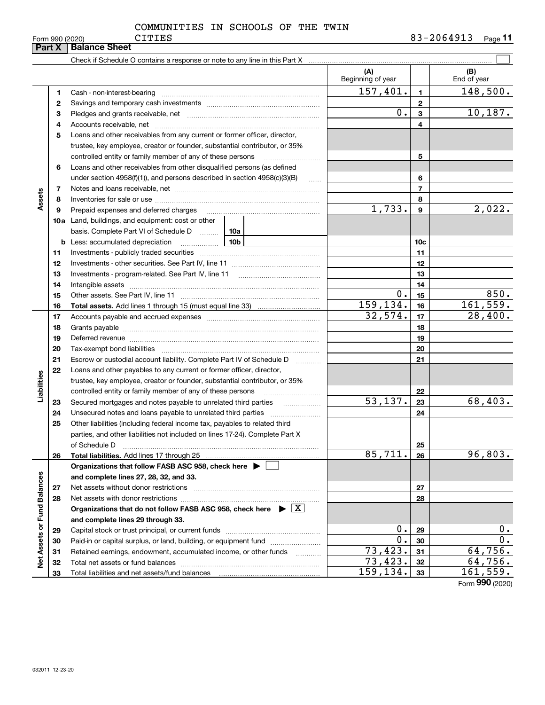032011 12-23-20

| COMMUNITIES IN SCHOOLS OF THE TWIN |  |  |  |
|------------------------------------|--|--|--|
|                                    |  |  |  |

|                             | Part X   | <b>Balance Sheet</b>                                                                                                                                                                                                           |                          |                 |                    |
|-----------------------------|----------|--------------------------------------------------------------------------------------------------------------------------------------------------------------------------------------------------------------------------------|--------------------------|-----------------|--------------------|
|                             |          |                                                                                                                                                                                                                                |                          |                 |                    |
|                             |          |                                                                                                                                                                                                                                | (A)<br>Beginning of year |                 | (B)<br>End of year |
|                             | 1        |                                                                                                                                                                                                                                | 157,401.                 | 1               | 148,500.           |
|                             | 2        |                                                                                                                                                                                                                                |                          | $\mathbf{2}$    |                    |
|                             | з        |                                                                                                                                                                                                                                | 0.                       | 3               | 10,187.            |
|                             | 4        |                                                                                                                                                                                                                                |                          | 4               |                    |
|                             | 5        | Loans and other receivables from any current or former officer, director,                                                                                                                                                      |                          |                 |                    |
|                             |          | trustee, key employee, creator or founder, substantial contributor, or 35%                                                                                                                                                     |                          |                 |                    |
|                             |          | controlled entity or family member of any of these persons                                                                                                                                                                     |                          | 5               |                    |
|                             | 6        | Loans and other receivables from other disqualified persons (as defined                                                                                                                                                        |                          |                 |                    |
|                             |          | under section $4958(f)(1)$ , and persons described in section $4958(c)(3)(B)$                                                                                                                                                  | 1.1.1.1                  | 6               |                    |
|                             | 7        |                                                                                                                                                                                                                                |                          | $\overline{7}$  |                    |
| Assets                      | 8        |                                                                                                                                                                                                                                |                          | 8               |                    |
|                             | 9        | Prepaid expenses and deferred charges                                                                                                                                                                                          | 1,733.                   | 9               | 2,022.             |
|                             |          | <b>10a</b> Land, buildings, and equipment: cost or other                                                                                                                                                                       |                          |                 |                    |
|                             |          | basis. Complete Part VI of Schedule D    10a                                                                                                                                                                                   |                          |                 |                    |
|                             |          | 10b<br><b>b</b> Less: accumulated depreciation                                                                                                                                                                                 |                          | 10 <sub>c</sub> |                    |
|                             | 11       |                                                                                                                                                                                                                                |                          | 11              |                    |
|                             | 12       |                                                                                                                                                                                                                                |                          | 12              |                    |
|                             | 13       |                                                                                                                                                                                                                                |                          | 13              |                    |
|                             | 14       |                                                                                                                                                                                                                                |                          | 14              |                    |
|                             | 15       |                                                                                                                                                                                                                                | $0$ .                    | 15              | 850.               |
|                             | 16       |                                                                                                                                                                                                                                | 159, 134.                | 16              | 161,559.           |
|                             | 17       |                                                                                                                                                                                                                                | 32,574.                  | 17              | 28,400.            |
|                             | 18       |                                                                                                                                                                                                                                |                          | 18              |                    |
|                             | 19       | Deferred revenue manual contracts and contracts are contracted and contract and contract are contracted and contract are contracted and contract are contracted and contract are contracted and contract are contracted and co |                          | 19              |                    |
|                             | 20       |                                                                                                                                                                                                                                |                          | 20              |                    |
|                             | 21       | Escrow or custodial account liability. Complete Part IV of Schedule D                                                                                                                                                          |                          | 21              |                    |
|                             | 22       | Loans and other payables to any current or former officer, director,                                                                                                                                                           |                          |                 |                    |
|                             |          | trustee, key employee, creator or founder, substantial contributor, or 35%                                                                                                                                                     |                          |                 |                    |
| Liabilities                 |          | controlled entity or family member of any of these persons                                                                                                                                                                     |                          | 22              |                    |
|                             | 23       |                                                                                                                                                                                                                                | 53, 137.                 | 23              | 68,403.            |
|                             | 24       |                                                                                                                                                                                                                                |                          | 24              |                    |
|                             | 25       | Other liabilities (including federal income tax, payables to related third                                                                                                                                                     |                          |                 |                    |
|                             |          | parties, and other liabilities not included on lines 17-24). Complete Part X                                                                                                                                                   |                          |                 |                    |
|                             |          | of Schedule D                                                                                                                                                                                                                  | 85,711.                  | 25              | 96,803.            |
|                             | 26       | Total liabilities. Add lines 17 through 25                                                                                                                                                                                     |                          | 26              |                    |
|                             |          | Organizations that follow FASB ASC 958, check here $\blacktriangleright$                                                                                                                                                       |                          |                 |                    |
|                             |          | and complete lines 27, 28, 32, and 33.                                                                                                                                                                                         |                          |                 |                    |
|                             | 27       |                                                                                                                                                                                                                                |                          | 27              |                    |
|                             | 28       |                                                                                                                                                                                                                                |                          | 28              |                    |
|                             |          | Organizations that do not follow FASB ASC 958, check here $\blacktriangleright \boxed{X}$                                                                                                                                      |                          |                 |                    |
|                             |          | and complete lines 29 through 33.                                                                                                                                                                                              | $0$ .                    |                 | 0.                 |
|                             | 29       | Paid-in or capital surplus, or land, building, or equipment fund                                                                                                                                                               | 0.                       | 29<br>30        | 0.                 |
|                             | 30       |                                                                                                                                                                                                                                | 73,423.                  | 31              | 64,756.            |
| Net Assets or Fund Balances | 31<br>32 | Retained earnings, endowment, accumulated income, or other funds<br>$\overline{\phantom{a}}$                                                                                                                                   | 73,423.                  | 32              | 64,756.            |
|                             | 33       |                                                                                                                                                                                                                                | 159,134.                 | 33              | 161,559.           |
|                             |          |                                                                                                                                                                                                                                |                          |                 |                    |

Form (2020) **990**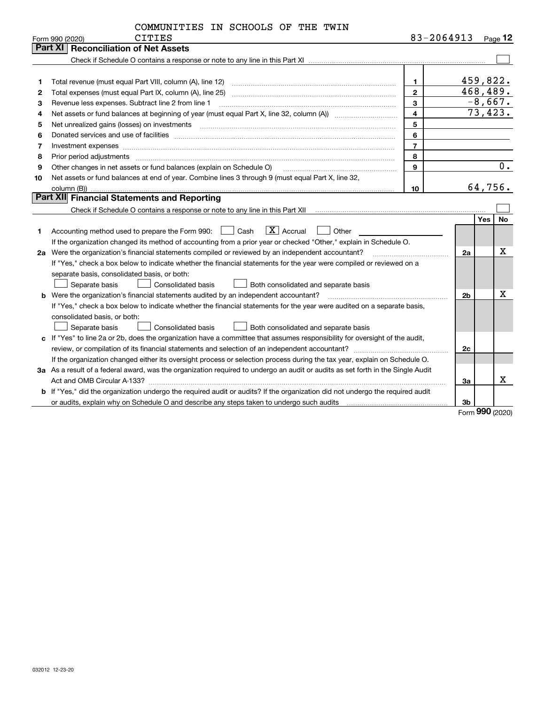| COMMUNITIES IN SCHOOLS OF THE TWIN |  |  |  |
|------------------------------------|--|--|--|
|                                    |  |  |  |

|    | CITIES<br>Form 990 (2020)                                                                                                            | 83-2064913              |                |           | Page 12 |
|----|--------------------------------------------------------------------------------------------------------------------------------------|-------------------------|----------------|-----------|---------|
|    | <b>Part XI   Reconciliation of Net Assets</b>                                                                                        |                         |                |           |         |
|    |                                                                                                                                      |                         |                |           |         |
|    |                                                                                                                                      |                         |                |           |         |
| 1  |                                                                                                                                      | 1                       | 459,822.       |           |         |
| 2  | Total expenses (must equal Part IX, column (A), line 25)                                                                             | $\overline{2}$          | 468,489.       |           |         |
| 3  | Revenue less expenses. Subtract line 2 from line 1                                                                                   | 3                       |                | $-8,667.$ |         |
| 4  |                                                                                                                                      | $\overline{\mathbf{4}}$ |                | 73,423.   |         |
| 5  | Net unrealized gains (losses) on investments                                                                                         | 5                       |                |           |         |
| 6  |                                                                                                                                      | 6                       |                |           |         |
| 7  |                                                                                                                                      | $\overline{7}$          |                |           |         |
| 8  | Prior period adjustments www.communication.communication.com/news/communication.com/news/communication.com/news/                     | 8                       |                |           |         |
| 9  | Other changes in net assets or fund balances (explain on Schedule O)                                                                 | 9                       |                |           | 0.      |
| 10 | Net assets or fund balances at end of year. Combine lines 3 through 9 (must equal Part X, line 32,                                   |                         |                |           |         |
|    |                                                                                                                                      | 10                      |                | 64,756.   |         |
|    | Part XII Financial Statements and Reporting                                                                                          |                         |                |           |         |
|    |                                                                                                                                      |                         |                |           |         |
|    |                                                                                                                                      |                         |                | Yes       | No.     |
| 1  | $\mathbf{X}$ Accrual<br>Accounting method used to prepare the Form 990: <u>[</u> Cash<br>Other                                       |                         |                |           |         |
|    | If the organization changed its method of accounting from a prior year or checked "Other," explain in Schedule O.                    |                         |                |           |         |
|    | 2a Were the organization's financial statements compiled or reviewed by an independent accountant?                                   |                         | 2a             |           | x       |
|    | If "Yes," check a box below to indicate whether the financial statements for the year were compiled or reviewed on a                 |                         |                |           |         |
|    | separate basis, consolidated basis, or both:                                                                                         |                         |                |           |         |
|    | Both consolidated and separate basis<br>Separate basis<br>Consolidated basis                                                         |                         |                |           |         |
|    | <b>b</b> Were the organization's financial statements audited by an independent accountant?                                          |                         | 2 <sub>b</sub> |           | х       |
|    | If "Yes," check a box below to indicate whether the financial statements for the year were audited on a separate basis,              |                         |                |           |         |
|    | consolidated basis, or both:                                                                                                         |                         |                |           |         |
|    | Consolidated basis<br>Separate basis<br>Both consolidated and separate basis                                                         |                         |                |           |         |
|    | c If "Yes" to line 2a or 2b, does the organization have a committee that assumes responsibility for oversight of the audit,          |                         |                |           |         |
|    |                                                                                                                                      |                         | 2c             |           |         |
|    | If the organization changed either its oversight process or selection process during the tax year, explain on Schedule O.            |                         |                |           |         |
|    | 3a As a result of a federal award, was the organization required to undergo an audit or audits as set forth in the Single Audit      |                         |                |           |         |
|    |                                                                                                                                      |                         | За             |           | x       |
|    | <b>b</b> If "Yes," did the organization undergo the required audit or audits? If the organization did not undergo the required audit |                         |                |           |         |
|    |                                                                                                                                      |                         | 3b             |           |         |

Form (2020) **990**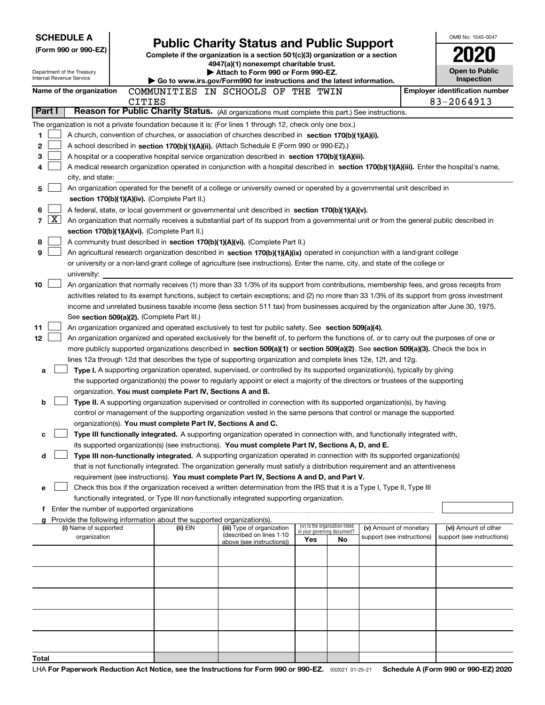| <b>SCHEDULE A</b>                                                                                         |                                                               |                                                                                                                                                                                                                                                                                  |                                 |    |                                                      | OMB No. 1545-0047                                  |
|-----------------------------------------------------------------------------------------------------------|---------------------------------------------------------------|----------------------------------------------------------------------------------------------------------------------------------------------------------------------------------------------------------------------------------------------------------------------------------|---------------------------------|----|------------------------------------------------------|----------------------------------------------------|
| (Form 990 or 990-EZ)                                                                                      |                                                               | <b>Public Charity Status and Public Support</b><br>Complete if the organization is a section 501(c)(3) organization or a section                                                                                                                                                 |                                 |    |                                                      |                                                    |
|                                                                                                           |                                                               | 4947(a)(1) nonexempt charitable trust.                                                                                                                                                                                                                                           |                                 |    |                                                      |                                                    |
| Department of the Treasury<br>Internal Revenue Service                                                    |                                                               | Attach to Form 990 or Form 990-EZ.                                                                                                                                                                                                                                               |                                 |    |                                                      | <b>Open to Public</b><br>Inspection                |
| Name of the organization                                                                                  |                                                               | Go to www.irs.gov/Form990 for instructions and the latest information.<br>COMMUNITIES IN SCHOOLS OF THE TWIN                                                                                                                                                                     |                                 |    |                                                      | <b>Employer identification number</b>              |
|                                                                                                           | CITIES                                                        |                                                                                                                                                                                                                                                                                  |                                 |    |                                                      | 83-2064913                                         |
| Part I                                                                                                    |                                                               | Reason for Public Charity Status. (All organizations must complete this part.) See instructions.                                                                                                                                                                                 |                                 |    |                                                      |                                                    |
| The organization is not a private foundation because it is: (For lines 1 through 12, check only one box.) |                                                               |                                                                                                                                                                                                                                                                                  |                                 |    |                                                      |                                                    |
| 1                                                                                                         |                                                               | A church, convention of churches, or association of churches described in section 170(b)(1)(A)(i).                                                                                                                                                                               |                                 |    |                                                      |                                                    |
| 2                                                                                                         |                                                               | A school described in section 170(b)(1)(A)(ii). (Attach Schedule E (Form 990 or 990-EZ).)                                                                                                                                                                                        |                                 |    |                                                      |                                                    |
| 3                                                                                                         |                                                               | A hospital or a cooperative hospital service organization described in section 170(b)(1)(A)(iii).                                                                                                                                                                                |                                 |    |                                                      |                                                    |
| 4                                                                                                         |                                                               | A medical research organization operated in conjunction with a hospital described in section 170(b)(1)(A)(iii). Enter the hospital's name,                                                                                                                                       |                                 |    |                                                      |                                                    |
| city, and state:                                                                                          |                                                               |                                                                                                                                                                                                                                                                                  |                                 |    |                                                      |                                                    |
| 5                                                                                                         |                                                               | An organization operated for the benefit of a college or university owned or operated by a governmental unit described in                                                                                                                                                        |                                 |    |                                                      |                                                    |
| section 170(b)(1)(A)(iv). (Complete Part II.)                                                             |                                                               |                                                                                                                                                                                                                                                                                  |                                 |    |                                                      |                                                    |
| 6<br>$\mathbf{X}$<br>7                                                                                    |                                                               | A federal, state, or local government or governmental unit described in section 170(b)(1)(A)(v).<br>An organization that normally receives a substantial part of its support from a governmental unit or from the general public described in                                    |                                 |    |                                                      |                                                    |
| section 170(b)(1)(A)(vi). (Complete Part II.)                                                             |                                                               |                                                                                                                                                                                                                                                                                  |                                 |    |                                                      |                                                    |
| 8                                                                                                         |                                                               | A community trust described in section 170(b)(1)(A)(vi). (Complete Part II.)                                                                                                                                                                                                     |                                 |    |                                                      |                                                    |
| 9                                                                                                         |                                                               | An agricultural research organization described in section 170(b)(1)(A)(ix) operated in conjunction with a land-grant college                                                                                                                                                    |                                 |    |                                                      |                                                    |
|                                                                                                           |                                                               | or university or a non-land-grant college of agriculture (see instructions). Enter the name, city, and state of the college or                                                                                                                                                   |                                 |    |                                                      |                                                    |
| university:                                                                                               |                                                               |                                                                                                                                                                                                                                                                                  |                                 |    |                                                      |                                                    |
| 10                                                                                                        |                                                               | An organization that normally receives (1) more than 33 1/3% of its support from contributions, membership fees, and gross receipts from                                                                                                                                         |                                 |    |                                                      |                                                    |
|                                                                                                           |                                                               | activities related to its exempt functions, subject to certain exceptions; and (2) no more than 33 1/3% of its support from gross investment                                                                                                                                     |                                 |    |                                                      |                                                    |
|                                                                                                           |                                                               | income and unrelated business taxable income (less section 511 tax) from businesses acquired by the organization after June 30, 1975.                                                                                                                                            |                                 |    |                                                      |                                                    |
| See section 509(a)(2). (Complete Part III.)                                                               |                                                               |                                                                                                                                                                                                                                                                                  |                                 |    |                                                      |                                                    |
| 11                                                                                                        |                                                               | An organization organized and operated exclusively to test for public safety. See section 509(a)(4).                                                                                                                                                                             |                                 |    |                                                      |                                                    |
| 12                                                                                                        |                                                               | An organization organized and operated exclusively for the benefit of, to perform the functions of, or to carry out the purposes of one or<br>more publicly supported organizations described in section 509(a)(1) or section 509(a)(2). See section 509(a)(3). Check the box in |                                 |    |                                                      |                                                    |
|                                                                                                           |                                                               | lines 12a through 12d that describes the type of supporting organization and complete lines 12e, 12f, and 12g.                                                                                                                                                                   |                                 |    |                                                      |                                                    |
| a                                                                                                         |                                                               | Type I. A supporting organization operated, supervised, or controlled by its supported organization(s), typically by giving                                                                                                                                                      |                                 |    |                                                      |                                                    |
|                                                                                                           |                                                               | the supported organization(s) the power to regularly appoint or elect a majority of the directors or trustees of the supporting                                                                                                                                                  |                                 |    |                                                      |                                                    |
|                                                                                                           | organization. You must complete Part IV, Sections A and B.    |                                                                                                                                                                                                                                                                                  |                                 |    |                                                      |                                                    |
| b                                                                                                         |                                                               | Type II. A supporting organization supervised or controlled in connection with its supported organization(s), by having                                                                                                                                                          |                                 |    |                                                      |                                                    |
|                                                                                                           |                                                               | control or management of the supporting organization vested in the same persons that control or manage the supported                                                                                                                                                             |                                 |    |                                                      |                                                    |
|                                                                                                           | organization(s). You must complete Part IV, Sections A and C. |                                                                                                                                                                                                                                                                                  |                                 |    |                                                      |                                                    |
| с                                                                                                         |                                                               | Type III functionally integrated. A supporting organization operated in connection with, and functionally integrated with,                                                                                                                                                       |                                 |    |                                                      |                                                    |
|                                                                                                           |                                                               | its supported organization(s) (see instructions). You must complete Part IV, Sections A, D, and E.                                                                                                                                                                               |                                 |    |                                                      |                                                    |
| d                                                                                                         |                                                               | Type III non-functionally integrated. A supporting organization operated in connection with its supported organization(s)<br>that is not functionally integrated. The organization generally must satisfy a distribution requirement and an attentiveness                        |                                 |    |                                                      |                                                    |
|                                                                                                           |                                                               | requirement (see instructions). You must complete Part IV, Sections A and D, and Part V.                                                                                                                                                                                         |                                 |    |                                                      |                                                    |
| е                                                                                                         |                                                               | Check this box if the organization received a written determination from the IRS that it is a Type I, Type II, Type III                                                                                                                                                          |                                 |    |                                                      |                                                    |
|                                                                                                           |                                                               | functionally integrated, or Type III non-functionally integrated supporting organization.                                                                                                                                                                                        |                                 |    |                                                      |                                                    |
|                                                                                                           |                                                               |                                                                                                                                                                                                                                                                                  |                                 |    |                                                      |                                                    |
| Provide the following information about the supported organization(s).                                    |                                                               |                                                                                                                                                                                                                                                                                  | (iv) Is the organization listed |    |                                                      |                                                    |
| (i) Name of supported<br>organization                                                                     | (ii) EIN                                                      | (iii) Type of organization<br>(described on lines 1-10                                                                                                                                                                                                                           | in your governing document?     |    | (v) Amount of monetary<br>support (see instructions) | (vi) Amount of other<br>support (see instructions) |
|                                                                                                           |                                                               | above (see instructions))                                                                                                                                                                                                                                                        | Yes                             | No |                                                      |                                                    |
|                                                                                                           |                                                               |                                                                                                                                                                                                                                                                                  |                                 |    |                                                      |                                                    |
|                                                                                                           |                                                               |                                                                                                                                                                                                                                                                                  |                                 |    |                                                      |                                                    |
|                                                                                                           |                                                               |                                                                                                                                                                                                                                                                                  |                                 |    |                                                      |                                                    |
|                                                                                                           |                                                               |                                                                                                                                                                                                                                                                                  |                                 |    |                                                      |                                                    |
|                                                                                                           |                                                               |                                                                                                                                                                                                                                                                                  |                                 |    |                                                      |                                                    |
|                                                                                                           |                                                               |                                                                                                                                                                                                                                                                                  |                                 |    |                                                      |                                                    |
|                                                                                                           |                                                               |                                                                                                                                                                                                                                                                                  |                                 |    |                                                      |                                                    |
|                                                                                                           |                                                               |                                                                                                                                                                                                                                                                                  |                                 |    |                                                      |                                                    |
|                                                                                                           |                                                               |                                                                                                                                                                                                                                                                                  |                                 |    |                                                      |                                                    |
| Total                                                                                                     |                                                               |                                                                                                                                                                                                                                                                                  |                                 |    |                                                      |                                                    |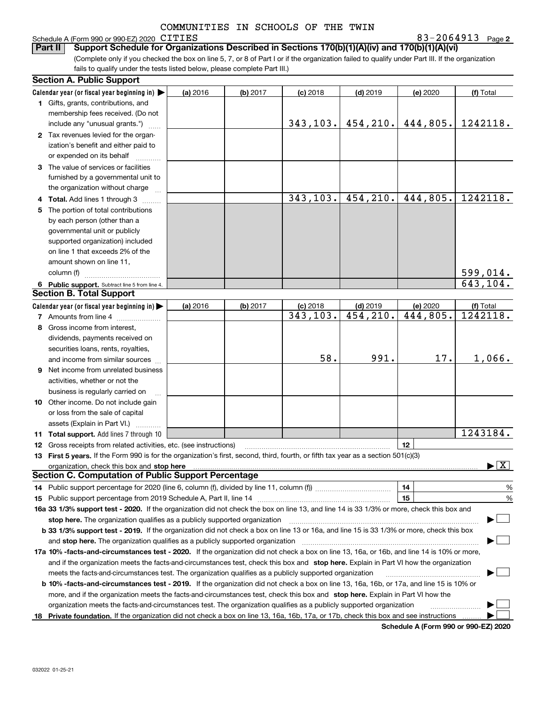# Schedule A (Form 990 or 990-EZ) 2020 CITIES<br>**Part II** Support Schedule for Organiz

**2** CITIES 83-2064913

(Complete only if you checked the box on line 5, 7, or 8 of Part I or if the organization failed to qualify under Part III. If the organization fails to qualify under the tests listed below, please complete Part III.) **Bupport Schedule for Organizations Described in Sections 170(b)(1)(A)(iv) and 170(b)(1)(A)(vi)** 

|    | <b>Section A. Public Support</b>                                                                                                               |          |          |            |            |                         |                                          |
|----|------------------------------------------------------------------------------------------------------------------------------------------------|----------|----------|------------|------------|-------------------------|------------------------------------------|
|    | Calendar year (or fiscal year beginning in)                                                                                                    | (a) 2016 | (b) 2017 | $(c)$ 2018 | $(d)$ 2019 | (e) 2020                | (f) Total                                |
|    | 1 Gifts, grants, contributions, and                                                                                                            |          |          |            |            |                         |                                          |
|    | membership fees received. (Do not                                                                                                              |          |          |            |            |                         |                                          |
|    | include any "unusual grants.")                                                                                                                 |          |          | 343, 103.  | 454, 210.  | 444,805.                | 1242118.                                 |
|    | 2 Tax revenues levied for the organ-                                                                                                           |          |          |            |            |                         |                                          |
|    | ization's benefit and either paid to                                                                                                           |          |          |            |            |                         |                                          |
|    | or expended on its behalf                                                                                                                      |          |          |            |            |                         |                                          |
|    | 3 The value of services or facilities                                                                                                          |          |          |            |            |                         |                                          |
|    | furnished by a governmental unit to                                                                                                            |          |          |            |            |                         |                                          |
|    | the organization without charge                                                                                                                |          |          |            |            |                         |                                          |
|    | 4 Total. Add lines 1 through 3                                                                                                                 |          |          | 343, 103.  | 454,210.   | 444,805.                | 1242118.                                 |
| 5. | The portion of total contributions                                                                                                             |          |          |            |            |                         |                                          |
|    | by each person (other than a                                                                                                                   |          |          |            |            |                         |                                          |
|    | governmental unit or publicly                                                                                                                  |          |          |            |            |                         |                                          |
|    | supported organization) included                                                                                                               |          |          |            |            |                         |                                          |
|    | on line 1 that exceeds 2% of the                                                                                                               |          |          |            |            |                         |                                          |
|    | amount shown on line 11,                                                                                                                       |          |          |            |            |                         |                                          |
|    | column (f)                                                                                                                                     |          |          |            |            |                         | 599,014.                                 |
|    | 6 Public support. Subtract line 5 from line 4.                                                                                                 |          |          |            |            |                         | 643, 104.                                |
|    | <b>Section B. Total Support</b>                                                                                                                |          |          |            |            |                         |                                          |
|    | Calendar year (or fiscal year beginning in) $\blacktriangleright$                                                                              | (a) 2016 | (b) 2017 | $(c)$ 2018 | $(d)$ 2019 | (e) 2020                | (f) Total                                |
|    | 7 Amounts from line 4                                                                                                                          |          |          | 343, 103.  | 454, 210.  | $\overline{444}$ , 805. | 1242118.                                 |
|    | 8 Gross income from interest,                                                                                                                  |          |          |            |            |                         |                                          |
|    | dividends, payments received on                                                                                                                |          |          |            |            |                         |                                          |
|    | securities loans, rents, royalties,                                                                                                            |          |          |            |            |                         |                                          |
|    | and income from similar sources                                                                                                                |          |          | 58.        | 991.       | 17.                     | 1,066.                                   |
|    | <b>9</b> Net income from unrelated business                                                                                                    |          |          |            |            |                         |                                          |
|    | activities, whether or not the                                                                                                                 |          |          |            |            |                         |                                          |
|    | business is regularly carried on                                                                                                               |          |          |            |            |                         |                                          |
|    | 10 Other income. Do not include gain                                                                                                           |          |          |            |            |                         |                                          |
|    | or loss from the sale of capital                                                                                                               |          |          |            |            |                         |                                          |
|    | assets (Explain in Part VI.)                                                                                                                   |          |          |            |            |                         |                                          |
|    | <b>11 Total support.</b> Add lines 7 through 10                                                                                                |          |          |            |            |                         | 1243184.                                 |
|    | <b>12</b> Gross receipts from related activities, etc. (see instructions)                                                                      |          |          |            |            | 12                      |                                          |
|    | 13 First 5 years. If the Form 990 is for the organization's first, second, third, fourth, or fifth tax year as a section 501(c)(3)             |          |          |            |            |                         |                                          |
|    |                                                                                                                                                |          |          |            |            |                         | $\blacktriangleright$ $\boxed{\text{X}}$ |
|    | <b>Section C. Computation of Public Support Percentage</b>                                                                                     |          |          |            |            |                         |                                          |
|    |                                                                                                                                                |          |          |            |            | 14                      | %                                        |
|    |                                                                                                                                                |          |          |            |            | 15                      | $\%$                                     |
|    | 16a 33 1/3% support test - 2020. If the organization did not check the box on line 13, and line 14 is 33 1/3% or more, check this box and      |          |          |            |            |                         |                                          |
|    | stop here. The organization qualifies as a publicly supported organization                                                                     |          |          |            |            |                         |                                          |
|    | b 33 1/3% support test - 2019. If the organization did not check a box on line 13 or 16a, and line 15 is 33 1/3% or more, check this box       |          |          |            |            |                         |                                          |
|    | and stop here. The organization qualifies as a publicly supported organization                                                                 |          |          |            |            |                         |                                          |
|    | 17a 10% -facts-and-circumstances test - 2020. If the organization did not check a box on line 13, 16a, or 16b, and line 14 is 10% or more,     |          |          |            |            |                         |                                          |
|    | and if the organization meets the facts-and-circumstances test, check this box and stop here. Explain in Part VI how the organization          |          |          |            |            |                         |                                          |
|    |                                                                                                                                                |          |          |            |            |                         |                                          |
|    | meets the facts-and-circumstances test. The organization qualifies as a publicly supported organization                                        |          |          |            |            |                         |                                          |
|    | <b>b 10% -facts-and-circumstances test - 2019.</b> If the organization did not check a box on line 13, 16a, 16b, or 17a, and line 15 is 10% or |          |          |            |            |                         |                                          |
|    | more, and if the organization meets the facts-and-circumstances test, check this box and stop here. Explain in Part VI how the                 |          |          |            |            |                         |                                          |
|    | organization meets the facts-and-circumstances test. The organization qualifies as a publicly supported organization                           |          |          |            |            |                         |                                          |
|    | 18 Private foundation. If the organization did not check a box on line 13, 16a, 16b, 17a, or 17b, check this box and see instructions          |          |          |            |            |                         |                                          |

**Schedule A (Form 990 or 990-EZ) 2020**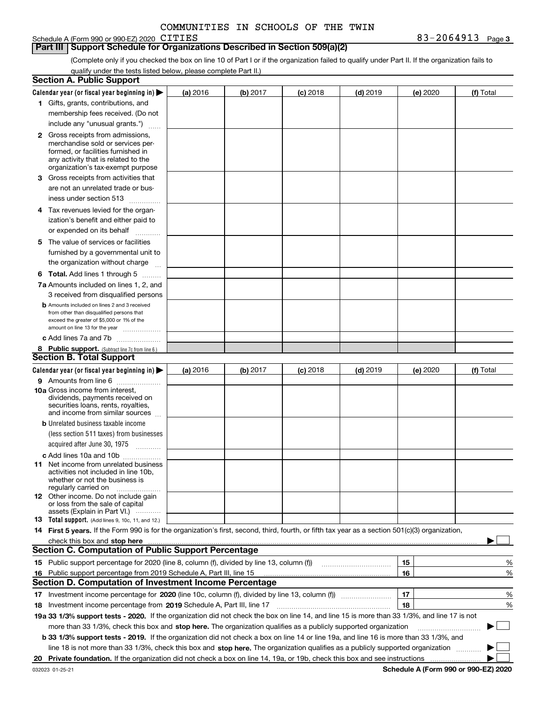#### Schedule A (Form 990 or 990-EZ) 2020 CITIES

#### **Part III Support Schedule for Organizations Described in Section 509(a)(2)**

(Complete only if you checked the box on line 10 of Part I or if the organization failed to qualify under Part II. If the organization fails to qualify under the tests listed below, please complete Part II.)

|    | <b>Section A. Public Support</b>                                                                                                                                                                                                                                         |          |          |            |            |          |           |
|----|--------------------------------------------------------------------------------------------------------------------------------------------------------------------------------------------------------------------------------------------------------------------------|----------|----------|------------|------------|----------|-----------|
|    | Calendar year (or fiscal year beginning in) $\blacktriangleright$                                                                                                                                                                                                        | (a) 2016 | (b) 2017 | $(c)$ 2018 | $(d)$ 2019 | (e) 2020 | (f) Total |
|    | 1 Gifts, grants, contributions, and                                                                                                                                                                                                                                      |          |          |            |            |          |           |
|    | membership fees received. (Do not                                                                                                                                                                                                                                        |          |          |            |            |          |           |
|    | include any "unusual grants.")                                                                                                                                                                                                                                           |          |          |            |            |          |           |
|    | <b>2</b> Gross receipts from admissions,                                                                                                                                                                                                                                 |          |          |            |            |          |           |
|    | merchandise sold or services per-                                                                                                                                                                                                                                        |          |          |            |            |          |           |
|    | formed, or facilities furnished in                                                                                                                                                                                                                                       |          |          |            |            |          |           |
|    | any activity that is related to the<br>organization's tax-exempt purpose                                                                                                                                                                                                 |          |          |            |            |          |           |
|    | 3 Gross receipts from activities that                                                                                                                                                                                                                                    |          |          |            |            |          |           |
|    | are not an unrelated trade or bus-                                                                                                                                                                                                                                       |          |          |            |            |          |           |
|    | iness under section 513                                                                                                                                                                                                                                                  |          |          |            |            |          |           |
|    | 4 Tax revenues levied for the organ-                                                                                                                                                                                                                                     |          |          |            |            |          |           |
|    | ization's benefit and either paid to                                                                                                                                                                                                                                     |          |          |            |            |          |           |
|    | or expended on its behalf<br>.                                                                                                                                                                                                                                           |          |          |            |            |          |           |
|    | 5 The value of services or facilities                                                                                                                                                                                                                                    |          |          |            |            |          |           |
|    | furnished by a governmental unit to                                                                                                                                                                                                                                      |          |          |            |            |          |           |
|    | the organization without charge                                                                                                                                                                                                                                          |          |          |            |            |          |           |
|    | <b>6 Total.</b> Add lines 1 through 5                                                                                                                                                                                                                                    |          |          |            |            |          |           |
|    | 7a Amounts included on lines 1, 2, and                                                                                                                                                                                                                                   |          |          |            |            |          |           |
|    | 3 received from disqualified persons                                                                                                                                                                                                                                     |          |          |            |            |          |           |
|    | <b>b</b> Amounts included on lines 2 and 3 received                                                                                                                                                                                                                      |          |          |            |            |          |           |
|    | from other than disqualified persons that                                                                                                                                                                                                                                |          |          |            |            |          |           |
|    | exceed the greater of \$5,000 or 1% of the<br>amount on line 13 for the year                                                                                                                                                                                             |          |          |            |            |          |           |
|    | c Add lines 7a and 7b                                                                                                                                                                                                                                                    |          |          |            |            |          |           |
|    | 8 Public support. (Subtract line 7c from line 6.)                                                                                                                                                                                                                        |          |          |            |            |          |           |
|    | <b>Section B. Total Support</b>                                                                                                                                                                                                                                          |          |          |            |            |          |           |
|    | Calendar year (or fiscal year beginning in)                                                                                                                                                                                                                              | (a) 2016 | (b) 2017 | $(c)$ 2018 | $(d)$ 2019 | (e) 2020 | (f) Total |
|    | 9 Amounts from line 6                                                                                                                                                                                                                                                    |          |          |            |            |          |           |
|    | <b>10a</b> Gross income from interest,                                                                                                                                                                                                                                   |          |          |            |            |          |           |
|    | dividends, payments received on                                                                                                                                                                                                                                          |          |          |            |            |          |           |
|    | securities loans, rents, royalties,<br>and income from similar sources                                                                                                                                                                                                   |          |          |            |            |          |           |
|    | <b>b</b> Unrelated business taxable income                                                                                                                                                                                                                               |          |          |            |            |          |           |
|    | (less section 511 taxes) from businesses                                                                                                                                                                                                                                 |          |          |            |            |          |           |
|    | acquired after June 30, 1975                                                                                                                                                                                                                                             |          |          |            |            |          |           |
|    | c Add lines 10a and 10b                                                                                                                                                                                                                                                  |          |          |            |            |          |           |
|    | 11 Net income from unrelated business                                                                                                                                                                                                                                    |          |          |            |            |          |           |
|    | activities not included in line 10b,                                                                                                                                                                                                                                     |          |          |            |            |          |           |
|    | whether or not the business is<br>regularly carried on                                                                                                                                                                                                                   |          |          |            |            |          |           |
|    | <b>12</b> Other income. Do not include gain                                                                                                                                                                                                                              |          |          |            |            |          |           |
|    | or loss from the sale of capital                                                                                                                                                                                                                                         |          |          |            |            |          |           |
|    | assets (Explain in Part VI.)<br><b>13</b> Total support. (Add lines 9, 10c, 11, and 12.)                                                                                                                                                                                 |          |          |            |            |          |           |
|    | 14 First 5 years. If the Form 990 is for the organization's first, second, third, fourth, or fifth tax year as a section 501(c)(3) organization,                                                                                                                         |          |          |            |            |          |           |
|    |                                                                                                                                                                                                                                                                          |          |          |            |            |          |           |
|    | check this box and stop here <i>macuum macuum macuum macuum macuum macuum macuum macuum macuum</i><br><b>Section C. Computation of Public Support Percentage</b>                                                                                                         |          |          |            |            |          |           |
|    | 15 Public support percentage for 2020 (line 8, column (f), divided by line 13, column (f))                                                                                                                                                                               |          |          |            |            | 15       | ℀         |
|    | 16 Public support percentage from 2019 Schedule A, Part III, line 15                                                                                                                                                                                                     |          |          |            |            | 16       | %         |
|    | <b>Section D. Computation of Investment Income Percentage</b>                                                                                                                                                                                                            |          |          |            |            |          |           |
|    | Investment income percentage for 2020 (line 10c, column (f), divided by line 13, column (f))                                                                                                                                                                             |          |          |            |            | 17       | %         |
| 17 |                                                                                                                                                                                                                                                                          |          |          |            |            | 18       | %         |
|    | <b>18</b> Investment income percentage from <b>2019</b> Schedule A, Part III, line 17<br>19a 33 1/3% support tests - 2020. If the organization did not check the box on line 14, and line 15 is more than 33 1/3%, and line 17 is not                                    |          |          |            |            |          |           |
|    | more than 33 1/3%, check this box and stop here. The organization qualifies as a publicly supported organization                                                                                                                                                         |          |          |            |            |          |           |
|    |                                                                                                                                                                                                                                                                          |          |          |            |            |          |           |
|    | b 33 1/3% support tests - 2019. If the organization did not check a box on line 14 or line 19a, and line 16 is more than 33 1/3%, and<br>line 18 is not more than 33 1/3%, check this box and stop here. The organization qualifies as a publicly supported organization |          |          |            |            |          |           |
|    |                                                                                                                                                                                                                                                                          |          |          |            |            |          |           |
| 20 |                                                                                                                                                                                                                                                                          |          |          |            |            |          |           |

**Schedule A (Form 990 or 990-EZ) 2020**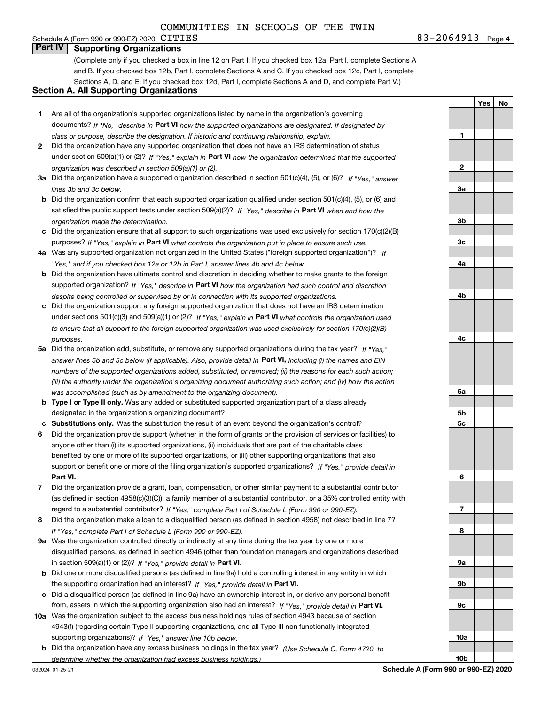#### Schedule A (Form 990 or 990-EZ) 2020  $CITTES$ **Part IV Supporting Organizations**

(Complete only if you checked a box in line 12 on Part I. If you checked box 12a, Part I, complete Sections A and B. If you checked box 12b, Part I, complete Sections A and C. If you checked box 12c, Part I, complete Sections A, D, and E. If you checked box 12d, Part I, complete Sections A and D, and complete Part V.)

#### **Section A. All Supporting Organizations**

- **1** Are all of the organization's supported organizations listed by name in the organization's governing documents? If "No," describe in **Part VI** how the supported organizations are designated. If designated by *class or purpose, describe the designation. If historic and continuing relationship, explain.*
- **2** Did the organization have any supported organization that does not have an IRS determination of status under section 509(a)(1) or (2)? If "Yes," explain in Part VI how the organization determined that the supported *organization was described in section 509(a)(1) or (2).*
- **3a** Did the organization have a supported organization described in section 501(c)(4), (5), or (6)? If "Yes," answer *lines 3b and 3c below.*
- **b** Did the organization confirm that each supported organization qualified under section 501(c)(4), (5), or (6) and satisfied the public support tests under section 509(a)(2)? If "Yes," describe in **Part VI** when and how the *organization made the determination.*
- **c**Did the organization ensure that all support to such organizations was used exclusively for section 170(c)(2)(B) purposes? If "Yes," explain in **Part VI** what controls the organization put in place to ensure such use.
- **4a***If* Was any supported organization not organized in the United States ("foreign supported organization")? *"Yes," and if you checked box 12a or 12b in Part I, answer lines 4b and 4c below.*
- **b** Did the organization have ultimate control and discretion in deciding whether to make grants to the foreign supported organization? If "Yes," describe in **Part VI** how the organization had such control and discretion *despite being controlled or supervised by or in connection with its supported organizations.*
- **c** Did the organization support any foreign supported organization that does not have an IRS determination under sections 501(c)(3) and 509(a)(1) or (2)? If "Yes," explain in **Part VI** what controls the organization used *to ensure that all support to the foreign supported organization was used exclusively for section 170(c)(2)(B) purposes.*
- **5a***If "Yes,"* Did the organization add, substitute, or remove any supported organizations during the tax year? answer lines 5b and 5c below (if applicable). Also, provide detail in **Part VI,** including (i) the names and EIN *numbers of the supported organizations added, substituted, or removed; (ii) the reasons for each such action; (iii) the authority under the organization's organizing document authorizing such action; and (iv) how the action was accomplished (such as by amendment to the organizing document).*
- **b** Type I or Type II only. Was any added or substituted supported organization part of a class already designated in the organization's organizing document?
- **cSubstitutions only.**  Was the substitution the result of an event beyond the organization's control?
- **6** Did the organization provide support (whether in the form of grants or the provision of services or facilities) to **Part VI.** *If "Yes," provide detail in* support or benefit one or more of the filing organization's supported organizations? anyone other than (i) its supported organizations, (ii) individuals that are part of the charitable class benefited by one or more of its supported organizations, or (iii) other supporting organizations that also
- **7**Did the organization provide a grant, loan, compensation, or other similar payment to a substantial contributor *If "Yes," complete Part I of Schedule L (Form 990 or 990-EZ).* regard to a substantial contributor? (as defined in section 4958(c)(3)(C)), a family member of a substantial contributor, or a 35% controlled entity with
- **8** Did the organization make a loan to a disqualified person (as defined in section 4958) not described in line 7? *If "Yes," complete Part I of Schedule L (Form 990 or 990-EZ).*
- **9a** Was the organization controlled directly or indirectly at any time during the tax year by one or more in section 509(a)(1) or (2))? If "Yes," *provide detail in* <code>Part VI.</code> disqualified persons, as defined in section 4946 (other than foundation managers and organizations described
- **b** Did one or more disqualified persons (as defined in line 9a) hold a controlling interest in any entity in which the supporting organization had an interest? If "Yes," provide detail in P**art VI**.
- **c**Did a disqualified person (as defined in line 9a) have an ownership interest in, or derive any personal benefit from, assets in which the supporting organization also had an interest? If "Yes," provide detail in P**art VI.**
- **10a** Was the organization subject to the excess business holdings rules of section 4943 because of section supporting organizations)? If "Yes," answer line 10b below. 4943(f) (regarding certain Type II supporting organizations, and all Type III non-functionally integrated
- **b** Did the organization have any excess business holdings in the tax year? (Use Schedule C, Form 4720, to *determine whether the organization had excess business holdings.)*

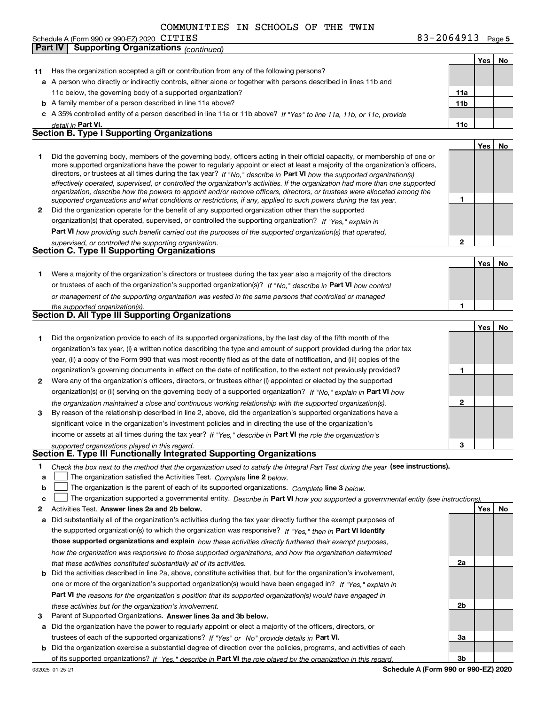|    | Part IV | <b>Supporting Organizations (continued)</b>                                                                                                                                                                                                                                                                                                                                            |     |     |           |
|----|---------|----------------------------------------------------------------------------------------------------------------------------------------------------------------------------------------------------------------------------------------------------------------------------------------------------------------------------------------------------------------------------------------|-----|-----|-----------|
|    |         |                                                                                                                                                                                                                                                                                                                                                                                        |     | Yes | <b>No</b> |
| 11 |         | Has the organization accepted a gift or contribution from any of the following persons?                                                                                                                                                                                                                                                                                                |     |     |           |
|    |         | a A person who directly or indirectly controls, either alone or together with persons described in lines 11b and                                                                                                                                                                                                                                                                       |     |     |           |
|    |         | 11c below, the governing body of a supported organization?                                                                                                                                                                                                                                                                                                                             | 11a |     |           |
|    |         | <b>b</b> A family member of a person described in line 11a above?                                                                                                                                                                                                                                                                                                                      | 11b |     |           |
|    |         | c A 35% controlled entity of a person described in line 11a or 11b above? If "Yes" to line 11a, 11b, or 11c, provide                                                                                                                                                                                                                                                                   |     |     |           |
|    |         | detail in Part VI.                                                                                                                                                                                                                                                                                                                                                                     | 11c |     |           |
|    |         | <b>Section B. Type I Supporting Organizations</b>                                                                                                                                                                                                                                                                                                                                      |     |     |           |
|    |         |                                                                                                                                                                                                                                                                                                                                                                                        |     | Yes | No        |
|    |         | Did the governing body, members of the governing body, officers acting in their official capacity, or membership of one or<br>more supported organizations have the power to regularly appoint or elect at least a majority of the organization's officers,<br>directors, or trustees at all times during the tax year? If "No," describe in Part VI how the supported organization(s) |     |     |           |

|   | directors, or tradices at all times during the tax years 11 TVO, DESCRIDE 111 <b>Car C T</b> HOW the Supported Organization(s) |
|---|--------------------------------------------------------------------------------------------------------------------------------|
|   | effectively operated, supervised, or controlled the organization's activities. If the organization had more than one supported |
|   | organization, describe how the powers to appoint and/or remove officers, directors, or trustees were allocated among the       |
|   | supported organizations and what conditions or restrictions, if any, applied to such powers during the tax year.               |
| 2 | Did the organization operate for the benefit of any supported organization other than the supported                            |
|   | organization(s) that operated, supervised, or controlled the supporting organization? If "Yes," explain in                     |
|   | <b>Part VI</b> how providing such benefit carried out the purposes of the supported organization(s) that operated              |

**Part VI**  *how providing such benefit carried out the purposes of the supported organization(s) that operated,*

| supervised, or controlled the supporting organization. |  |
|--------------------------------------------------------|--|
| <b>Section C. Type II Supporting Organizations</b>     |  |

**Yes No 1**or trustees of each of the organization's supported organization(s)? If "No," describe in **Part VI** how control **1***or management of the supporting organization was vested in the same persons that controlled or managed the supported organization(s).* Were a majority of the organization's directors or trustees during the tax year also a majority of the directors

| Section D. All Type III Supporting Organizations |  |
|--------------------------------------------------|--|
|                                                  |  |

Schedule A (Form 990 or 990-EZ) 2020 CITIES

|                |                                                                                                                        |   | Yes | No. |
|----------------|------------------------------------------------------------------------------------------------------------------------|---|-----|-----|
|                | Did the organization provide to each of its supported organizations, by the last day of the fifth month of the         |   |     |     |
|                | organization's tax year, (i) a written notice describing the type and amount of support provided during the prior tax  |   |     |     |
|                | year, (ii) a copy of the Form 990 that was most recently filed as of the date of notification, and (iii) copies of the |   |     |     |
|                | organization's governing documents in effect on the date of notification, to the extent not previously provided?       |   |     |     |
| $\overline{2}$ | Were any of the organization's officers, directors, or trustees either (i) appointed or elected by the supported       |   |     |     |
|                | organization(s) or (ii) serving on the governing body of a supported organization? If "No." explain in Part VI how     |   |     |     |
|                | the organization maintained a close and continuous working relationship with the supported organization(s).            | 2 |     |     |
| 3              | By reason of the relationship described in line 2, above, did the organization's supported organizations have a        |   |     |     |
|                | significant voice in the organization's investment policies and in directing the use of the organization's             |   |     |     |
|                | income or assets at all times during the tax year? If "Yes," describe in Part VI the role the organization's           |   |     |     |
|                | supported organizations played in this regard.                                                                         | 3 |     |     |

## *supported organizations played in this regard.* **Section E. Type III Functionally Integrated Supporting Organizations**

- **1**Check the box next to the method that the organization used to satisfy the Integral Part Test during the year (see instructions).
- **alinupy** The organization satisfied the Activities Test. Complete line 2 below.
- **b**The organization is the parent of each of its supported organizations. *Complete* line 3 *below.*  $\mathcal{L}^{\text{max}}$

|  |  |  | c <u>L</u> The organization supported a governmental entity. Describe in Part VI how you supported a governmental entity (see instructions) |  |
|--|--|--|---------------------------------------------------------------------------------------------------------------------------------------------|--|
|--|--|--|---------------------------------------------------------------------------------------------------------------------------------------------|--|

- **2Answer lines 2a and 2b below. Yes No** Activities Test.
- **a** Did substantially all of the organization's activities during the tax year directly further the exempt purposes of the supported organization(s) to which the organization was responsive? If "Yes," then in **Part VI identify those supported organizations and explain**  *how these activities directly furthered their exempt purposes, how the organization was responsive to those supported organizations, and how the organization determined that these activities constituted substantially all of its activities.*
- **b** Did the activities described in line 2a, above, constitute activities that, but for the organization's involvement, **Part VI**  *the reasons for the organization's position that its supported organization(s) would have engaged in* one or more of the organization's supported organization(s) would have been engaged in? If "Yes," e*xplain in these activities but for the organization's involvement.*
- **3**Parent of Supported Organizations. Answer lines 3a and 3b below.
- **a** Did the organization have the power to regularly appoint or elect a majority of the officers, directors, or trustees of each of the supported organizations? If "Yes" or "No" provide details in **Part VI.**
- **b** Did the organization exercise a substantial degree of direction over the policies, programs, and activities of each of its supported organizations? If "Yes," describe in Part VI the role played by the organization in this regard.

**2a**

**2b**

**3a**

**3b**

**1**

**2**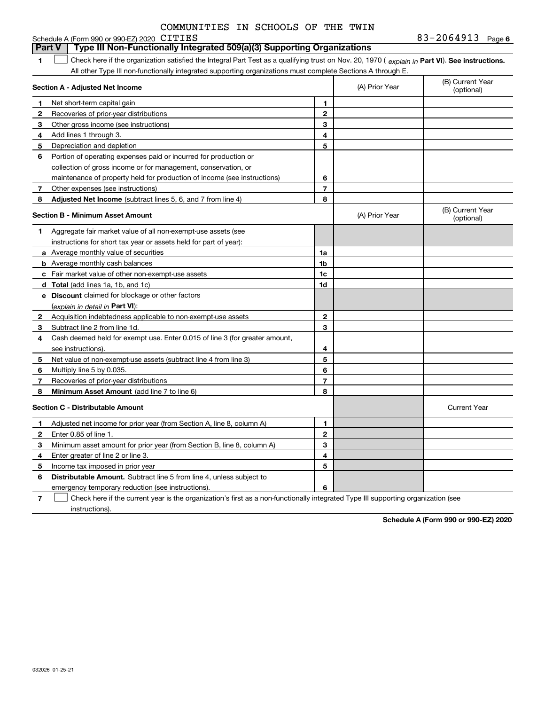|  | COMMUNITIES IN SCHOOLS OF THE TWIN |  |  |  |  |  |
|--|------------------------------------|--|--|--|--|--|
|--|------------------------------------|--|--|--|--|--|

|              | Schedule A (Form 990 or 990-EZ) 2020 CITIES                                                                                                    |                |                | 83-2064913 Page 6              |
|--------------|------------------------------------------------------------------------------------------------------------------------------------------------|----------------|----------------|--------------------------------|
|              | Type III Non-Functionally Integrated 509(a)(3) Supporting Organizations<br><b>Part V</b>                                                       |                |                |                                |
| 1            | Check here if the organization satisfied the Integral Part Test as a qualifying trust on Nov. 20, 1970 (explain in Part VI). See instructions. |                |                |                                |
|              | All other Type III non-functionally integrated supporting organizations must complete Sections A through E.                                    |                |                |                                |
|              | Section A - Adjusted Net Income                                                                                                                |                | (A) Prior Year | (B) Current Year<br>(optional) |
| 1            | Net short-term capital gain                                                                                                                    | 1              |                |                                |
| 2            | Recoveries of prior-year distributions                                                                                                         | $\mathbf{2}$   |                |                                |
| З            | Other gross income (see instructions)                                                                                                          | 3              |                |                                |
| 4            | Add lines 1 through 3.                                                                                                                         | 4              |                |                                |
| 5            | Depreciation and depletion                                                                                                                     | 5              |                |                                |
| 6            | Portion of operating expenses paid or incurred for production or                                                                               |                |                |                                |
|              | collection of gross income or for management, conservation, or                                                                                 |                |                |                                |
|              | maintenance of property held for production of income (see instructions)                                                                       | 6              |                |                                |
| 7            | Other expenses (see instructions)                                                                                                              | $\overline{7}$ |                |                                |
| 8            | <b>Adjusted Net Income</b> (subtract lines 5, 6, and 7 from line 4)                                                                            | 8              |                |                                |
|              | Section B - Minimum Asset Amount                                                                                                               |                | (A) Prior Year | (B) Current Year<br>(optional) |
| 1.           | Aggregate fair market value of all non-exempt-use assets (see                                                                                  |                |                |                                |
|              | instructions for short tax year or assets held for part of year):                                                                              |                |                |                                |
|              | a Average monthly value of securities                                                                                                          | 1a             |                |                                |
|              | <b>b</b> Average monthly cash balances                                                                                                         | 1b             |                |                                |
|              | c Fair market value of other non-exempt-use assets                                                                                             | 1c             |                |                                |
|              | <b>d</b> Total (add lines 1a, 1b, and 1c)                                                                                                      | 1d             |                |                                |
|              | <b>e</b> Discount claimed for blockage or other factors                                                                                        |                |                |                                |
|              | (explain in detail in Part VI):                                                                                                                |                |                |                                |
| 2            | Acquisition indebtedness applicable to non-exempt-use assets                                                                                   | $\mathbf{2}$   |                |                                |
| 3            | Subtract line 2 from line 1d.                                                                                                                  | 3              |                |                                |
| 4            | Cash deemed held for exempt use. Enter 0.015 of line 3 (for greater amount,                                                                    |                |                |                                |
|              | see instructions).                                                                                                                             | 4              |                |                                |
| 5            | Net value of non-exempt-use assets (subtract line 4 from line 3)                                                                               | 5              |                |                                |
| 6            | Multiply line 5 by 0.035.                                                                                                                      | 6              |                |                                |
| 7            | Recoveries of prior-year distributions                                                                                                         | $\overline{7}$ |                |                                |
| 8            | Minimum Asset Amount (add line 7 to line 6)                                                                                                    | 8              |                |                                |
|              | <b>Section C - Distributable Amount</b>                                                                                                        |                |                | <b>Current Year</b>            |
| 1            | Adjusted net income for prior year (from Section A, line 8, column A)                                                                          | 1              |                |                                |
| $\mathbf{2}$ | Enter 0.85 of line 1.                                                                                                                          | $\mathbf{2}$   |                |                                |
| 3            | Minimum asset amount for prior year (from Section B, line 8, column A)                                                                         | 3              |                |                                |
| 4            | Enter greater of line 2 or line 3.                                                                                                             | 4              |                |                                |
| 5            | Income tax imposed in prior year                                                                                                               | 5              |                |                                |
| 6            | <b>Distributable Amount.</b> Subtract line 5 from line 4, unless subject to                                                                    |                |                |                                |
|              | emergency temporary reduction (see instructions).                                                                                              | 6              |                |                                |

**7** Check here if the current year is the organization's first as a non-functionally integrated Type III supporting organization (see instructions).

**Schedule A (Form 990 or 990-EZ) 2020**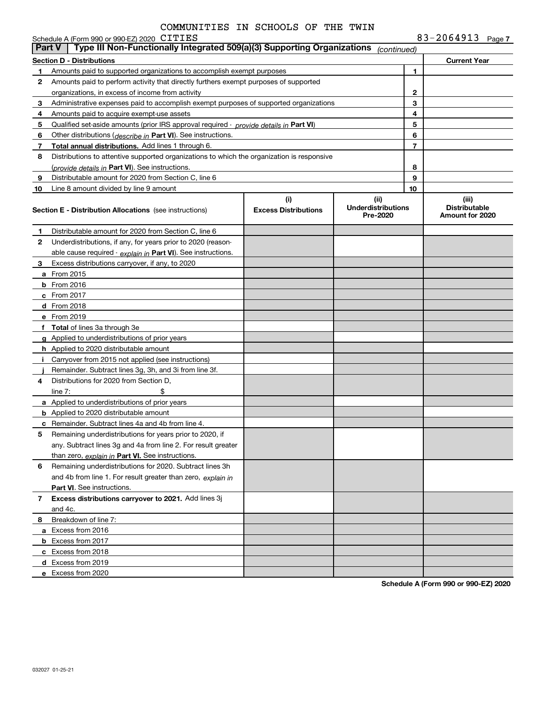| 83-2064913 Page 7<br>Schedule A (Form 990 or 990-EZ) 2020 CITIES<br>Type III Non-Functionally Integrated 509(a)(3) Supporting Organizations |                                                                                               |                                    |                                               |              |                                                  |
|---------------------------------------------------------------------------------------------------------------------------------------------|-----------------------------------------------------------------------------------------------|------------------------------------|-----------------------------------------------|--------------|--------------------------------------------------|
|                                                                                                                                             | <b>Part V</b>                                                                                 |                                    | (continued)                                   |              |                                                  |
|                                                                                                                                             | <b>Section D - Distributions</b>                                                              |                                    |                                               |              | <b>Current Year</b>                              |
| 1                                                                                                                                           | Amounts paid to supported organizations to accomplish exempt purposes                         |                                    |                                               | 1            |                                                  |
| 2                                                                                                                                           | Amounts paid to perform activity that directly furthers exempt purposes of supported          |                                    |                                               |              |                                                  |
|                                                                                                                                             | organizations, in excess of income from activity                                              |                                    |                                               | $\mathbf{2}$ |                                                  |
| 3                                                                                                                                           | Administrative expenses paid to accomplish exempt purposes of supported organizations         |                                    |                                               | 3            |                                                  |
| 4                                                                                                                                           | Amounts paid to acquire exempt-use assets                                                     |                                    |                                               | 4            |                                                  |
| 5                                                                                                                                           | Qualified set-aside amounts (prior IRS approval required - <i>provide details in</i> Part VI) |                                    |                                               | 5            |                                                  |
| 6                                                                                                                                           | Other distributions (describe in Part VI). See instructions.                                  |                                    |                                               | 6            |                                                  |
| 7                                                                                                                                           | Total annual distributions. Add lines 1 through 6.                                            |                                    |                                               | 7            |                                                  |
| 8                                                                                                                                           | Distributions to attentive supported organizations to which the organization is responsive    |                                    |                                               |              |                                                  |
|                                                                                                                                             | (provide details in Part VI). See instructions.                                               |                                    |                                               | 8            |                                                  |
| 9                                                                                                                                           | Distributable amount for 2020 from Section C, line 6                                          |                                    |                                               | 9            |                                                  |
| 10                                                                                                                                          | Line 8 amount divided by line 9 amount                                                        |                                    |                                               | 10           |                                                  |
|                                                                                                                                             | <b>Section E - Distribution Allocations</b> (see instructions)                                | (i)<br><b>Excess Distributions</b> | (ii)<br><b>Underdistributions</b><br>Pre-2020 |              | (iii)<br><b>Distributable</b><br>Amount for 2020 |
| 1                                                                                                                                           | Distributable amount for 2020 from Section C, line 6                                          |                                    |                                               |              |                                                  |
| 2                                                                                                                                           | Underdistributions, if any, for years prior to 2020 (reason-                                  |                                    |                                               |              |                                                  |
|                                                                                                                                             | able cause required - explain in Part VI). See instructions.                                  |                                    |                                               |              |                                                  |
| 3                                                                                                                                           | Excess distributions carryover, if any, to 2020                                               |                                    |                                               |              |                                                  |
|                                                                                                                                             | a From 2015                                                                                   |                                    |                                               |              |                                                  |
|                                                                                                                                             | <b>b</b> From 2016                                                                            |                                    |                                               |              |                                                  |
|                                                                                                                                             | c From 2017                                                                                   |                                    |                                               |              |                                                  |
|                                                                                                                                             | d From 2018                                                                                   |                                    |                                               |              |                                                  |
|                                                                                                                                             | e From 2019                                                                                   |                                    |                                               |              |                                                  |
|                                                                                                                                             | f Total of lines 3a through 3e                                                                |                                    |                                               |              |                                                  |
|                                                                                                                                             | g Applied to underdistributions of prior years                                                |                                    |                                               |              |                                                  |
|                                                                                                                                             | <b>h</b> Applied to 2020 distributable amount                                                 |                                    |                                               |              |                                                  |
| Ť.                                                                                                                                          | Carryover from 2015 not applied (see instructions)                                            |                                    |                                               |              |                                                  |
|                                                                                                                                             | Remainder. Subtract lines 3g, 3h, and 3i from line 3f.                                        |                                    |                                               |              |                                                  |
| 4                                                                                                                                           | Distributions for 2020 from Section D,                                                        |                                    |                                               |              |                                                  |
|                                                                                                                                             | line $7:$                                                                                     |                                    |                                               |              |                                                  |
|                                                                                                                                             | a Applied to underdistributions of prior years                                                |                                    |                                               |              |                                                  |
|                                                                                                                                             | <b>b</b> Applied to 2020 distributable amount                                                 |                                    |                                               |              |                                                  |
|                                                                                                                                             | <b>c</b> Remainder. Subtract lines 4a and 4b from line 4.                                     |                                    |                                               |              |                                                  |
|                                                                                                                                             | 5 Remaining underdistributions for years prior to 2020, if                                    |                                    |                                               |              |                                                  |
|                                                                                                                                             | any. Subtract lines 3g and 4a from line 2. For result greater                                 |                                    |                                               |              |                                                  |
|                                                                                                                                             | than zero, explain in Part VI. See instructions.                                              |                                    |                                               |              |                                                  |
| 6                                                                                                                                           | Remaining underdistributions for 2020. Subtract lines 3h                                      |                                    |                                               |              |                                                  |
|                                                                                                                                             | and 4b from line 1. For result greater than zero, explain in                                  |                                    |                                               |              |                                                  |
|                                                                                                                                             | <b>Part VI.</b> See instructions.                                                             |                                    |                                               |              |                                                  |
| 7                                                                                                                                           | Excess distributions carryover to 2021. Add lines 3j<br>and 4c.                               |                                    |                                               |              |                                                  |
| 8                                                                                                                                           | Breakdown of line 7:                                                                          |                                    |                                               |              |                                                  |
|                                                                                                                                             | a Excess from 2016                                                                            |                                    |                                               |              |                                                  |
|                                                                                                                                             | <b>b</b> Excess from 2017                                                                     |                                    |                                               |              |                                                  |
|                                                                                                                                             | c Excess from 2018                                                                            |                                    |                                               |              |                                                  |
|                                                                                                                                             | d Excess from 2019                                                                            |                                    |                                               |              |                                                  |
|                                                                                                                                             | e Excess from 2020                                                                            |                                    |                                               |              |                                                  |
|                                                                                                                                             |                                                                                               |                                    |                                               |              |                                                  |

**Schedule A (Form 990 or 990-EZ) 2020**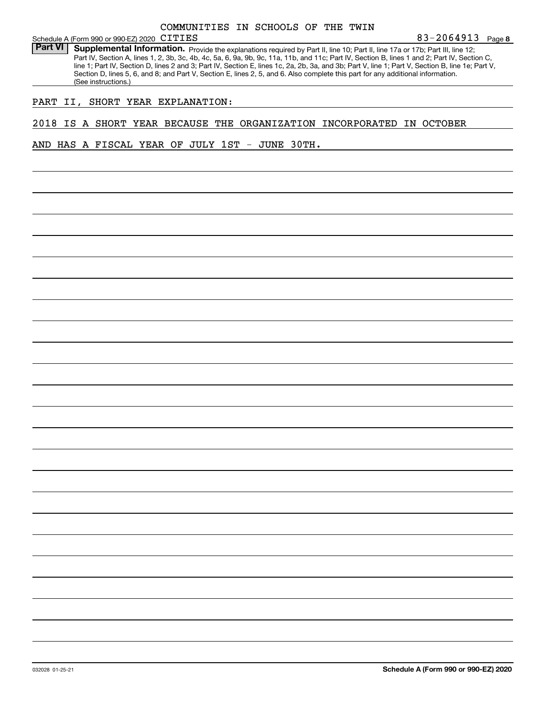| COMMUNITIES IN SCHOOLS OF THE TWIN |  |  |  |  |  |
|------------------------------------|--|--|--|--|--|
|------------------------------------|--|--|--|--|--|

**8**83-2064913 Schedule A (Form 990 or 990-EZ) 2020 Page CITIES

Part VI | Supplemental Information. Provide the explanations required by Part II, line 10; Part II, line 17a or 17b; Part III, line 12; Part IV, Section A, lines 1, 2, 3b, 3c, 4b, 4c, 5a, 6, 9a, 9b, 9c, 11a, 11b, and 11c; Part IV, Section B, lines 1 and 2; Part IV, Section C, line 1; Part IV, Section D, lines 2 and 3; Part IV, Section E, lines 1c, 2a, 2b, 3a, and 3b; Part V, line 1; Part V, Section B, line 1e; Part V, Section D, lines 5, 6, and 8; and Part V, Section E, lines 2, 5, and 6. Also complete this part for any additional information. (See instructions.)

#### PART II, SHORT YEAR EXPLANATION:

2018 IS A SHORT YEAR BECAUSE THE ORGANIZATION INCORPORATED IN OCTOBER

AND HAS A FISCAL YEAR OF JULY 1ST - JUNE 30TH.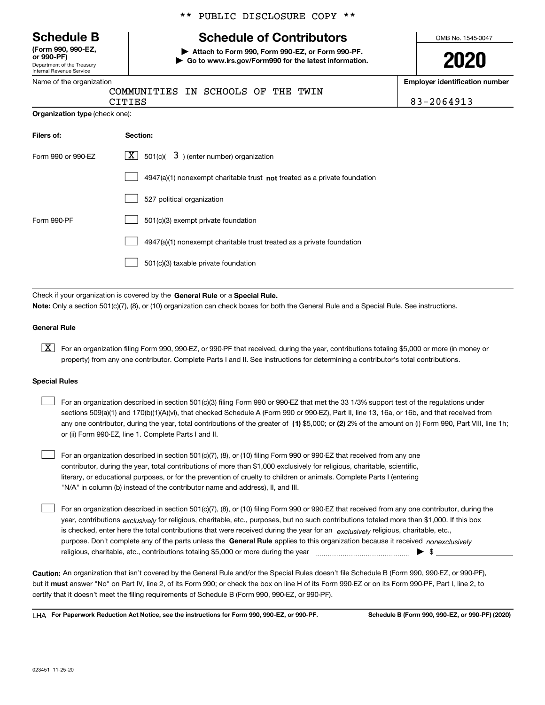|  |  | <b>Schedule B</b> |
|--|--|-------------------|
|--|--|-------------------|

Department of the Treasury Internal Revenue Service **(Form 990, 990-EZ, or 990-PF)**

Name of the organization

#### \*\* PUBLIC DISCLOSURE COPY \*\*

## **Schedule of Contributors**

**| Attach to Form 990, Form 990-EZ, or Form 990-PF.**

**| Go to www.irs.gov/Form990 for the latest information.**

OMB No. 1545-0047

**Employer identification number**

| CITIES |
|--------|
|        |

**Organization type** (check one):

COMMUNITIES IN SCHOOLS OF THE TWIN

CITIES 83-2064913

| Filers of:         | Section:                                                                           |
|--------------------|------------------------------------------------------------------------------------|
| Form 990 or 990-FZ | $\boxed{\text{X}}$ 501(c)( 3) (enter number) organization                          |
|                    | $4947(a)(1)$ nonexempt charitable trust <b>not</b> treated as a private foundation |
|                    | 527 political organization                                                         |
| Form 990-PF        | 501(c)(3) exempt private foundation                                                |
|                    | 4947(a)(1) nonexempt charitable trust treated as a private foundation              |
|                    | 501(c)(3) taxable private foundation                                               |

Check if your organization is covered by the **General Rule** or a **Special Rule. Note:**  Only a section 501(c)(7), (8), or (10) organization can check boxes for both the General Rule and a Special Rule. See instructions.

#### **General Rule**

 $\boxed{\textbf{X}}$  For an organization filing Form 990, 990-EZ, or 990-PF that received, during the year, contributions totaling \$5,000 or more (in money or property) from any one contributor. Complete Parts I and II. See instructions for determining a contributor's total contributions.

#### **Special Rules**

| For an organization described in section 501(c)(3) filing Form 990 or 990-EZ that met the 33 1/3% support test of the regulations under               |
|-------------------------------------------------------------------------------------------------------------------------------------------------------|
| sections 509(a)(1) and 170(b)(1)(A)(vi), that checked Schedule A (Form 990 or 990-EZ), Part II, line 13, 16a, or 16b, and that received from          |
| any one contributor, during the year, total contributions of the greater of (1) \$5,000; or (2) 2% of the amount on (i) Form 990, Part VIII, line 1h; |
| or (ii) Form 990-EZ, line 1. Complete Parts I and II.                                                                                                 |

For an organization described in section 501(c)(7), (8), or (10) filing Form 990 or 990-EZ that received from any one contributor, during the year, total contributions of more than \$1,000 exclusively for religious, charitable, scientific, literary, or educational purposes, or for the prevention of cruelty to children or animals. Complete Parts I (entering "N/A" in column (b) instead of the contributor name and address), II, and III.  $\mathcal{L}^{\text{max}}$ 

purpose. Don't complete any of the parts unless the **General Rule** applies to this organization because it received *nonexclusively* year, contributions <sub>exclusively</sub> for religious, charitable, etc., purposes, but no such contributions totaled more than \$1,000. If this box is checked, enter here the total contributions that were received during the year for an  $\;$ exclusively religious, charitable, etc., For an organization described in section 501(c)(7), (8), or (10) filing Form 990 or 990-EZ that received from any one contributor, during the religious, charitable, etc., contributions totaling \$5,000 or more during the year  $\Box$ — $\Box$   $\Box$  $\mathcal{L}^{\text{max}}$ 

**Caution:**  An organization that isn't covered by the General Rule and/or the Special Rules doesn't file Schedule B (Form 990, 990-EZ, or 990-PF),  **must** but it answer "No" on Part IV, line 2, of its Form 990; or check the box on line H of its Form 990-EZ or on its Form 990-PF, Part I, line 2, to certify that it doesn't meet the filing requirements of Schedule B (Form 990, 990-EZ, or 990-PF).

**For Paperwork Reduction Act Notice, see the instructions for Form 990, 990-EZ, or 990-PF. Schedule B (Form 990, 990-EZ, or 990-PF) (2020)** LHA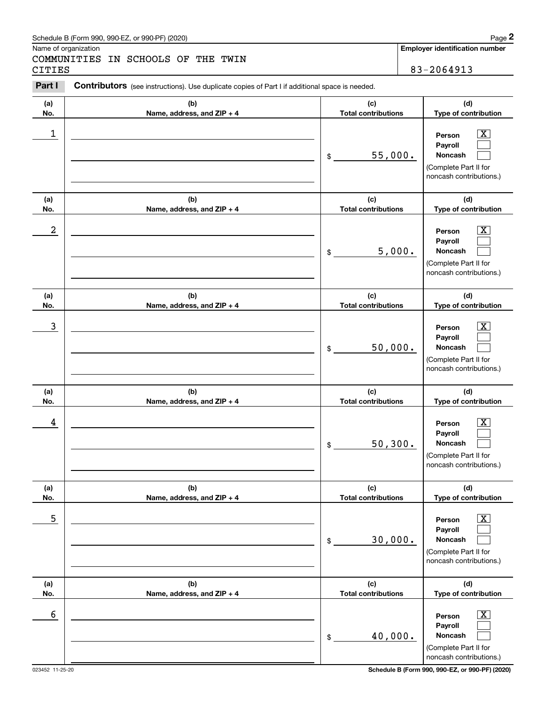#### Schedule B (Form 990, 990-EZ, or 990-PF) (2020) **Page 2** Page 2 and the state of the state of the state of the state of the state of the state of the state of the state of the state of the state of the state of the state o

**Employer identification number**

**(a)No.(b)Name, address, and ZIP + 4 (c)Total contributions Type of contribution PersonPayrollNoncash (a)No.(b)Name, address, and ZIP + 4 (c)Total contributions Type of contribution PersonPayrollNoncash (a)No.(b)Name, address, and ZIP + 4 (c)Total contributions Type of contribution PersonPayrollNoncash (a) No.(b) Name, address, and ZIP + 4 (c) Total contributions Type of contribution** Name of organization **Contributors** (see instructions). Use duplicate copies of Part I if additional space is needed. \$(Complete Part II for noncash contributions.) \$(Complete Part II for noncash contributions.) \$(Complete Part II for noncash contributions.) Chedule B (Form 990, 990-EZ, or 990-PF) (2020)<br> **2Page 2**<br> **2PART II CONTIBUTORS**<br> **2PART I 2PART I 2PART I CONTIBUTORS** (see instructions). Use duplicate copies of Part I if additional space is needed.  $\begin{array}{c|c|c|c|c|c} 1 & \hspace{1.5cm} & \hspace{1.5cm} & \hspace{1.5cm} & \hspace{1.5cm} & \hspace{1.5cm} & \hspace{1.5cm} & \hspace{1.5cm} & \hspace{1.5cm} & \hspace{1.5cm} & \hspace{1.5cm} & \hspace{1.5cm} & \hspace{1.5cm} & \hspace{1.5cm} & \hspace{1.5cm} & \hspace{1.5cm} & \hspace{1.5cm} & \hspace{1.5cm} & \hspace{1.5cm} & \hspace{1.5cm} & \hspace{1.5cm} &$ 55,000.  $2$  | Person  $\overline{\text{X}}$ 5,000.  $\overline{3}$  | Person  $\overline{X}$ 50,000. COMMUNITIES IN SCHOOLS OF THE TWIN CITIES 83-2064913

**PersonPayrollNoncash (a) No.(b) Name, address, and ZIP + 4 (c) Total contributions (d) Type of contribution PersonPayrollNoncash (a) No.(b)Name, address, and ZIP + 4 (c) Total contributions (d) Type of contribution PersonPayrollNoncash** \$(Complete Part II for noncash contributions.) \$(Complete Part II for noncash contributions.) \$(Complete Part II for noncash contributions.)  $|X|$  $\mathcal{L}^{\text{max}}$  $\mathcal{L}^{\text{max}}$  $|X|$  $\mathcal{L}^{\text{max}}$  $\mathcal{L}^{\text{max}}$  $\boxed{\text{X}}$  $\mathcal{L}^{\text{max}}$  $\mathcal{L}^{\text{max}}$  $\begin{array}{c|c|c|c|c|c} 4 & \hspace{-1.1cm} & & & & & & \end{array}$  Person  $\begin{array}{c|c|c|c} \text{X} & \hspace{-1.1cm} & & & & \end{array}$ 50,300.  $\sim$  5 | Person X 30,000.  $\sim$  6 | Person X 40,000.

023452 11-25-20 **Schedule B (Form 990, 990-EZ, or 990-PF) (2020)**

**(d)**

 $|X|$  $\mathcal{L}^{\text{max}}$  $\mathcal{L}^{\text{max}}$ 

 $\boxed{\text{X}}$  $\mathcal{L}^{\text{max}}$  $\mathcal{L}^{\text{max}}$ 

 $|X|$  $\mathcal{L}^{\text{max}}$  $\mathcal{L}^{\text{max}}$ 

**(d)**

**(d)**

**(d)**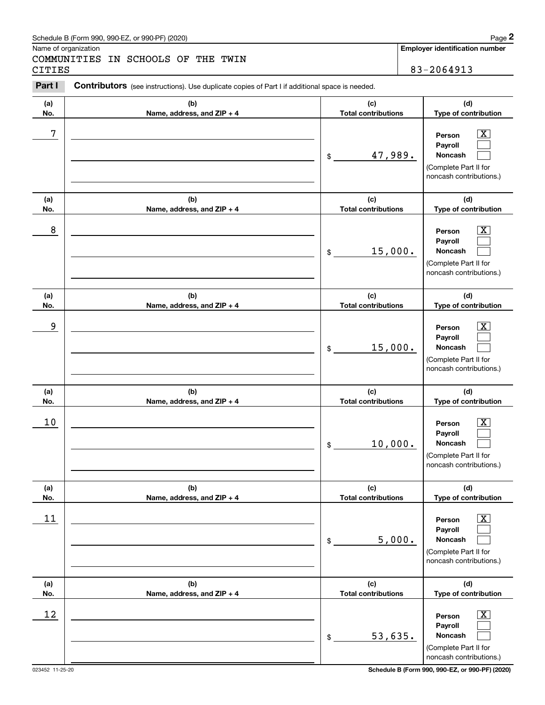#### Schedule B (Form 990, 990-EZ, or 990-PF) (2020) **Page 2** Page 2

Name of organization

(schedule B (Form 990, 990-EZ, or 990-PF) (2020)<br>
lame of organization<br> **2PART I CONTIBES IN SCHOOLS OF THE TWIN**<br>
2Part I **Contributors** (see instructions). Use duplicate copies of Part I if additional space is needed.<br>
2 COMMUNITIES IN SCHOOLS OF THE TWIN

**Employer identification number**

CITIES 83-2064913

**(a)No.(b)Name, address, and ZIP + 4 (c) Total contributions**

| (a)<br>No. | (b)                               | (c)<br><b>Total contributions</b> | (d)<br>Type of contribution                                                                               |
|------------|-----------------------------------|-----------------------------------|-----------------------------------------------------------------------------------------------------------|
|            | Name, address, and ZIP + 4        |                                   |                                                                                                           |
| 7          |                                   | 47,989.<br>\$                     | $\overline{\text{X}}$<br>Person<br>Payroll<br>Noncash<br>(Complete Part II for<br>noncash contributions.) |
| (a)<br>No. | (b)<br>Name, address, and ZIP + 4 | (c)<br><b>Total contributions</b> | (d)<br>Type of contribution                                                                               |
| 8          |                                   | 15,000.<br>\$                     | $\overline{\text{X}}$<br>Person<br>Payroll<br>Noncash<br>(Complete Part II for<br>noncash contributions.) |
| (a)<br>No. | (b)<br>Name, address, and ZIP + 4 | (c)<br><b>Total contributions</b> | (d)<br>Type of contribution                                                                               |
| 9          |                                   | 15,000.<br>\$                     | $\overline{\text{X}}$<br>Person<br>Payroll<br>Noncash<br>(Complete Part II for<br>noncash contributions.) |
| (a)<br>No. | (b)<br>Name, address, and ZIP + 4 | (c)<br><b>Total contributions</b> | (d)<br>Type of contribution                                                                               |
| $10$       |                                   | 10,000.<br>\$                     | $\overline{\text{X}}$<br>Person<br>Payroll<br>Noncash<br>(Complete Part II for<br>noncash contributions.) |
| (a)<br>No. | (b)<br>Name, address, and ZIP + 4 | (c)<br><b>Total contributions</b> | (d)<br>Type of contribution                                                                               |
| 11         |                                   | 5,000.<br>\$                      | Person<br>Payroll<br>Noncash<br>(Complete Part II for<br>noncash contributions.)                          |
| (a)<br>No. | (b)<br>Name, address, and ZIP + 4 | (c)<br><b>Total contributions</b> | (d)<br>Type of contribution                                                                               |
| $12$       |                                   | 53,635.<br>\$                     | Person<br>х<br>Payroll<br>Noncash<br>(Complete Part II for<br>noncash contributions.)                     |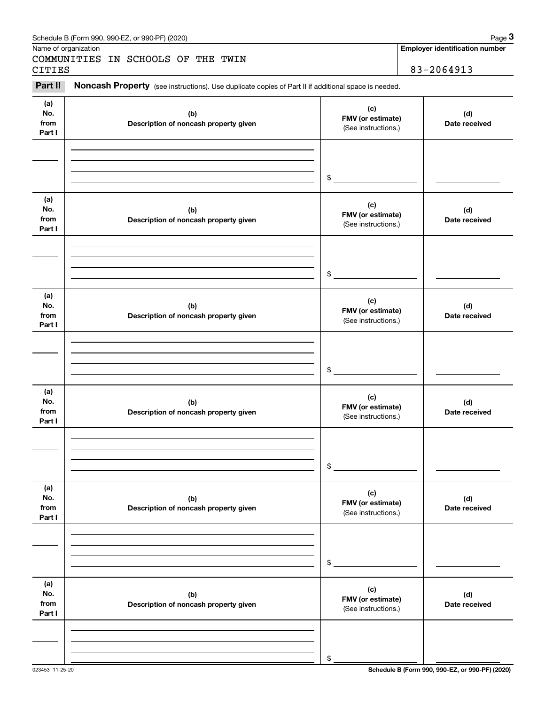#### **(a)No.fromPart I (c) FMV (or estimate) (b) Description of noncash property given (d) Date received (a)No.from Part I (c) FMV (or estimate) (b) Description of noncash property given (d) Date received (a)No.fromPart I (c)FMV (or estimate) (b) Description of noncash property given (d) Date received (a) No.fromPart I (c) FMV (or estimate) (b)Description of noncash property given (d)Date received (a) No.fromPart I (c) FMV (or estimate) (b) Description of noncash property given (d) Date received (a) No.fromPart I (c)FMV (or estimate) (b)Description of noncash property given (d)Date received** Noncash Property (see instructions). Use duplicate copies of Part II if additional space is needed. (See instructions.) \$(See instructions.) \$(See instructions.) \$(See instructions.) \$(See instructions.) \$(See instructions.) \$Chedule B (Form 990, 990-EZ, or 990-PF) (2020)<br> **3Page 3 Added** Communication<br> **3Part II Noncash Property** (see instructions). Use duplicate copies of Part II if additional space is needed.<br> **Part II Noncash Property** COMMUNITIES IN SCHOOLS OF THE TWIN CITIES 83-2064913

Name of organization

**Employer identification number**

023453 11-25-20 **Schedule B (Form 990, 990-EZ, or 990-PF) (2020)**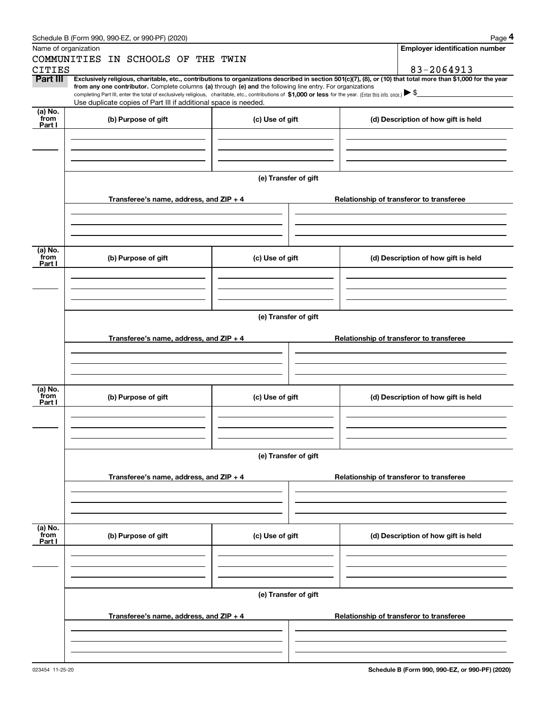|                 | Schedule B (Form 990, 990-EZ, or 990-PF) (2020)                                                                                                                                                                                 |                      |  | Page 4                                                                                                                                                         |  |  |  |
|-----------------|---------------------------------------------------------------------------------------------------------------------------------------------------------------------------------------------------------------------------------|----------------------|--|----------------------------------------------------------------------------------------------------------------------------------------------------------------|--|--|--|
|                 | Name of organization                                                                                                                                                                                                            |                      |  | <b>Employer identification number</b>                                                                                                                          |  |  |  |
|                 | COMMUNITIES<br>IN SCHOOLS OF THE TWIN                                                                                                                                                                                           |                      |  |                                                                                                                                                                |  |  |  |
| <b>CITIES</b>   |                                                                                                                                                                                                                                 |                      |  | 83-2064913                                                                                                                                                     |  |  |  |
| <b>Part III</b> | from any one contributor. Complete columns (a) through (e) and the following line entry. For organizations                                                                                                                      |                      |  | Exclusively religious, charitable, etc., contributions to organizations described in section 501(c)(7), (8), or (10) that total more than \$1,000 for the year |  |  |  |
|                 | completing Part III, enter the total of exclusively religious, charitable, etc., contributions of \$1,000 or less for the year. (Enter this info. once.) \\$<br>Use duplicate copies of Part III if additional space is needed. |                      |  |                                                                                                                                                                |  |  |  |
| (a) No.         |                                                                                                                                                                                                                                 |                      |  |                                                                                                                                                                |  |  |  |
| from<br>Part I  | (b) Purpose of gift                                                                                                                                                                                                             | (c) Use of gift      |  | (d) Description of how gift is held                                                                                                                            |  |  |  |
|                 |                                                                                                                                                                                                                                 |                      |  |                                                                                                                                                                |  |  |  |
|                 |                                                                                                                                                                                                                                 |                      |  |                                                                                                                                                                |  |  |  |
|                 |                                                                                                                                                                                                                                 |                      |  |                                                                                                                                                                |  |  |  |
|                 |                                                                                                                                                                                                                                 |                      |  |                                                                                                                                                                |  |  |  |
|                 |                                                                                                                                                                                                                                 | (e) Transfer of gift |  |                                                                                                                                                                |  |  |  |
|                 |                                                                                                                                                                                                                                 |                      |  |                                                                                                                                                                |  |  |  |
|                 | Transferee's name, address, and ZIP + 4                                                                                                                                                                                         |                      |  | Relationship of transferor to transferee                                                                                                                       |  |  |  |
|                 |                                                                                                                                                                                                                                 |                      |  |                                                                                                                                                                |  |  |  |
|                 |                                                                                                                                                                                                                                 |                      |  |                                                                                                                                                                |  |  |  |
|                 |                                                                                                                                                                                                                                 |                      |  |                                                                                                                                                                |  |  |  |
|                 |                                                                                                                                                                                                                                 |                      |  |                                                                                                                                                                |  |  |  |
| (a) No.<br>from | (b) Purpose of gift                                                                                                                                                                                                             | (c) Use of gift      |  | (d) Description of how gift is held                                                                                                                            |  |  |  |
| Part I          |                                                                                                                                                                                                                                 |                      |  |                                                                                                                                                                |  |  |  |
|                 |                                                                                                                                                                                                                                 |                      |  |                                                                                                                                                                |  |  |  |
|                 |                                                                                                                                                                                                                                 |                      |  |                                                                                                                                                                |  |  |  |
|                 |                                                                                                                                                                                                                                 |                      |  |                                                                                                                                                                |  |  |  |
|                 |                                                                                                                                                                                                                                 |                      |  |                                                                                                                                                                |  |  |  |
|                 | (e) Transfer of gift                                                                                                                                                                                                            |                      |  |                                                                                                                                                                |  |  |  |
|                 |                                                                                                                                                                                                                                 |                      |  |                                                                                                                                                                |  |  |  |
|                 | Transferee's name, address, and $ZIP + 4$                                                                                                                                                                                       |                      |  | Relationship of transferor to transferee                                                                                                                       |  |  |  |
|                 |                                                                                                                                                                                                                                 |                      |  |                                                                                                                                                                |  |  |  |
|                 |                                                                                                                                                                                                                                 |                      |  |                                                                                                                                                                |  |  |  |
|                 |                                                                                                                                                                                                                                 |                      |  |                                                                                                                                                                |  |  |  |
| (a) No.         |                                                                                                                                                                                                                                 |                      |  |                                                                                                                                                                |  |  |  |
| from<br>Part I  | (b) Purpose of gift                                                                                                                                                                                                             | (c) Use of gift      |  | (d) Description of how gift is held                                                                                                                            |  |  |  |
|                 |                                                                                                                                                                                                                                 |                      |  |                                                                                                                                                                |  |  |  |
|                 |                                                                                                                                                                                                                                 |                      |  |                                                                                                                                                                |  |  |  |
|                 |                                                                                                                                                                                                                                 |                      |  |                                                                                                                                                                |  |  |  |
|                 |                                                                                                                                                                                                                                 |                      |  |                                                                                                                                                                |  |  |  |
|                 |                                                                                                                                                                                                                                 | (e) Transfer of gift |  |                                                                                                                                                                |  |  |  |
|                 |                                                                                                                                                                                                                                 |                      |  |                                                                                                                                                                |  |  |  |
|                 | Transferee's name, address, and ZIP + 4                                                                                                                                                                                         |                      |  | Relationship of transferor to transferee                                                                                                                       |  |  |  |
|                 |                                                                                                                                                                                                                                 |                      |  |                                                                                                                                                                |  |  |  |
|                 |                                                                                                                                                                                                                                 |                      |  |                                                                                                                                                                |  |  |  |
|                 |                                                                                                                                                                                                                                 |                      |  |                                                                                                                                                                |  |  |  |
|                 |                                                                                                                                                                                                                                 |                      |  |                                                                                                                                                                |  |  |  |
| (a) No.<br>from | (b) Purpose of gift                                                                                                                                                                                                             | (c) Use of gift      |  | (d) Description of how gift is held                                                                                                                            |  |  |  |
| Part I          |                                                                                                                                                                                                                                 |                      |  |                                                                                                                                                                |  |  |  |
|                 |                                                                                                                                                                                                                                 |                      |  |                                                                                                                                                                |  |  |  |
|                 |                                                                                                                                                                                                                                 |                      |  |                                                                                                                                                                |  |  |  |
|                 |                                                                                                                                                                                                                                 |                      |  |                                                                                                                                                                |  |  |  |
|                 |                                                                                                                                                                                                                                 | (e) Transfer of gift |  |                                                                                                                                                                |  |  |  |
|                 |                                                                                                                                                                                                                                 |                      |  |                                                                                                                                                                |  |  |  |
|                 | Transferee's name, address, and $ZIP + 4$                                                                                                                                                                                       |                      |  | Relationship of transferor to transferee                                                                                                                       |  |  |  |
|                 |                                                                                                                                                                                                                                 |                      |  |                                                                                                                                                                |  |  |  |
|                 |                                                                                                                                                                                                                                 |                      |  |                                                                                                                                                                |  |  |  |
|                 |                                                                                                                                                                                                                                 |                      |  |                                                                                                                                                                |  |  |  |
|                 |                                                                                                                                                                                                                                 |                      |  |                                                                                                                                                                |  |  |  |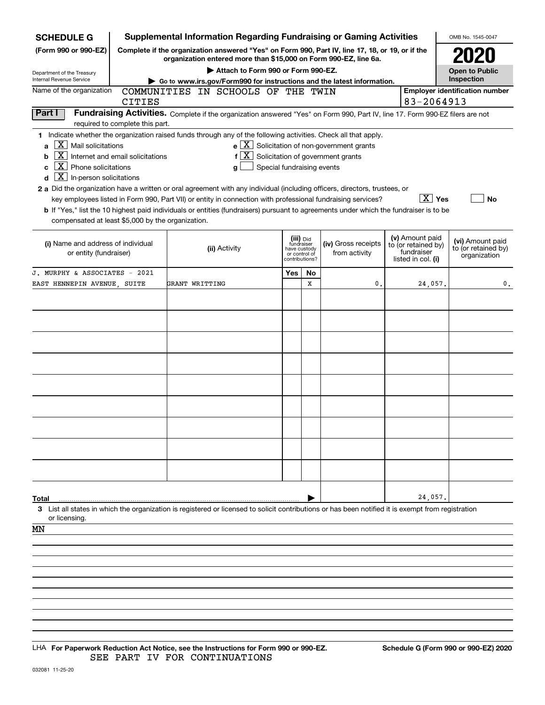| <b>SCHEDULE G</b>                                                                                                                    |                                                                                                                                                                     | <b>Supplemental Information Regarding Fundraising or Gaming Activities</b>                                                                                                                                                                                                                                                                        |                                                                            |    |                                                                      |  |                                                                            | OMB No. 1545-0047                                       |
|--------------------------------------------------------------------------------------------------------------------------------------|---------------------------------------------------------------------------------------------------------------------------------------------------------------------|---------------------------------------------------------------------------------------------------------------------------------------------------------------------------------------------------------------------------------------------------------------------------------------------------------------------------------------------------|----------------------------------------------------------------------------|----|----------------------------------------------------------------------|--|----------------------------------------------------------------------------|---------------------------------------------------------|
| (Form 990 or 990-EZ)                                                                                                                 | Complete if the organization answered "Yes" on Form 990, Part IV, line 17, 18, or 19, or if the<br>organization entered more than \$15,000 on Form 990-EZ, line 6a. |                                                                                                                                                                                                                                                                                                                                                   |                                                                            |    |                                                                      |  |                                                                            |                                                         |
| Department of the Treasury                                                                                                           |                                                                                                                                                                     | Attach to Form 990 or Form 990-EZ.                                                                                                                                                                                                                                                                                                                |                                                                            |    |                                                                      |  |                                                                            | <b>Open to Public</b>                                   |
| Internal Revenue Service                                                                                                             |                                                                                                                                                                     | Go to www.irs.gov/Form990 for instructions and the latest information.                                                                                                                                                                                                                                                                            |                                                                            |    |                                                                      |  |                                                                            | Inspection                                              |
| Name of the organization                                                                                                             | <b>CITIES</b>                                                                                                                                                       | COMMUNITIES IN SCHOOLS OF THE TWIN                                                                                                                                                                                                                                                                                                                |                                                                            |    |                                                                      |  | 83-2064913                                                                 | <b>Employer identification number</b>                   |
| Part I                                                                                                                               |                                                                                                                                                                     | Fundraising Activities. Complete if the organization answered "Yes" on Form 990, Part IV, line 17. Form 990-EZ filers are not                                                                                                                                                                                                                     |                                                                            |    |                                                                      |  |                                                                            |                                                         |
|                                                                                                                                      | required to complete this part.                                                                                                                                     |                                                                                                                                                                                                                                                                                                                                                   |                                                                            |    |                                                                      |  |                                                                            |                                                         |
| X.<br>Mail solicitations<br>a<br>X.<br>b<br>$\mathbf{X}$<br>Phone solicitations<br>с<br>$\mathbf{X}$<br>In-person solicitations<br>d | Internet and email solicitations                                                                                                                                    | 1 Indicate whether the organization raised funds through any of the following activities. Check all that apply.<br>$f\left[\frac{X}{X}\right]$ Solicitation of government grants<br>Special fundraising events<br>g<br>2 a Did the organization have a written or oral agreement with any individual (including officers, directors, trustees, or |                                                                            |    | $\mathbf{e} \times \mathbf{X}$ Solicitation of non-government grants |  |                                                                            |                                                         |
|                                                                                                                                      |                                                                                                                                                                     | key employees listed in Form 990, Part VII) or entity in connection with professional fundraising services?                                                                                                                                                                                                                                       |                                                                            |    |                                                                      |  | $\overline{X}$ Yes                                                         | <b>No</b>                                               |
|                                                                                                                                      |                                                                                                                                                                     | b If "Yes," list the 10 highest paid individuals or entities (fundraisers) pursuant to agreements under which the fundraiser is to be                                                                                                                                                                                                             |                                                                            |    |                                                                      |  |                                                                            |                                                         |
| compensated at least \$5,000 by the organization.                                                                                    |                                                                                                                                                                     |                                                                                                                                                                                                                                                                                                                                                   |                                                                            |    |                                                                      |  |                                                                            |                                                         |
| (i) Name and address of individual<br>or entity (fundraiser)                                                                         |                                                                                                                                                                     | (ii) Activity                                                                                                                                                                                                                                                                                                                                     | (iii) Did<br>fundraiser<br>have custody<br>or control of<br>contributions? |    | (iv) Gross receipts<br>from activity                                 |  | (v) Amount paid<br>to (or retained by)<br>fundraiser<br>listed in col. (i) | (vi) Amount paid<br>to (or retained by)<br>organization |
| J. MURPHY & ASSOCIATES - 2021                                                                                                        |                                                                                                                                                                     |                                                                                                                                                                                                                                                                                                                                                   | Yes                                                                        | No |                                                                      |  |                                                                            |                                                         |
| EAST HENNEPIN AVENUE SUITE                                                                                                           |                                                                                                                                                                     | GRANT WRITTING                                                                                                                                                                                                                                                                                                                                    |                                                                            | x  | 0.                                                                   |  | 24,057.                                                                    | 0.                                                      |
|                                                                                                                                      |                                                                                                                                                                     |                                                                                                                                                                                                                                                                                                                                                   |                                                                            |    |                                                                      |  |                                                                            |                                                         |
| Total                                                                                                                                |                                                                                                                                                                     | 3 List all states in which the organization is registered or licensed to solicit contributions or has been notified it is exempt from registration                                                                                                                                                                                                |                                                                            |    |                                                                      |  | 24,057.                                                                    |                                                         |
| or licensing.                                                                                                                        |                                                                                                                                                                     |                                                                                                                                                                                                                                                                                                                                                   |                                                                            |    |                                                                      |  |                                                                            |                                                         |
| ΜN                                                                                                                                   |                                                                                                                                                                     |                                                                                                                                                                                                                                                                                                                                                   |                                                                            |    |                                                                      |  |                                                                            |                                                         |
|                                                                                                                                      |                                                                                                                                                                     |                                                                                                                                                                                                                                                                                                                                                   |                                                                            |    |                                                                      |  |                                                                            |                                                         |
|                                                                                                                                      |                                                                                                                                                                     |                                                                                                                                                                                                                                                                                                                                                   |                                                                            |    |                                                                      |  |                                                                            |                                                         |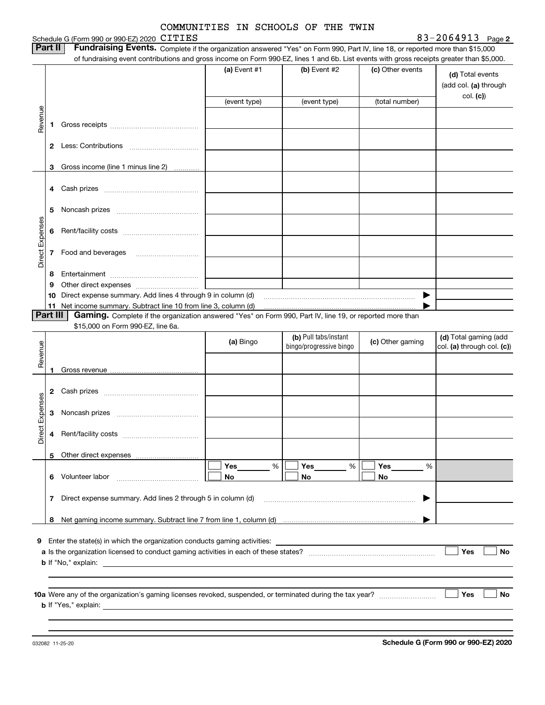#### Schedule G (Form 990 or 990-EZ) 2020 CITIES

**Part II** | Fundraising Events. Complete if the organization answered "Yes" on Form 990, Part IV, line 18, or reported more than \$15,000 of fundraising event contributions and gross income on Form 990-EZ, lines 1 and 6b. List events with gross receipts greater than \$5,000.

|                 |                                                                                         |                                                                                                                                                                          | (a) Event $#1$ | $(b)$ Event #2                | (c) Other events | (d) Total events<br>(add col. (a) through<br>col. (c) |  |
|-----------------|-----------------------------------------------------------------------------------------|--------------------------------------------------------------------------------------------------------------------------------------------------------------------------|----------------|-------------------------------|------------------|-------------------------------------------------------|--|
|                 |                                                                                         |                                                                                                                                                                          | (event type)   | (event type)                  | (total number)   |                                                       |  |
| Revenue         | 1.                                                                                      |                                                                                                                                                                          |                |                               |                  |                                                       |  |
|                 |                                                                                         |                                                                                                                                                                          |                |                               |                  |                                                       |  |
|                 |                                                                                         | 3 Gross income (line 1 minus line 2)                                                                                                                                     |                |                               |                  |                                                       |  |
|                 |                                                                                         |                                                                                                                                                                          |                |                               |                  |                                                       |  |
|                 | 5                                                                                       |                                                                                                                                                                          |                |                               |                  |                                                       |  |
|                 | 6                                                                                       |                                                                                                                                                                          |                |                               |                  |                                                       |  |
| Direct Expenses |                                                                                         | 7 Food and beverages                                                                                                                                                     |                |                               |                  |                                                       |  |
|                 | 8                                                                                       |                                                                                                                                                                          |                |                               |                  |                                                       |  |
|                 | 9                                                                                       |                                                                                                                                                                          |                |                               |                  |                                                       |  |
|                 | 10                                                                                      | Direct expense summary. Add lines 4 through 9 in column (d)                                                                                                              |                |                               | ▶                |                                                       |  |
|                 | 11<br>Part III                                                                          | Net income summary. Subtract line 10 from line 3, column (d)<br>Gaming. Complete if the organization answered "Yes" on Form 990, Part IV, line 19, or reported more than |                |                               |                  |                                                       |  |
|                 |                                                                                         | \$15,000 on Form 990-EZ, line 6a.                                                                                                                                        |                |                               |                  |                                                       |  |
|                 |                                                                                         |                                                                                                                                                                          |                | (b) Pull tabs/instant         |                  | (d) Total gaming (add                                 |  |
| Revenue         |                                                                                         |                                                                                                                                                                          | (a) Bingo      | bingo/progressive bingo       | (c) Other gaming | col. (a) through col. (c))                            |  |
|                 |                                                                                         |                                                                                                                                                                          |                |                               |                  |                                                       |  |
|                 |                                                                                         |                                                                                                                                                                          |                |                               |                  |                                                       |  |
|                 |                                                                                         |                                                                                                                                                                          |                |                               |                  |                                                       |  |
|                 |                                                                                         |                                                                                                                                                                          |                |                               |                  |                                                       |  |
|                 | 3                                                                                       |                                                                                                                                                                          |                |                               |                  |                                                       |  |
| Direct Expenses | 4                                                                                       |                                                                                                                                                                          |                |                               |                  |                                                       |  |
|                 |                                                                                         |                                                                                                                                                                          |                |                               |                  |                                                       |  |
|                 |                                                                                         |                                                                                                                                                                          | Yes<br>%       | $\overline{\phantom{a}}$<br>% | %<br>Yes         |                                                       |  |
|                 | 6                                                                                       | Volunteer labor                                                                                                                                                          | No             | No                            | No               |                                                       |  |
|                 |                                                                                         | 7 Direct expense summary. Add lines 2 through 5 in column (d)                                                                                                            |                |                               | ▶                |                                                       |  |
|                 |                                                                                         |                                                                                                                                                                          |                |                               |                  |                                                       |  |
|                 |                                                                                         |                                                                                                                                                                          |                |                               |                  |                                                       |  |
|                 | 9 Enter the state(s) in which the organization conducts gaming activities:<br>Yes<br>No |                                                                                                                                                                          |                |                               |                  |                                                       |  |
|                 |                                                                                         |                                                                                                                                                                          |                |                               |                  |                                                       |  |
|                 |                                                                                         |                                                                                                                                                                          |                |                               |                  |                                                       |  |
|                 |                                                                                         |                                                                                                                                                                          |                |                               |                  |                                                       |  |
|                 |                                                                                         |                                                                                                                                                                          |                |                               |                  | Yes<br>No                                             |  |
|                 |                                                                                         |                                                                                                                                                                          |                |                               |                  |                                                       |  |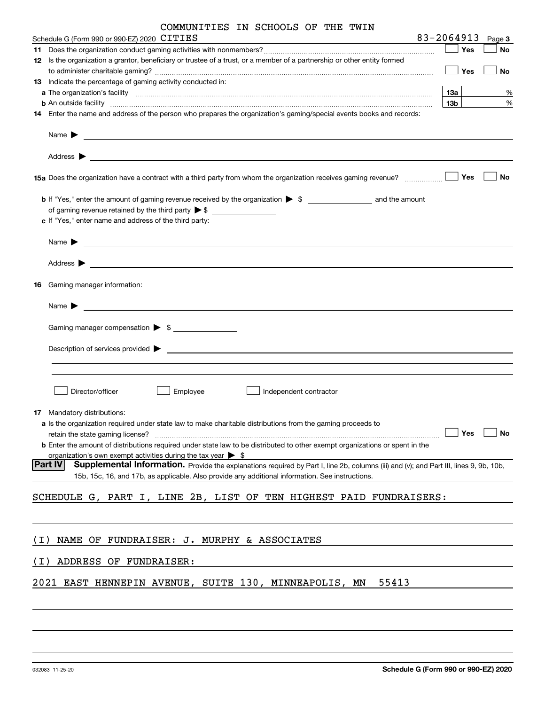| COMMUNITIES IN SCHOOLS OF THE TWIN |  |  |  |
|------------------------------------|--|--|--|
|------------------------------------|--|--|--|

|       | Schedule G (Form 990 or 990-EZ) 2020 CITIES<br><u> 1989 - Johann Stoff, deutscher Stoff, der Stoff, der Stoff, der Stoff, der Stoff, der Stoff, der Stoff, der S</u>                                                                                                  | 83-2064913      | Page 3 |
|-------|-----------------------------------------------------------------------------------------------------------------------------------------------------------------------------------------------------------------------------------------------------------------------|-----------------|--------|
|       |                                                                                                                                                                                                                                                                       | Yes             | No     |
|       | 12 Is the organization a grantor, beneficiary or trustee of a trust, or a member of a partnership or other entity formed                                                                                                                                              |                 |        |
|       |                                                                                                                                                                                                                                                                       | <b>Yes</b>      | No     |
|       | 13 Indicate the percentage of gaming activity conducted in:                                                                                                                                                                                                           |                 |        |
|       |                                                                                                                                                                                                                                                                       | 13а             | %      |
|       | <b>b</b> An outside facility <b>contract and the contract of the contract of the contract of the contract of the contract of the contract of the contract of the contract of the contract of the contract of the contract of the cont</b>                             | 13 <sub>b</sub> | %      |
|       | 14 Enter the name and address of the person who prepares the organization's gaming/special events books and records:                                                                                                                                                  |                 |        |
|       | Name $\sum_{n=1}^{\infty}$                                                                                                                                                                                                                                            |                 |        |
|       | Address $\blacktriangleright$<br><u>state and the state of the state of the state of the state of the state of the state of the state of the state of the state of the state of the state of the state of the state of the state of the state of the state of the</u> |                 |        |
|       | 15a Does the organization have a contract with a third party from whom the organization receives gaming revenue?                                                                                                                                                      | Yes             | No     |
|       |                                                                                                                                                                                                                                                                       |                 |        |
|       |                                                                                                                                                                                                                                                                       |                 |        |
|       | c If "Yes," enter name and address of the third party:                                                                                                                                                                                                                |                 |        |
|       | Name $\blacktriangleright$ $\lrcorner$                                                                                                                                                                                                                                |                 |        |
|       | Address $\blacktriangleright$                                                                                                                                                                                                                                         |                 |        |
|       | 16 Gaming manager information:                                                                                                                                                                                                                                        |                 |        |
|       |                                                                                                                                                                                                                                                                       |                 |        |
|       | Name $\blacktriangleright$<br><u> Andreas Andreas Andreas Andreas Andreas Andreas Andreas Andreas Andreas Andreas Andreas Andreas Andreas Andr</u>                                                                                                                    |                 |        |
|       | Gaming manager compensation > \$                                                                                                                                                                                                                                      |                 |        |
|       |                                                                                                                                                                                                                                                                       |                 |        |
|       |                                                                                                                                                                                                                                                                       |                 |        |
|       |                                                                                                                                                                                                                                                                       |                 |        |
|       |                                                                                                                                                                                                                                                                       |                 |        |
|       | Director/officer<br>Employee<br>Independent contractor                                                                                                                                                                                                                |                 |        |
|       |                                                                                                                                                                                                                                                                       |                 |        |
|       | 17 Mandatory distributions:                                                                                                                                                                                                                                           |                 |        |
|       | a Is the organization required under state law to make charitable distributions from the gaming proceeds to                                                                                                                                                           |                 |        |
|       | retain the state gaming license?                                                                                                                                                                                                                                      | Yes             | No     |
|       | <b>b</b> Enter the amount of distributions required under state law to be distributed to other exempt organizations or spent in the                                                                                                                                   |                 |        |
|       | organization's own exempt activities during the tax year $\triangleright$ \$<br> Part IV                                                                                                                                                                              |                 |        |
|       | Supplemental Information. Provide the explanations required by Part I, line 2b, columns (iii) and (v); and Part III, lines 9, 9b, 10b,<br>15b, 15c, 16, and 17b, as applicable. Also provide any additional information. See instructions.                            |                 |        |
|       |                                                                                                                                                                                                                                                                       |                 |        |
|       | SCHEDULE G, PART I, LINE 2B, LIST OF TEN HIGHEST PAID FUNDRAISERS:                                                                                                                                                                                                    |                 |        |
|       |                                                                                                                                                                                                                                                                       |                 |        |
|       |                                                                                                                                                                                                                                                                       |                 |        |
| ( I ) | FUNDRAISER: J. MURPHY & ASSOCIATES<br>NAME<br>ОF                                                                                                                                                                                                                      |                 |        |
| ( I ) | ADDRESS OF FUNDRAISER:                                                                                                                                                                                                                                                |                 |        |
| 2021  | 55413<br>EAST HENNEPIN AVENUE, SUITE 130, MINNEAPOLIS,<br>MN                                                                                                                                                                                                          |                 |        |
|       |                                                                                                                                                                                                                                                                       |                 |        |
|       |                                                                                                                                                                                                                                                                       |                 |        |
|       |                                                                                                                                                                                                                                                                       |                 |        |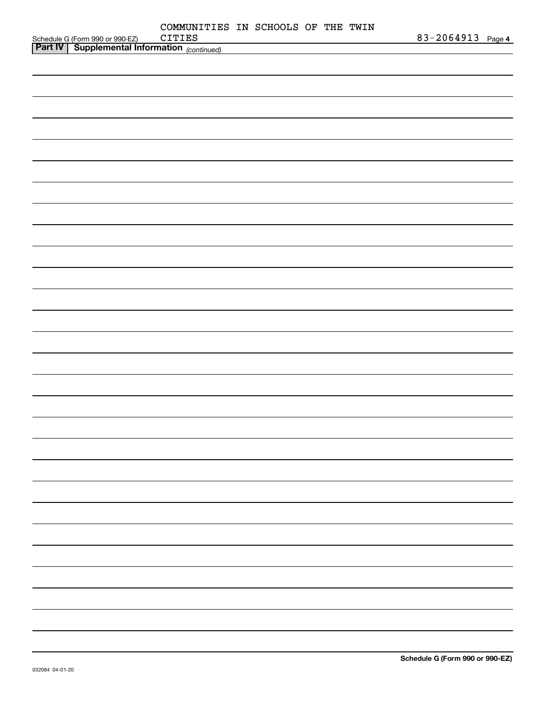|                                                                                               | COMMUNITIES IN SCHOOLS OF THE TWIN |  |  |                   |  |
|-----------------------------------------------------------------------------------------------|------------------------------------|--|--|-------------------|--|
| Schedule G (Form 990 or 990-EZ) CITIES<br><b>Part IV</b> Supplemental Information (continued) | CITIES                             |  |  | 83-2064913 Page 4 |  |
|                                                                                               |                                    |  |  |                   |  |
|                                                                                               |                                    |  |  |                   |  |
|                                                                                               |                                    |  |  |                   |  |
|                                                                                               |                                    |  |  |                   |  |
|                                                                                               |                                    |  |  |                   |  |
|                                                                                               |                                    |  |  |                   |  |
|                                                                                               |                                    |  |  |                   |  |
|                                                                                               |                                    |  |  |                   |  |
|                                                                                               |                                    |  |  |                   |  |
|                                                                                               |                                    |  |  |                   |  |
|                                                                                               |                                    |  |  |                   |  |
|                                                                                               |                                    |  |  |                   |  |
|                                                                                               |                                    |  |  |                   |  |
|                                                                                               |                                    |  |  |                   |  |
|                                                                                               |                                    |  |  |                   |  |
|                                                                                               |                                    |  |  |                   |  |
|                                                                                               |                                    |  |  |                   |  |
|                                                                                               |                                    |  |  |                   |  |
|                                                                                               |                                    |  |  |                   |  |
|                                                                                               |                                    |  |  |                   |  |
|                                                                                               |                                    |  |  |                   |  |
|                                                                                               |                                    |  |  |                   |  |
|                                                                                               |                                    |  |  |                   |  |
|                                                                                               |                                    |  |  |                   |  |
|                                                                                               |                                    |  |  |                   |  |
|                                                                                               |                                    |  |  |                   |  |
|                                                                                               |                                    |  |  |                   |  |
|                                                                                               |                                    |  |  |                   |  |
|                                                                                               |                                    |  |  |                   |  |
|                                                                                               |                                    |  |  |                   |  |
|                                                                                               |                                    |  |  |                   |  |
|                                                                                               |                                    |  |  |                   |  |
|                                                                                               |                                    |  |  |                   |  |
|                                                                                               |                                    |  |  |                   |  |
|                                                                                               |                                    |  |  |                   |  |
|                                                                                               |                                    |  |  |                   |  |
|                                                                                               |                                    |  |  |                   |  |
|                                                                                               |                                    |  |  |                   |  |
|                                                                                               |                                    |  |  |                   |  |
|                                                                                               |                                    |  |  |                   |  |
|                                                                                               |                                    |  |  |                   |  |
|                                                                                               |                                    |  |  |                   |  |
|                                                                                               |                                    |  |  |                   |  |
|                                                                                               |                                    |  |  |                   |  |
|                                                                                               |                                    |  |  |                   |  |
|                                                                                               |                                    |  |  |                   |  |
|                                                                                               |                                    |  |  |                   |  |
|                                                                                               |                                    |  |  |                   |  |
|                                                                                               |                                    |  |  |                   |  |
|                                                                                               |                                    |  |  |                   |  |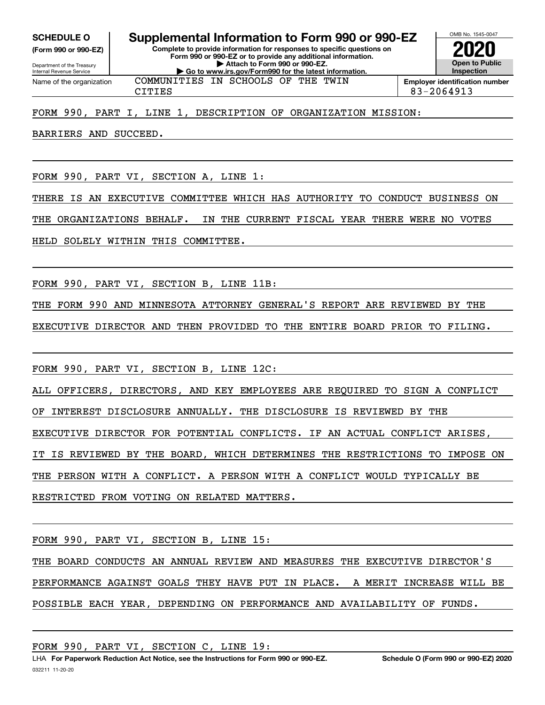Internal Revenue Service

Department of the Treasury **(Form 990 or 990-EZ)**

**Complete to provide information for responses to specific questions on Form 990 or 990-EZ or to provide any additional information. SCHEDULE O Supplemental Information to Form 990 or 990-EZ**

**| Attach to Form 990 or 990-EZ. | Go to www.irs.gov/Form990 for the latest information.**



OMB No. 1545-0047

Name of the organization

CITIES 83-2064913 COMMUNITIES IN SCHOOLS OF THE TWIN

#### FORM 990, PART I, LINE 1, DESCRIPTION OF ORGANIZATION MISSION:

BARRIERS AND SUCCEED.

FORM 990, PART VI, SECTION A, LINE 1:

THERE IS AN EXECUTIVE COMMITTEE WHICH HAS AUTHORITY TO CONDUCT BUSINESS ON

THE ORGANIZATIONS BEHALF. IN THE CURRENT FISCAL YEAR THERE WERE NO VOTES

HELD SOLELY WITHIN THIS COMMITTEE.

FORM 990, PART VI, SECTION B, LINE 11B:

THE FORM 990 AND MINNESOTA ATTORNEY GENERAL'S REPORT ARE REVIEWED BY THE

EXECUTIVE DIRECTOR AND THEN PROVIDED TO THE ENTIRE BOARD PRIOR TO FILING.

FORM 990, PART VI, SECTION B, LINE 12C:

ALL OFFICERS, DIRECTORS, AND KEY EMPLOYEES ARE REQUIRED TO SIGN A CONFLICT

OF INTEREST DISCLOSURE ANNUALLY. THE DISCLOSURE IS REVIEWED BY THE

EXECUTIVE DIRECTOR FOR POTENTIAL CONFLICTS. IF AN ACTUAL CONFLICT ARISES,

IT IS REVIEWED BY THE BOARD, WHICH DETERMINES THE RESTRICTIONS TO IMPOSE ON

THE PERSON WITH A CONFLICT. A PERSON WITH A CONFLICT WOULD TYPICALLY BE

RESTRICTED FROM VOTING ON RELATED MATTERS.

FORM 990, PART VI, SECTION B, LINE 15:

THE BOARD CONDUCTS AN ANNUAL REVIEW AND MEASURES THE EXECUTIVE DIRECTOR'S PERFORMANCE AGAINST GOALS THEY HAVE PUT IN PLACE. A MERIT INCREASE WILL BE POSSIBLE EACH YEAR, DEPENDING ON PERFORMANCE AND AVAILABILITY OF FUNDS.